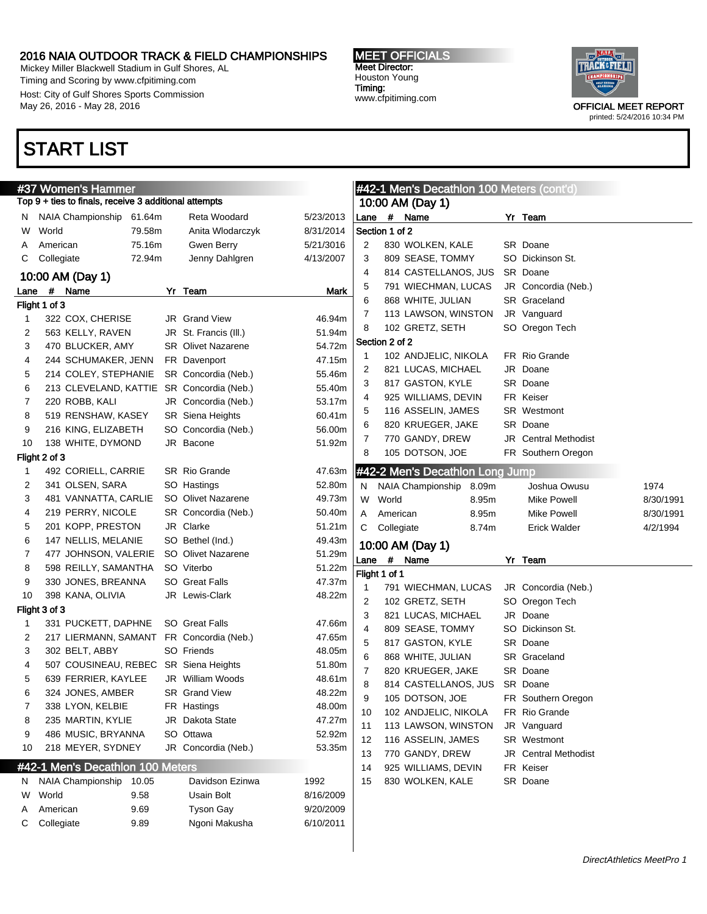Mickey Miller Blackwell Stadium in Gulf Shores, AL Timing and Scoring by www.cfpitiming.com Host: City of Gulf Shores Sports Commission May 26, 2016 - May 28, 2016

### START LIST

#37 Women's Hammer

Flight 1 of 3

Flight 2 of 3

Flight 3 of 3



|      | #37 Women's Hammer                                    |        |                           |           | #42-1 Men's Decathlon 100 Meters (cont'd) |                |                                 |       |                             |           |
|------|-------------------------------------------------------|--------|---------------------------|-----------|-------------------------------------------|----------------|---------------------------------|-------|-----------------------------|-----------|
|      | Fop 9 + ties to finals, receive 3 additional attempts |        |                           |           |                                           |                | 10:00 AM (Day 1)                |       |                             |           |
|      | N NAIA Championship 61.64m                            |        | Reta Woodard              | 5/23/2013 |                                           |                | Lane # Name                     |       | Yr Team                     |           |
| W    | World                                                 | 79.58m | Anita Wlodarczyk          | 8/31/2014 |                                           | Section 1 of 2 |                                 |       |                             |           |
| A    | American                                              | 75.16m | Gwen Berry                | 5/21/3016 | 2                                         |                | 830 WOLKEN, KALE                |       | SR Doane                    |           |
| С    | Collegiate                                            | 72.94m | Jenny Dahlgren            | 4/13/2007 | 3                                         |                | 809 SEASE, TOMMY                |       | SO Dickinson St.            |           |
|      | 10:00 AM (Day 1)                                      |        |                           |           | 4                                         |                | 814 CASTELLANOS, JUS            |       | SR Doane                    |           |
| .ane | # Name                                                |        | Yr Team                   | Mark      | 5                                         |                | 791 WIECHMAN, LUCAS             |       | JR Concordia (Neb.)         |           |
|      | light 1 of 3                                          |        |                           |           | 6                                         |                | 868 WHITE, JULIAN               |       | SR Graceland                |           |
| 1    | 322 COX, CHERISE                                      |        | JR Grand View             | 46.94m    | 7                                         |                | 113 LAWSON, WINSTON             |       | JR Vanguard                 |           |
| 2    | 563 KELLY, RAVEN                                      |        | JR St. Francis (III.)     | 51.94m    | 8                                         |                | 102 GRETZ, SETH                 |       | SO Oregon Tech              |           |
| 3    | 470 BLUCKER, AMY                                      |        | <b>SR</b> Olivet Nazarene | 54.72m    |                                           | Section 2 of 2 |                                 |       |                             |           |
| 4    | 244 SCHUMAKER, JENN                                   |        | FR Davenport              | 47.15m    | -1                                        |                | 102 ANDJELIC, NIKOLA            |       | FR Rio Grande               |           |
| 5    | 214 COLEY, STEPHANIE                                  |        | SR Concordia (Neb.)       | 55.46m    | 2                                         |                | 821 LUCAS, MICHAEL              |       | JR Doane                    |           |
| 6    | 213 CLEVELAND, KATTIE SR Concordia (Neb.)             |        |                           | 55.40m    | 3                                         |                | 817 GASTON, KYLE                |       | SR Doane                    |           |
| 7    | 220 ROBB, KALI                                        |        | JR Concordia (Neb.)       | 53.17m    | 4                                         |                | 925 WILLIAMS, DEVIN             |       | FR Keiser                   |           |
| 8    | 519 RENSHAW, KASEY                                    |        | <b>SR</b> Siena Heights   | 60.41m    | 5                                         |                | 116 ASSELIN, JAMES              |       | <b>SR</b> Westmont          |           |
| 9    | 216 KING, ELIZABETH                                   |        | SO Concordia (Neb.)       | 56.00m    | 6                                         |                | 820 KRUEGER, JAKE               |       | SR Doane                    |           |
| 10   | 138 WHITE, DYMOND                                     |        | JR Bacone                 | 51.92m    | 7                                         |                | 770 GANDY, DREW                 |       | <b>JR</b> Central Methodist |           |
|      | light 2 of 3                                          |        |                           |           | 8                                         |                | 105 DOTSON, JOE                 |       | FR Southern Oregon          |           |
| 1    | 492 CORIELL, CARRIE                                   |        | SR Rio Grande             | 47.63m    |                                           |                | #42-2 Men's Decathlon Long Jump |       |                             |           |
| 2    | 341 OLSEN, SARA                                       |        | SO Hastings               | 52.80m    | N                                         |                | NAIA Championship               | 8.09m | Joshua Owusu                | 1974      |
| 3    | 481 VANNATTA, CARLIE                                  |        | SO Olivet Nazarene        | 49.73m    | W                                         | World          |                                 | 8.95m | <b>Mike Powell</b>          | 8/30/1991 |
| 4    | 219 PERRY, NICOLE                                     |        | SR Concordia (Neb.)       | 50.40m    | A                                         | American       |                                 | 8.95m | Mike Powell                 | 8/30/1991 |
| 5    | 201 KOPP, PRESTON                                     |        | JR Clarke                 | 51.21m    | С                                         | Collegiate     |                                 | 8.74m | Erick Walder                | 4/2/1994  |
| 6    | 147 NELLIS, MELANIE                                   |        | SO Bethel (Ind.)          | 49.43m    |                                           |                | 10:00 AM (Day 1)                |       |                             |           |
| 7    | 477 JOHNSON, VALERIE                                  |        | SO Olivet Nazarene        | 51.29m    |                                           |                | Lane # Name                     |       | Yr Team                     |           |
| 8    | 598 REILLY, SAMANTHA                                  |        | SO Viterbo                | 51.22m    |                                           | Flight 1 of 1  |                                 |       |                             |           |
| 9    | 330 JONES, BREANNA                                    |        | SO Great Falls            | 47.37m    | $\mathbf 1$                               |                | 791 WIECHMAN, LUCAS             |       | JR Concordia (Neb.)         |           |
| 10   | 398 KANA, OLIVIA                                      |        | JR Lewis-Clark            | 48.22m    | 2                                         |                | 102 GRETZ, SETH                 |       | SO Oregon Tech              |           |
|      | iight 3 of 3-                                         |        |                           |           | 3                                         |                | 821 LUCAS, MICHAEL              |       | JR Doane                    |           |
| 1    | 331 PUCKETT, DAPHNE                                   |        | <b>SO</b> Great Falls     | 47.66m    | 4                                         |                | 809 SEASE, TOMMY                |       | SO Dickinson St.            |           |
| 2    | 217 LIERMANN, SAMANT                                  |        | FR Concordia (Neb.)       | 47.65m    | 5                                         |                | 817 GASTON, KYLE                |       | SR Doane                    |           |
| 3    | 302 BELT, ABBY                                        |        | SO Friends                | 48.05m    | 6                                         |                | 868 WHITE, JULIAN               |       | SR Graceland                |           |
| 4    | 507 COUSINEAU, REBEC SR Siena Heights                 |        |                           | 51.80m    | 7                                         |                | 820 KRUEGER, JAKE               |       | SR Doane                    |           |
| 5    | 639 FERRIER, KAYLEE                                   |        | <b>JR</b> William Woods   | 48.61m    | 8                                         |                | 814 CASTELLANOS, JUS            |       | SR Doane                    |           |
| 6    | 324 JONES, AMBER                                      |        | <b>SR</b> Grand View      | 48.22m    | 9                                         |                | 105 DOTSON, JOE                 |       | FR Southern Oregon          |           |
| 7    | 338 LYON, KELBIE                                      |        | FR Hastings               | 48.00m    | 10                                        |                | 102 ANDJELIC, NIKOLA            |       | FR Rio Grande               |           |
| 8    | 235 MARTIN, KYLIE                                     |        | JR Dakota State           | 47.27m    | 11                                        |                | 113 LAWSON, WINSTON             |       | JR Vanguard                 |           |
| 9    | 486 MUSIC, BRYANNA                                    |        | SO Ottawa                 | 52.92m    | 12                                        |                | 116 ASSELIN, JAMES              |       | SR Westmont                 |           |
| 10   | 218 MEYER, SYDNEY                                     |        | JR Concordia (Neb.)       | 53.35m    | 13                                        |                | 770 GANDY, DREW                 |       | JR Central Methodist        |           |
|      | #42-1 Men's Decathlon 100 Meters                      |        |                           |           | 14                                        |                | 925 WILLIAMS, DEVIN             |       | FR Keiser                   |           |
|      | N NAIA Championship 10.05                             |        | Davidson Ezinwa           | 1992      | 15                                        |                | 830 WOLKEN, KALE                |       | SR Doane                    |           |

|    | N NAIA Championship 10.05 |      | Davidson Ezinwa  | 1992      |
|----|---------------------------|------|------------------|-----------|
| W. | World                     | 9.58 | Usain Bolt       | 8/16/2009 |
|    | A American                | 9.69 | <b>Tyson Gay</b> | 9/20/2009 |
|    | C Collegiate              | 9.89 | Ngoni Makusha    | 6/10/2011 |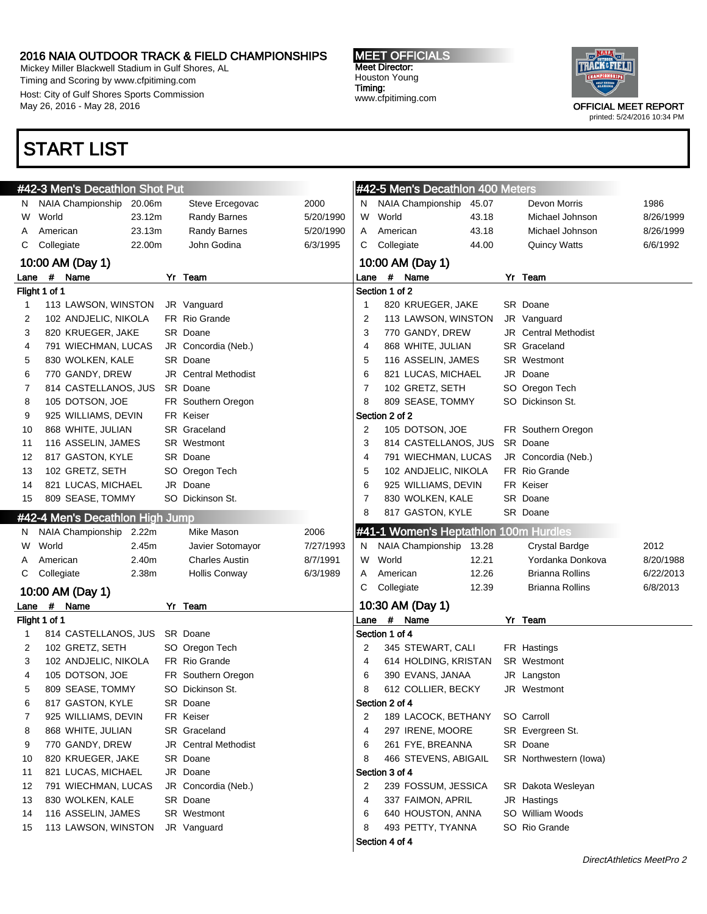Mickey Miller Blackwell Stadium in Gulf Shores, AL Timing and Scoring by www.cfpitiming.com Host: City of Gulf Shores Sports Commission May 26, 2016 - May 28, 2016

### START LIST

MEET OFFICIALS Meet Director: Houston Young Timing: www.cfpitiming.com



| NAIA Championship<br>2000<br><b>NAIA Championship</b><br>20.06m<br>Steve Ercegovac<br>45.07<br>Devon Morris<br>N.<br>N.<br>23.12m<br>World<br>43.18<br>World<br><b>Randy Barnes</b><br>5/20/1990<br>W<br>Michael Johnson<br>W<br>43.18<br>American<br>23.13m<br><b>Randy Barnes</b><br>5/20/1990<br>American<br>Michael Johnson<br>A<br>A<br>Collegiate<br>22.00m<br>John Godina<br>6/3/1995<br>Collegiate<br>44.00<br><b>Quincy Watts</b><br>С<br>C<br>10:00 AM (Day 1)<br>10:00 AM (Day 1)<br># Name<br># Name<br>Yr Team<br>Yr Team<br>Lane<br>Lane<br>Section 1 of 2<br>Flight 1 of 1<br>113 LAWSON, WINSTON<br>820 KRUEGER, JAKE<br>SR Doane<br>1<br>JR Vanguard<br>1<br>FR Rio Grande<br>2<br>2<br>102 ANDJELIC, NIKOLA<br>113 LAWSON, WINSTON<br>JR Vanguard<br>SR Doane<br>3<br>3<br>820 KRUEGER, JAKE<br>770 GANDY, DREW<br><b>JR</b> Central Methodist<br>791 WIECHMAN, LUCAS<br>JR Concordia (Neb.)<br>4<br>868 WHITE, JULIAN<br>SR Graceland<br>4<br>SR Doane<br>5<br>5<br>830 WOLKEN, KALE<br>116 ASSELIN, JAMES<br><b>SR</b> Westmont<br>JR Central Methodist<br>6<br>6<br>770 GANDY, DREW<br>821 LUCAS, MICHAEL<br>JR Doane<br>$\overline{7}$<br>7<br>SR Doane<br>102 GRETZ, SETH<br>SO Oregon Tech<br>814 CASTELLANOS, JUS<br>105 DOTSON, JOE<br>FR Southern Oregon<br>8<br>809 SEASE, TOMMY<br>SO Dickinson St.<br>8<br>Section 2 of 2<br>9<br>925 WILLIAMS, DEVIN<br>FR Keiser<br>SR Graceland<br>105 DOTSON, JOE<br>868 WHITE, JULIAN<br>2<br>FR Southern Oregon<br>10<br>3<br>SR Doane<br>116 ASSELIN, JAMES<br><b>SR</b> Westmont<br>814 CASTELLANOS, JUS<br>11<br>817 GASTON, KYLE<br>SR Doane<br>JR Concordia (Neb.)<br>12<br>4<br>791 WIECHMAN, LUCAS<br>102 GRETZ, SETH<br>5<br>FR Rio Grande<br>SO Oregon Tech<br>102 ANDJELIC, NIKOLA<br>13<br>821 LUCAS, MICHAEL<br>JR Doane<br>6<br>FR Keiser<br>925 WILLIAMS, DEVIN<br>14<br>$\overline{7}$<br>809 SEASE, TOMMY<br>SO Dickinson St.<br>830 WOLKEN, KALE<br>SR Doane<br>15<br>817 GASTON, KYLE<br>8<br>SR Doane<br>#42-4 Men's Decathlon High Jump<br>#41-1 Women's Heptathlon 100m Hurdles<br>NAIA Championship 2.22m<br>Mike Mason<br>2006<br>N.<br>World<br>2.45m<br>NAIA Championship<br>Javier Sotomayor<br>7/27/1993<br>13.28<br><b>Crystal Bardge</b><br>W<br>N.<br>2.40m<br><b>Charles Austin</b><br>8/7/1991<br>World<br>12.21<br>American<br>W<br>Yordanka Donkova<br>12.26<br><b>Brianna Rollins</b><br>C.<br>Collegiate<br>2.38m<br><b>Hollis Conway</b><br>6/3/1989<br>Α<br>American<br>C<br>Collegiate<br>12.39<br>Brianna Rollins<br>10:00 AM (Day 1)<br>10:30 AM (Day 1)<br># Name<br>Yr Team<br>Lane<br>Lane # Name<br>Flight 1 of 1<br>Yr Team<br>Section 1 of 4<br>814 CASTELLANOS, JUS SR Doane<br>1<br>102 GRETZ, SETH<br>SO Oregon Tech<br>2<br>345 STEWART, CALI<br>FR Hastings<br>2<br>FR Rio Grande<br>3<br>102 ANDJELIC, NIKOLA<br>4<br>614 HOLDING, KRISTAN<br>SR Westmont<br>105 DOTSON, JOE<br>FR Southern Oregon<br>6<br>390 EVANS, JANAA<br>4<br>JR Langston<br>5<br>809 SEASE, TOMMY<br>612 COLLIER, BECKY<br>JR Westmont<br>SO Dickinson St.<br>8<br>Section 2 of 4<br>817 GASTON, KYLE<br>SR Doane<br>6<br>7<br>SO Carroll<br>925 WILLIAMS, DEVIN<br>FR Keiser<br>2<br>189 LACOCK, BETHANY<br>868 WHITE, JULIAN<br>SR Evergreen St.<br>8<br><b>SR</b> Graceland<br>4<br>297 IRENE, MOORE<br>6<br>SR Doane<br>9<br>770 GANDY, DREW<br><b>JR</b> Central Methodist<br>261 FYE, BREANNA<br>8<br>466 STEVENS, ABIGAIL<br>10<br>820 KRUEGER, JAKE<br>SR Doane<br>SR Northwestern (lowa)<br>JR Doane<br>Section 3 of 4<br>11<br>821 LUCAS, MICHAEL |
|-------------------------------------------------------------------------------------------------------------------------------------------------------------------------------------------------------------------------------------------------------------------------------------------------------------------------------------------------------------------------------------------------------------------------------------------------------------------------------------------------------------------------------------------------------------------------------------------------------------------------------------------------------------------------------------------------------------------------------------------------------------------------------------------------------------------------------------------------------------------------------------------------------------------------------------------------------------------------------------------------------------------------------------------------------------------------------------------------------------------------------------------------------------------------------------------------------------------------------------------------------------------------------------------------------------------------------------------------------------------------------------------------------------------------------------------------------------------------------------------------------------------------------------------------------------------------------------------------------------------------------------------------------------------------------------------------------------------------------------------------------------------------------------------------------------------------------------------------------------------------------------------------------------------------------------------------------------------------------------------------------------------------------------------------------------------------------------------------------------------------------------------------------------------------------------------------------------------------------------------------------------------------------------------------------------------------------------------------------------------------------------------------------------------------------------------------------------------------------------------------------------------------------------------------------------------------------------------------------------------------------------------------------------------------------------------------------------------------------------------------------------------------------------------------------------------------------------------------------------------------------------------------------------------------------------------------------------------------------------------------------------------------------------------------------------------------------------------------------------------------------------------------------------------------------------------------------------------------------------------------------------------------------------------------------------------------------------------------------------------------------------------------------------------------------------------------------------------------------------------------------------------------------------------------------------|
|                                                                                                                                                                                                                                                                                                                                                                                                                                                                                                                                                                                                                                                                                                                                                                                                                                                                                                                                                                                                                                                                                                                                                                                                                                                                                                                                                                                                                                                                                                                                                                                                                                                                                                                                                                                                                                                                                                                                                                                                                                                                                                                                                                                                                                                                                                                                                                                                                                                                                                                                                                                                                                                                                                                                                                                                                                                                                                                                                                                                                                                                                                                                                                                                                                                                                                                                                                                                                                                                                                                                                             |
|                                                                                                                                                                                                                                                                                                                                                                                                                                                                                                                                                                                                                                                                                                                                                                                                                                                                                                                                                                                                                                                                                                                                                                                                                                                                                                                                                                                                                                                                                                                                                                                                                                                                                                                                                                                                                                                                                                                                                                                                                                                                                                                                                                                                                                                                                                                                                                                                                                                                                                                                                                                                                                                                                                                                                                                                                                                                                                                                                                                                                                                                                                                                                                                                                                                                                                                                                                                                                                                                                                                                                             |
|                                                                                                                                                                                                                                                                                                                                                                                                                                                                                                                                                                                                                                                                                                                                                                                                                                                                                                                                                                                                                                                                                                                                                                                                                                                                                                                                                                                                                                                                                                                                                                                                                                                                                                                                                                                                                                                                                                                                                                                                                                                                                                                                                                                                                                                                                                                                                                                                                                                                                                                                                                                                                                                                                                                                                                                                                                                                                                                                                                                                                                                                                                                                                                                                                                                                                                                                                                                                                                                                                                                                                             |
|                                                                                                                                                                                                                                                                                                                                                                                                                                                                                                                                                                                                                                                                                                                                                                                                                                                                                                                                                                                                                                                                                                                                                                                                                                                                                                                                                                                                                                                                                                                                                                                                                                                                                                                                                                                                                                                                                                                                                                                                                                                                                                                                                                                                                                                                                                                                                                                                                                                                                                                                                                                                                                                                                                                                                                                                                                                                                                                                                                                                                                                                                                                                                                                                                                                                                                                                                                                                                                                                                                                                                             |
|                                                                                                                                                                                                                                                                                                                                                                                                                                                                                                                                                                                                                                                                                                                                                                                                                                                                                                                                                                                                                                                                                                                                                                                                                                                                                                                                                                                                                                                                                                                                                                                                                                                                                                                                                                                                                                                                                                                                                                                                                                                                                                                                                                                                                                                                                                                                                                                                                                                                                                                                                                                                                                                                                                                                                                                                                                                                                                                                                                                                                                                                                                                                                                                                                                                                                                                                                                                                                                                                                                                                                             |
|                                                                                                                                                                                                                                                                                                                                                                                                                                                                                                                                                                                                                                                                                                                                                                                                                                                                                                                                                                                                                                                                                                                                                                                                                                                                                                                                                                                                                                                                                                                                                                                                                                                                                                                                                                                                                                                                                                                                                                                                                                                                                                                                                                                                                                                                                                                                                                                                                                                                                                                                                                                                                                                                                                                                                                                                                                                                                                                                                                                                                                                                                                                                                                                                                                                                                                                                                                                                                                                                                                                                                             |
|                                                                                                                                                                                                                                                                                                                                                                                                                                                                                                                                                                                                                                                                                                                                                                                                                                                                                                                                                                                                                                                                                                                                                                                                                                                                                                                                                                                                                                                                                                                                                                                                                                                                                                                                                                                                                                                                                                                                                                                                                                                                                                                                                                                                                                                                                                                                                                                                                                                                                                                                                                                                                                                                                                                                                                                                                                                                                                                                                                                                                                                                                                                                                                                                                                                                                                                                                                                                                                                                                                                                                             |
|                                                                                                                                                                                                                                                                                                                                                                                                                                                                                                                                                                                                                                                                                                                                                                                                                                                                                                                                                                                                                                                                                                                                                                                                                                                                                                                                                                                                                                                                                                                                                                                                                                                                                                                                                                                                                                                                                                                                                                                                                                                                                                                                                                                                                                                                                                                                                                                                                                                                                                                                                                                                                                                                                                                                                                                                                                                                                                                                                                                                                                                                                                                                                                                                                                                                                                                                                                                                                                                                                                                                                             |
|                                                                                                                                                                                                                                                                                                                                                                                                                                                                                                                                                                                                                                                                                                                                                                                                                                                                                                                                                                                                                                                                                                                                                                                                                                                                                                                                                                                                                                                                                                                                                                                                                                                                                                                                                                                                                                                                                                                                                                                                                                                                                                                                                                                                                                                                                                                                                                                                                                                                                                                                                                                                                                                                                                                                                                                                                                                                                                                                                                                                                                                                                                                                                                                                                                                                                                                                                                                                                                                                                                                                                             |
|                                                                                                                                                                                                                                                                                                                                                                                                                                                                                                                                                                                                                                                                                                                                                                                                                                                                                                                                                                                                                                                                                                                                                                                                                                                                                                                                                                                                                                                                                                                                                                                                                                                                                                                                                                                                                                                                                                                                                                                                                                                                                                                                                                                                                                                                                                                                                                                                                                                                                                                                                                                                                                                                                                                                                                                                                                                                                                                                                                                                                                                                                                                                                                                                                                                                                                                                                                                                                                                                                                                                                             |
|                                                                                                                                                                                                                                                                                                                                                                                                                                                                                                                                                                                                                                                                                                                                                                                                                                                                                                                                                                                                                                                                                                                                                                                                                                                                                                                                                                                                                                                                                                                                                                                                                                                                                                                                                                                                                                                                                                                                                                                                                                                                                                                                                                                                                                                                                                                                                                                                                                                                                                                                                                                                                                                                                                                                                                                                                                                                                                                                                                                                                                                                                                                                                                                                                                                                                                                                                                                                                                                                                                                                                             |
|                                                                                                                                                                                                                                                                                                                                                                                                                                                                                                                                                                                                                                                                                                                                                                                                                                                                                                                                                                                                                                                                                                                                                                                                                                                                                                                                                                                                                                                                                                                                                                                                                                                                                                                                                                                                                                                                                                                                                                                                                                                                                                                                                                                                                                                                                                                                                                                                                                                                                                                                                                                                                                                                                                                                                                                                                                                                                                                                                                                                                                                                                                                                                                                                                                                                                                                                                                                                                                                                                                                                                             |
|                                                                                                                                                                                                                                                                                                                                                                                                                                                                                                                                                                                                                                                                                                                                                                                                                                                                                                                                                                                                                                                                                                                                                                                                                                                                                                                                                                                                                                                                                                                                                                                                                                                                                                                                                                                                                                                                                                                                                                                                                                                                                                                                                                                                                                                                                                                                                                                                                                                                                                                                                                                                                                                                                                                                                                                                                                                                                                                                                                                                                                                                                                                                                                                                                                                                                                                                                                                                                                                                                                                                                             |
|                                                                                                                                                                                                                                                                                                                                                                                                                                                                                                                                                                                                                                                                                                                                                                                                                                                                                                                                                                                                                                                                                                                                                                                                                                                                                                                                                                                                                                                                                                                                                                                                                                                                                                                                                                                                                                                                                                                                                                                                                                                                                                                                                                                                                                                                                                                                                                                                                                                                                                                                                                                                                                                                                                                                                                                                                                                                                                                                                                                                                                                                                                                                                                                                                                                                                                                                                                                                                                                                                                                                                             |
|                                                                                                                                                                                                                                                                                                                                                                                                                                                                                                                                                                                                                                                                                                                                                                                                                                                                                                                                                                                                                                                                                                                                                                                                                                                                                                                                                                                                                                                                                                                                                                                                                                                                                                                                                                                                                                                                                                                                                                                                                                                                                                                                                                                                                                                                                                                                                                                                                                                                                                                                                                                                                                                                                                                                                                                                                                                                                                                                                                                                                                                                                                                                                                                                                                                                                                                                                                                                                                                                                                                                                             |
|                                                                                                                                                                                                                                                                                                                                                                                                                                                                                                                                                                                                                                                                                                                                                                                                                                                                                                                                                                                                                                                                                                                                                                                                                                                                                                                                                                                                                                                                                                                                                                                                                                                                                                                                                                                                                                                                                                                                                                                                                                                                                                                                                                                                                                                                                                                                                                                                                                                                                                                                                                                                                                                                                                                                                                                                                                                                                                                                                                                                                                                                                                                                                                                                                                                                                                                                                                                                                                                                                                                                                             |
|                                                                                                                                                                                                                                                                                                                                                                                                                                                                                                                                                                                                                                                                                                                                                                                                                                                                                                                                                                                                                                                                                                                                                                                                                                                                                                                                                                                                                                                                                                                                                                                                                                                                                                                                                                                                                                                                                                                                                                                                                                                                                                                                                                                                                                                                                                                                                                                                                                                                                                                                                                                                                                                                                                                                                                                                                                                                                                                                                                                                                                                                                                                                                                                                                                                                                                                                                                                                                                                                                                                                                             |
|                                                                                                                                                                                                                                                                                                                                                                                                                                                                                                                                                                                                                                                                                                                                                                                                                                                                                                                                                                                                                                                                                                                                                                                                                                                                                                                                                                                                                                                                                                                                                                                                                                                                                                                                                                                                                                                                                                                                                                                                                                                                                                                                                                                                                                                                                                                                                                                                                                                                                                                                                                                                                                                                                                                                                                                                                                                                                                                                                                                                                                                                                                                                                                                                                                                                                                                                                                                                                                                                                                                                                             |
|                                                                                                                                                                                                                                                                                                                                                                                                                                                                                                                                                                                                                                                                                                                                                                                                                                                                                                                                                                                                                                                                                                                                                                                                                                                                                                                                                                                                                                                                                                                                                                                                                                                                                                                                                                                                                                                                                                                                                                                                                                                                                                                                                                                                                                                                                                                                                                                                                                                                                                                                                                                                                                                                                                                                                                                                                                                                                                                                                                                                                                                                                                                                                                                                                                                                                                                                                                                                                                                                                                                                                             |
|                                                                                                                                                                                                                                                                                                                                                                                                                                                                                                                                                                                                                                                                                                                                                                                                                                                                                                                                                                                                                                                                                                                                                                                                                                                                                                                                                                                                                                                                                                                                                                                                                                                                                                                                                                                                                                                                                                                                                                                                                                                                                                                                                                                                                                                                                                                                                                                                                                                                                                                                                                                                                                                                                                                                                                                                                                                                                                                                                                                                                                                                                                                                                                                                                                                                                                                                                                                                                                                                                                                                                             |
|                                                                                                                                                                                                                                                                                                                                                                                                                                                                                                                                                                                                                                                                                                                                                                                                                                                                                                                                                                                                                                                                                                                                                                                                                                                                                                                                                                                                                                                                                                                                                                                                                                                                                                                                                                                                                                                                                                                                                                                                                                                                                                                                                                                                                                                                                                                                                                                                                                                                                                                                                                                                                                                                                                                                                                                                                                                                                                                                                                                                                                                                                                                                                                                                                                                                                                                                                                                                                                                                                                                                                             |
|                                                                                                                                                                                                                                                                                                                                                                                                                                                                                                                                                                                                                                                                                                                                                                                                                                                                                                                                                                                                                                                                                                                                                                                                                                                                                                                                                                                                                                                                                                                                                                                                                                                                                                                                                                                                                                                                                                                                                                                                                                                                                                                                                                                                                                                                                                                                                                                                                                                                                                                                                                                                                                                                                                                                                                                                                                                                                                                                                                                                                                                                                                                                                                                                                                                                                                                                                                                                                                                                                                                                                             |
|                                                                                                                                                                                                                                                                                                                                                                                                                                                                                                                                                                                                                                                                                                                                                                                                                                                                                                                                                                                                                                                                                                                                                                                                                                                                                                                                                                                                                                                                                                                                                                                                                                                                                                                                                                                                                                                                                                                                                                                                                                                                                                                                                                                                                                                                                                                                                                                                                                                                                                                                                                                                                                                                                                                                                                                                                                                                                                                                                                                                                                                                                                                                                                                                                                                                                                                                                                                                                                                                                                                                                             |
|                                                                                                                                                                                                                                                                                                                                                                                                                                                                                                                                                                                                                                                                                                                                                                                                                                                                                                                                                                                                                                                                                                                                                                                                                                                                                                                                                                                                                                                                                                                                                                                                                                                                                                                                                                                                                                                                                                                                                                                                                                                                                                                                                                                                                                                                                                                                                                                                                                                                                                                                                                                                                                                                                                                                                                                                                                                                                                                                                                                                                                                                                                                                                                                                                                                                                                                                                                                                                                                                                                                                                             |
|                                                                                                                                                                                                                                                                                                                                                                                                                                                                                                                                                                                                                                                                                                                                                                                                                                                                                                                                                                                                                                                                                                                                                                                                                                                                                                                                                                                                                                                                                                                                                                                                                                                                                                                                                                                                                                                                                                                                                                                                                                                                                                                                                                                                                                                                                                                                                                                                                                                                                                                                                                                                                                                                                                                                                                                                                                                                                                                                                                                                                                                                                                                                                                                                                                                                                                                                                                                                                                                                                                                                                             |
|                                                                                                                                                                                                                                                                                                                                                                                                                                                                                                                                                                                                                                                                                                                                                                                                                                                                                                                                                                                                                                                                                                                                                                                                                                                                                                                                                                                                                                                                                                                                                                                                                                                                                                                                                                                                                                                                                                                                                                                                                                                                                                                                                                                                                                                                                                                                                                                                                                                                                                                                                                                                                                                                                                                                                                                                                                                                                                                                                                                                                                                                                                                                                                                                                                                                                                                                                                                                                                                                                                                                                             |
|                                                                                                                                                                                                                                                                                                                                                                                                                                                                                                                                                                                                                                                                                                                                                                                                                                                                                                                                                                                                                                                                                                                                                                                                                                                                                                                                                                                                                                                                                                                                                                                                                                                                                                                                                                                                                                                                                                                                                                                                                                                                                                                                                                                                                                                                                                                                                                                                                                                                                                                                                                                                                                                                                                                                                                                                                                                                                                                                                                                                                                                                                                                                                                                                                                                                                                                                                                                                                                                                                                                                                             |
|                                                                                                                                                                                                                                                                                                                                                                                                                                                                                                                                                                                                                                                                                                                                                                                                                                                                                                                                                                                                                                                                                                                                                                                                                                                                                                                                                                                                                                                                                                                                                                                                                                                                                                                                                                                                                                                                                                                                                                                                                                                                                                                                                                                                                                                                                                                                                                                                                                                                                                                                                                                                                                                                                                                                                                                                                                                                                                                                                                                                                                                                                                                                                                                                                                                                                                                                                                                                                                                                                                                                                             |
|                                                                                                                                                                                                                                                                                                                                                                                                                                                                                                                                                                                                                                                                                                                                                                                                                                                                                                                                                                                                                                                                                                                                                                                                                                                                                                                                                                                                                                                                                                                                                                                                                                                                                                                                                                                                                                                                                                                                                                                                                                                                                                                                                                                                                                                                                                                                                                                                                                                                                                                                                                                                                                                                                                                                                                                                                                                                                                                                                                                                                                                                                                                                                                                                                                                                                                                                                                                                                                                                                                                                                             |
|                                                                                                                                                                                                                                                                                                                                                                                                                                                                                                                                                                                                                                                                                                                                                                                                                                                                                                                                                                                                                                                                                                                                                                                                                                                                                                                                                                                                                                                                                                                                                                                                                                                                                                                                                                                                                                                                                                                                                                                                                                                                                                                                                                                                                                                                                                                                                                                                                                                                                                                                                                                                                                                                                                                                                                                                                                                                                                                                                                                                                                                                                                                                                                                                                                                                                                                                                                                                                                                                                                                                                             |
|                                                                                                                                                                                                                                                                                                                                                                                                                                                                                                                                                                                                                                                                                                                                                                                                                                                                                                                                                                                                                                                                                                                                                                                                                                                                                                                                                                                                                                                                                                                                                                                                                                                                                                                                                                                                                                                                                                                                                                                                                                                                                                                                                                                                                                                                                                                                                                                                                                                                                                                                                                                                                                                                                                                                                                                                                                                                                                                                                                                                                                                                                                                                                                                                                                                                                                                                                                                                                                                                                                                                                             |
|                                                                                                                                                                                                                                                                                                                                                                                                                                                                                                                                                                                                                                                                                                                                                                                                                                                                                                                                                                                                                                                                                                                                                                                                                                                                                                                                                                                                                                                                                                                                                                                                                                                                                                                                                                                                                                                                                                                                                                                                                                                                                                                                                                                                                                                                                                                                                                                                                                                                                                                                                                                                                                                                                                                                                                                                                                                                                                                                                                                                                                                                                                                                                                                                                                                                                                                                                                                                                                                                                                                                                             |
|                                                                                                                                                                                                                                                                                                                                                                                                                                                                                                                                                                                                                                                                                                                                                                                                                                                                                                                                                                                                                                                                                                                                                                                                                                                                                                                                                                                                                                                                                                                                                                                                                                                                                                                                                                                                                                                                                                                                                                                                                                                                                                                                                                                                                                                                                                                                                                                                                                                                                                                                                                                                                                                                                                                                                                                                                                                                                                                                                                                                                                                                                                                                                                                                                                                                                                                                                                                                                                                                                                                                                             |
|                                                                                                                                                                                                                                                                                                                                                                                                                                                                                                                                                                                                                                                                                                                                                                                                                                                                                                                                                                                                                                                                                                                                                                                                                                                                                                                                                                                                                                                                                                                                                                                                                                                                                                                                                                                                                                                                                                                                                                                                                                                                                                                                                                                                                                                                                                                                                                                                                                                                                                                                                                                                                                                                                                                                                                                                                                                                                                                                                                                                                                                                                                                                                                                                                                                                                                                                                                                                                                                                                                                                                             |
|                                                                                                                                                                                                                                                                                                                                                                                                                                                                                                                                                                                                                                                                                                                                                                                                                                                                                                                                                                                                                                                                                                                                                                                                                                                                                                                                                                                                                                                                                                                                                                                                                                                                                                                                                                                                                                                                                                                                                                                                                                                                                                                                                                                                                                                                                                                                                                                                                                                                                                                                                                                                                                                                                                                                                                                                                                                                                                                                                                                                                                                                                                                                                                                                                                                                                                                                                                                                                                                                                                                                                             |
|                                                                                                                                                                                                                                                                                                                                                                                                                                                                                                                                                                                                                                                                                                                                                                                                                                                                                                                                                                                                                                                                                                                                                                                                                                                                                                                                                                                                                                                                                                                                                                                                                                                                                                                                                                                                                                                                                                                                                                                                                                                                                                                                                                                                                                                                                                                                                                                                                                                                                                                                                                                                                                                                                                                                                                                                                                                                                                                                                                                                                                                                                                                                                                                                                                                                                                                                                                                                                                                                                                                                                             |
|                                                                                                                                                                                                                                                                                                                                                                                                                                                                                                                                                                                                                                                                                                                                                                                                                                                                                                                                                                                                                                                                                                                                                                                                                                                                                                                                                                                                                                                                                                                                                                                                                                                                                                                                                                                                                                                                                                                                                                                                                                                                                                                                                                                                                                                                                                                                                                                                                                                                                                                                                                                                                                                                                                                                                                                                                                                                                                                                                                                                                                                                                                                                                                                                                                                                                                                                                                                                                                                                                                                                                             |
|                                                                                                                                                                                                                                                                                                                                                                                                                                                                                                                                                                                                                                                                                                                                                                                                                                                                                                                                                                                                                                                                                                                                                                                                                                                                                                                                                                                                                                                                                                                                                                                                                                                                                                                                                                                                                                                                                                                                                                                                                                                                                                                                                                                                                                                                                                                                                                                                                                                                                                                                                                                                                                                                                                                                                                                                                                                                                                                                                                                                                                                                                                                                                                                                                                                                                                                                                                                                                                                                                                                                                             |
|                                                                                                                                                                                                                                                                                                                                                                                                                                                                                                                                                                                                                                                                                                                                                                                                                                                                                                                                                                                                                                                                                                                                                                                                                                                                                                                                                                                                                                                                                                                                                                                                                                                                                                                                                                                                                                                                                                                                                                                                                                                                                                                                                                                                                                                                                                                                                                                                                                                                                                                                                                                                                                                                                                                                                                                                                                                                                                                                                                                                                                                                                                                                                                                                                                                                                                                                                                                                                                                                                                                                                             |
|                                                                                                                                                                                                                                                                                                                                                                                                                                                                                                                                                                                                                                                                                                                                                                                                                                                                                                                                                                                                                                                                                                                                                                                                                                                                                                                                                                                                                                                                                                                                                                                                                                                                                                                                                                                                                                                                                                                                                                                                                                                                                                                                                                                                                                                                                                                                                                                                                                                                                                                                                                                                                                                                                                                                                                                                                                                                                                                                                                                                                                                                                                                                                                                                                                                                                                                                                                                                                                                                                                                                                             |
|                                                                                                                                                                                                                                                                                                                                                                                                                                                                                                                                                                                                                                                                                                                                                                                                                                                                                                                                                                                                                                                                                                                                                                                                                                                                                                                                                                                                                                                                                                                                                                                                                                                                                                                                                                                                                                                                                                                                                                                                                                                                                                                                                                                                                                                                                                                                                                                                                                                                                                                                                                                                                                                                                                                                                                                                                                                                                                                                                                                                                                                                                                                                                                                                                                                                                                                                                                                                                                                                                                                                                             |
| JR Concordia (Neb.)<br>2<br>239 FOSSUM, JESSICA<br>SR Dakota Wesleyan<br>12<br>791 WIECHMAN, LUCAS                                                                                                                                                                                                                                                                                                                                                                                                                                                                                                                                                                                                                                                                                                                                                                                                                                                                                                                                                                                                                                                                                                                                                                                                                                                                                                                                                                                                                                                                                                                                                                                                                                                                                                                                                                                                                                                                                                                                                                                                                                                                                                                                                                                                                                                                                                                                                                                                                                                                                                                                                                                                                                                                                                                                                                                                                                                                                                                                                                                                                                                                                                                                                                                                                                                                                                                                                                                                                                                          |
| SR Doane<br>13<br>830 WOLKEN, KALE<br>4<br>337 FAIMON, APRIL<br>JR Hastings                                                                                                                                                                                                                                                                                                                                                                                                                                                                                                                                                                                                                                                                                                                                                                                                                                                                                                                                                                                                                                                                                                                                                                                                                                                                                                                                                                                                                                                                                                                                                                                                                                                                                                                                                                                                                                                                                                                                                                                                                                                                                                                                                                                                                                                                                                                                                                                                                                                                                                                                                                                                                                                                                                                                                                                                                                                                                                                                                                                                                                                                                                                                                                                                                                                                                                                                                                                                                                                                                 |
| 116 ASSELIN, JAMES<br>6<br>640 HOUSTON, ANNA<br>SO William Woods<br><b>SR</b> Westmont<br>14                                                                                                                                                                                                                                                                                                                                                                                                                                                                                                                                                                                                                                                                                                                                                                                                                                                                                                                                                                                                                                                                                                                                                                                                                                                                                                                                                                                                                                                                                                                                                                                                                                                                                                                                                                                                                                                                                                                                                                                                                                                                                                                                                                                                                                                                                                                                                                                                                                                                                                                                                                                                                                                                                                                                                                                                                                                                                                                                                                                                                                                                                                                                                                                                                                                                                                                                                                                                                                                                |
|                                                                                                                                                                                                                                                                                                                                                                                                                                                                                                                                                                                                                                                                                                                                                                                                                                                                                                                                                                                                                                                                                                                                                                                                                                                                                                                                                                                                                                                                                                                                                                                                                                                                                                                                                                                                                                                                                                                                                                                                                                                                                                                                                                                                                                                                                                                                                                                                                                                                                                                                                                                                                                                                                                                                                                                                                                                                                                                                                                                                                                                                                                                                                                                                                                                                                                                                                                                                                                                                                                                                                             |
| 113 LAWSON, WINSTON<br>493 PETTY, TYANNA<br>SO Rio Grande<br>15<br>JR Vanguard<br>8                                                                                                                                                                                                                                                                                                                                                                                                                                                                                                                                                                                                                                                                                                                                                                                                                                                                                                                                                                                                                                                                                                                                                                                                                                                                                                                                                                                                                                                                                                                                                                                                                                                                                                                                                                                                                                                                                                                                                                                                                                                                                                                                                                                                                                                                                                                                                                                                                                                                                                                                                                                                                                                                                                                                                                                                                                                                                                                                                                                                                                                                                                                                                                                                                                                                                                                                                                                                                                                                         |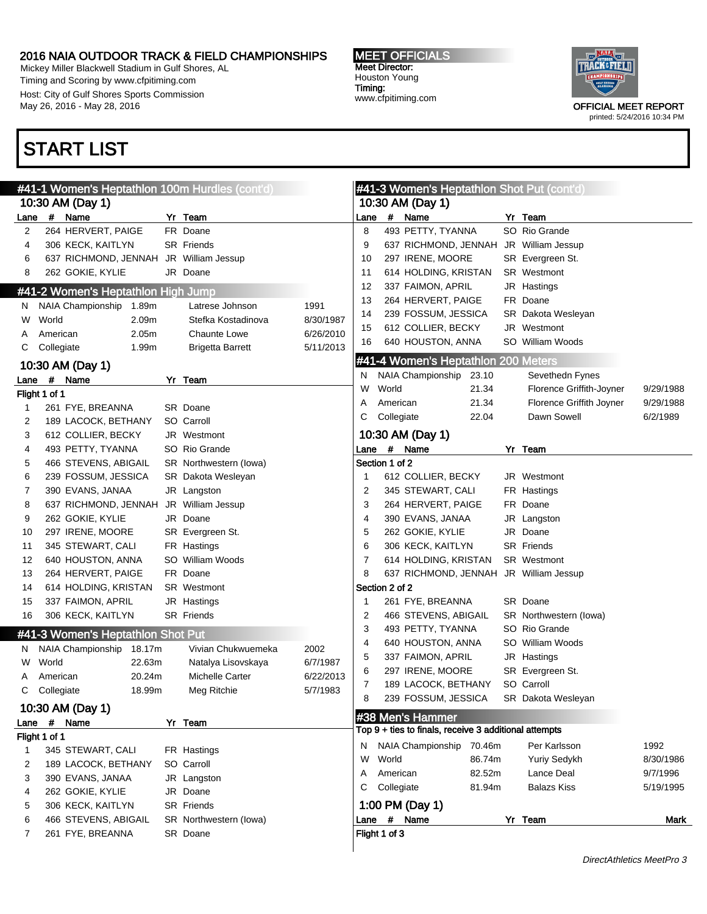Mickey Miller Blackwell Stadium in Gulf Shores, AL Timing and Scoring by www.cfpitiming.com Host: City of Gulf Shores Sports Commission May 26, 2016 - May 28, 2016

### START LIST

#### #41-1 Women's Heptathlon 100m Hurdles (cont'd) 10:30 AM (Day 1) Lane # Name Yr Team 2 264 HERVERT, PAIGE FR Doane 4 306 KECK, KAITLYN SR Friends 6 637 RICHMOND, JENNAH JR William Jessup 8 262 GOKIE, KYLIE JR Doane #41-2 Women's Heptathlon High Jump N NAIA Championship 1.89m Latrese Johnson 1991 W World 2.09m Stefka Kostadinova 8/30/1987 A American 2.05m Chaunte Lowe 6/26/2010 C Collegiate 1.99m Brigetta Barrett 5/11/2013 10:30 AM (Day 1) Lane # Name Yr Team Flight 1 of 1 1 261 FYE, BREANNA SR Doane 2 189 LACOCK, BETHANY SO Carroll 3 612 COLLIER, BECKY JR Westmont 4 493 PETTY, TYANNA SO Rio Grande 5 466 STEVENS, ABIGAIL SR Northwestern (Iowa) 6 239 FOSSUM, JESSICA SR Dakota Wesleyan 7 390 EVANS, JANAA JR Langston 8 637 RICHMOND, JENNAH JR William Jessup 9 262 GOKIE, KYLIE JR Doane 10 297 IRENE, MOORE SR Evergreen St. 11 345 STEWART, CALI FR Hastings 12 640 HOUSTON, ANNA SO William Woods 13 264 HERVERT, PAIGE FR Doane 14 614 HOLDING, KRISTAN SR Westmont 15 337 FAIMON, APRIL JR Hastings 16 306 KECK, KAITLYN SR Friends #41-3 Women's Heptathlon Shot Put N NAIA Championship 18.17m Vivian Chukwuemeka 2002 W World 22.63m Natalya Lisovskaya 6/7/1987 A American 20.24m Michelle Carter 6/22/2013 C Collegiate 18.99m Meg Ritchie 5/7/1983 10:30 AM (Day 1) Lane # Name Yr Team Flight 1 of 1 1 345 STEWART, CALI FR Hastings 2 189 LACOCK, BETHANY SO Carroll 3 390 EVANS, JANAA JR Langston 4 262 GOKIE, KYLIE JR Doane 5 306 KECK, KAITLYN SR Friends 6 466 STEVENS, ABIGAIL SR Northwestern (Iowa) 7 261 FYE, BREANNA SR Doane #41-3 Women's Heptathlon Shot Put (cont'd) 10:30 AM (Day 1) Lane # Name Yr Team 8 493 PETTY, TYANNA SO Rio Grande 9 637 RICHMOND, JENNAH JR William Jessup 10 297 IRENE, MOORE SR Evergreen St. 11 614 HOLDING, KRISTAN SR Westmont 12 337 FAIMON, APRIL JR Hastings 13 264 HERVERT, PAIGE FR Doane 14 239 FOSSUM, JESSICA SR Dakota Wesleyan 15 612 COLLIER, BECKY JR Westmont 16 640 HOUSTON, ANNA SO William Woods #41-4 Women's Heptathlon 200 Meters N NAIA Championship 23.10 Sevethedn Fynes W World 21.34 Florence Griffith-Joyner 9/29/1988 A American 21.34 Florence Griffith Joyner 9/29/1988 C Collegiate 22.04 Dawn Sowell 6/2/1989 10:30 AM (Day 1) Lane # Name Yr Team Section 1 of 2 1 612 COLLIER, BECKY JR Westmont 2 345 STEWART, CALI FR Hastings 3 264 HERVERT, PAIGE FR Doane 4 390 EVANS, JANAA JR Langston 5 262 GOKIE, KYLIE JR Doane 6 306 KECK, KAITLYN SR Friends 7 614 HOLDING, KRISTAN SR Westmont 8 637 RICHMOND, JENNAH JR William Jessup Section 2 of 2 1 261 FYE, BREANNA SR Doane 2 466 STEVENS, ABIGAIL SR Northwestern (Iowa) 3 493 PETTY, TYANNA SO Rio Grande 4 640 HOUSTON, ANNA SO William Woods 5 337 FAIMON, APRIL JR Hastings 6 297 IRENE, MOORE SR Evergreen St. 7 189 LACOCK, BETHANY SO Carroll 8 239 FOSSUM, JESSICA SR Dakota Wesleyan #38 Men's Hammer Top 9 + ties to finals, receive 3 additional attempts N NAIA Championship 70.46m Per Karlsson 1992 W World 86.74m Yuriy Sedykh 8/30/1986 A American 82.52m Lance Deal 9/7/1996 C Collegiate 81.94m Balazs Kiss 5/19/1995 1:00 PM (Day 1) Lane # Name Yr Team Mark Flight 1 of 3

MEET OFFICIALS Meet Director: Houston Young Timing: www.cfpitiming.com

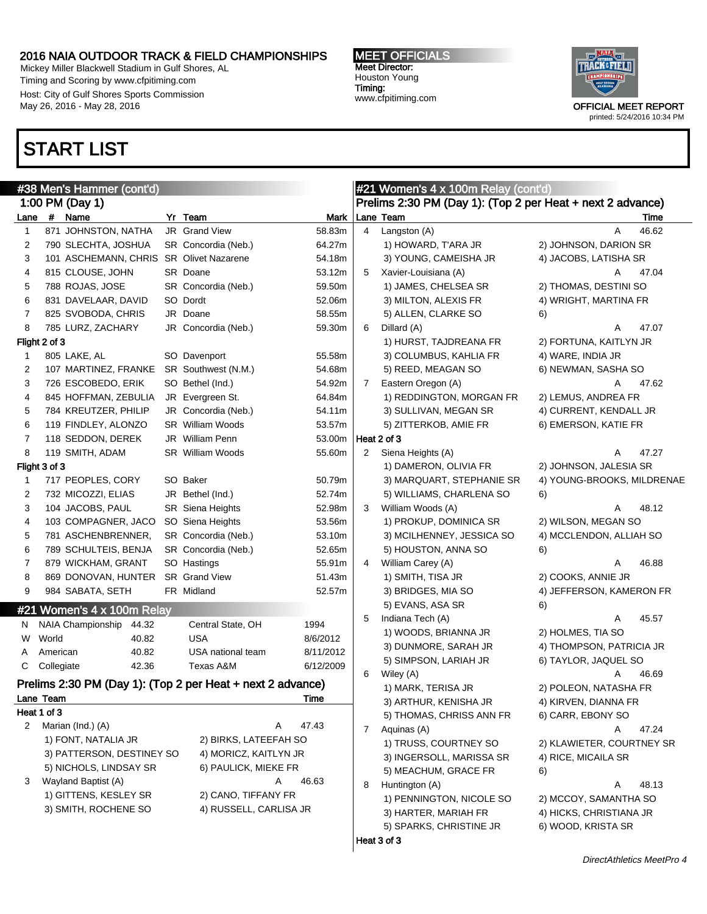Mickey Miller Blackwell Stadium in Gulf Shores, AL Timing and Scoring by www.cfpitiming.com Host: City of Gulf Shores Sports Commission May 26, 2016 - May 28, 2016

### START LIST

#### MEET OFFICIALS Meet Director: Houston Young Timing: www.cfpitiming.com



|                          |            | #38 Men's Hammer (cont'd)  |                                                            |           |                | #21 Women's 4 x 100m Relay (cont'd)                        |                            |       |
|--------------------------|------------|----------------------------|------------------------------------------------------------|-----------|----------------|------------------------------------------------------------|----------------------------|-------|
|                          |            | 1:00 PM (Day 1)            |                                                            |           |                | Prelims 2:30 PM (Day 1): (Top 2 per Heat + next 2 advance) |                            |       |
|                          |            | Lane # Name                | Yr Team                                                    | Mark      |                | Lane Team                                                  |                            | Time  |
| 1                        |            | 871 JOHNSTON, NATHA        | JR Grand View                                              | 58.83m    | $\overline{4}$ | Langston (A)                                               | A                          | 46.62 |
| 2                        |            | 790 SLECHTA, JOSHUA        | SR Concordia (Neb.)                                        | 64.27m    |                | 1) HOWARD, T'ARA JR                                        | 2) JOHNSON, DARION SR      |       |
| 3                        |            | 101 ASCHEMANN, CHRIS       | <b>SR</b> Olivet Nazarene                                  | 54.18m    |                | 3) YOUNG, CAMEISHA JR                                      | 4) JACOBS, LATISHA SR      |       |
| 4                        |            | 815 CLOUSE, JOHN           | SR Doane                                                   | 53.12m    | 5              | Xavier-Louisiana (A)                                       | A                          | 47.04 |
| 5                        |            | 788 ROJAS, JOSE            | SR Concordia (Neb.)                                        | 59.50m    |                | 1) JAMES, CHELSEA SR                                       | 2) THOMAS, DESTINI SO      |       |
| 6                        |            | 831 DAVELAAR, DAVID        | SO Dordt                                                   | 52.06m    |                | 3) MILTON, ALEXIS FR                                       | 4) WRIGHT, MARTINA FR      |       |
| 7                        |            | 825 SVOBODA, CHRIS         | JR Doane                                                   | 58.55m    |                | 5) ALLEN, CLARKE SO                                        | 6)                         |       |
| 8                        |            | 785 LURZ, ZACHARY          | JR Concordia (Neb.)                                        | 59.30m    | 6              | Dillard (A)                                                | A                          | 47.07 |
| Flight 2 of 3            |            |                            |                                                            |           |                | 1) HURST, TAJDREANA FR                                     | 2) FORTUNA, KAITLYN JR     |       |
| 1                        |            | 805 LAKE, AL               | SO Davenport                                               | 55.58m    |                | 3) COLUMBUS, KAHLIA FR                                     | 4) WARE, INDIA JR          |       |
| 2                        |            | 107 MARTINEZ, FRANKE       | SR Southwest (N.M.)                                        | 54.68m    |                | 5) REED, MEAGAN SO                                         | 6) NEWMAN, SASHA SO        |       |
| 3                        |            | 726 ESCOBEDO, ERIK         | SO Bethel (Ind.)                                           | 54.92m    | 7              | Eastern Oregon (A)                                         | Α                          | 47.62 |
| 4                        |            | 845 HOFFMAN, ZEBULIA       | JR Evergreen St.                                           | 64.84m    |                | 1) REDDINGTON, MORGAN FR                                   | 2) LEMUS, ANDREA FR        |       |
| 5                        |            | 784 KREUTZER, PHILIP       | JR Concordia (Neb.)                                        | 54.11m    |                | 3) SULLIVAN, MEGAN SR                                      | 4) CURRENT, KENDALL JR     |       |
| 6                        |            | 119 FINDLEY, ALONZO        | <b>SR</b> William Woods                                    | 53.57m    |                | 5) ZITTERKOB, AMIE FR                                      | 6) EMERSON, KATIE FR       |       |
| 7                        |            | 118 SEDDON, DEREK          | JR William Penn                                            | 53.00m    |                | Heat 2 of 3                                                |                            |       |
| 8                        |            | 119 SMITH, ADAM            | SR William Woods                                           | 55.60m    | 2              | Siena Heights (A)                                          | Α                          | 47.27 |
| Flight 3 of 3            |            |                            |                                                            |           |                | 1) DAMERON, OLIVIA FR                                      | 2) JOHNSON, JALESIA SR     |       |
| 1                        |            | 717 PEOPLES, CORY          | SO Baker                                                   | 50.79m    |                | 3) MARQUART, STEPHANIE SR                                  | 4) YOUNG-BROOKS, MILDRENAE |       |
| 2                        |            | 732 MICOZZI, ELIAS         | JR Bethel (Ind.)                                           | 52.74m    |                | 5) WILLIAMS, CHARLENA SO                                   | 6)                         |       |
| 3                        |            | 104 JACOBS, PAUL           | SR Siena Heights                                           | 52.98m    | 3              | William Woods (A)                                          | Α                          | 48.12 |
| 4                        |            | 103 COMPAGNER, JACO        | SO Siena Heights                                           | 53.56m    |                | 1) PROKUP, DOMINICA SR                                     | 2) WILSON, MEGAN SO        |       |
| 5                        |            | 781 ASCHENBRENNER,         | SR Concordia (Neb.)                                        | 53.10m    |                | 3) MCILHENNEY, JESSICA SO                                  | 4) MCCLENDON, ALLIAH SO    |       |
| 6                        |            | 789 SCHULTEIS, BENJA       | SR Concordia (Neb.)                                        | 52.65m    |                | 5) HOUSTON, ANNA SO                                        | 6)                         |       |
| 7                        |            | 879 WICKHAM, GRANT         | SO Hastings                                                | 55.91m    | 4              | William Carey (A)                                          | Α                          | 46.88 |
| 8                        |            | 869 DONOVAN, HUNTER        | SR Grand View                                              | 51.43m    |                | 1) SMITH, TISA JR                                          | 2) COOKS, ANNIE JR         |       |
| 9                        |            | 984 SABATA, SETH           | FR Midland                                                 | 52.57m    |                | 3) BRIDGES, MIA SO                                         | 4) JEFFERSON, KAMERON FR   |       |
|                          |            | #21 Women's 4 x 100m Relay |                                                            |           |                | 5) EVANS, ASA SR                                           | 6)                         |       |
| N                        |            | NAIA Championship<br>44.32 | Central State, OH                                          | 1994      | 5              | Indiana Tech (A)                                           | Α                          | 45.57 |
| W                        | World      | 40.82                      | <b>USA</b>                                                 | 8/6/2012  |                | 1) WOODS, BRIANNA JR                                       | 2) HOLMES, TIA SO          |       |
| A                        | American   | 40.82                      | USA national team                                          | 8/11/2012 |                | 3) DUNMORE, SARAH JR                                       | 4) THOMPSON, PATRICIA JR   |       |
| C                        | Collegiate | 42.36                      | Texas A&M                                                  | 6/12/2009 |                | 5) SIMPSON, LARIAH JR                                      | 6) TAYLOR, JAQUEL SO       |       |
|                          |            |                            | Prelims 2:30 PM (Day 1): (Top 2 per Heat + next 2 advance) |           | 6              | Wiley (A)                                                  | A                          | 46.69 |
|                          |            |                            |                                                            |           |                | 1) MARK, TERISA JR                                         | 2) POLEON, NATASHA FR      |       |
| Lane Team<br>Heat 1 of 3 |            |                            |                                                            | Time      |                | 3) ARTHUR, KENISHA JR                                      | 4) KIRVEN, DIANNA FR       |       |
| 2                        |            | Marian (Ind.) (A)          | A                                                          | 47.43     |                | 5) THOMAS, CHRISS ANN FR                                   | 6) CARR, EBONY SO          |       |
|                          |            | 1) FONT, NATALIA JR        | 2) BIRKS, LATEEFAH SO                                      |           | $\overline{7}$ | Aquinas (A)                                                | Α                          | 47.24 |
|                          |            | 3) PATTERSON, DESTINEY SO  | 4) MORICZ, KAITLYN JR                                      |           |                | 1) TRUSS, COURTNEY SO                                      | 2) KLAWIETER, COURTNEY SR  |       |
|                          |            | 5) NICHOLS, LINDSAY SR     | 6) PAULICK, MIEKE FR                                       |           |                | 3) INGERSOLL, MARISSA SR                                   | 4) RICE, MICAILA SR        |       |
| 3                        |            | Wayland Baptist (A)        | A                                                          | 46.63     |                | 5) MEACHUM, GRACE FR                                       | 6)                         |       |
|                          |            | 1) GITTENS, KESLEY SR      | 2) CANO, TIFFANY FR                                        |           | 8              | Huntington (A)                                             | Α                          | 48.13 |
|                          |            | 3) SMITH, ROCHENE SO       | 4) RUSSELL, CARLISA JR                                     |           |                | 1) PENNINGTON, NICOLE SO                                   | 2) MCCOY, SAMANTHA SO      |       |
|                          |            |                            |                                                            |           |                | 3) HARTER, MARIAH FR                                       | 4) HICKS, CHRISTIANA JR    |       |
|                          |            |                            |                                                            |           |                | 5) SPARKS, CHRISTINE JR                                    | 6) WOOD, KRISTA SR         |       |
|                          |            |                            |                                                            |           |                | Heat 3 of 3                                                |                            |       |
|                          |            |                            |                                                            |           |                |                                                            |                            |       |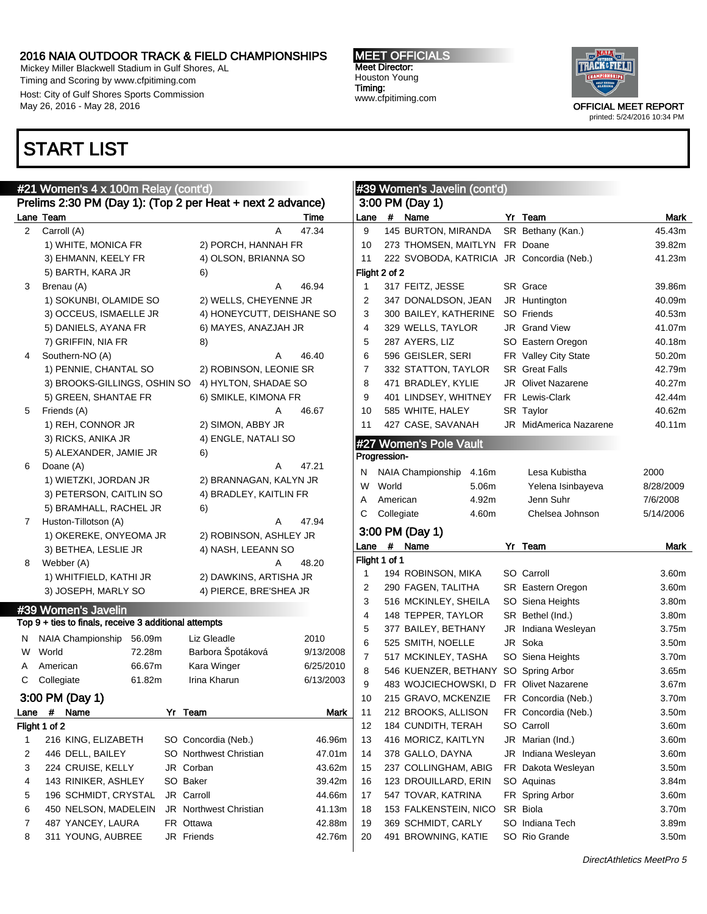Mickey Miller Blackwell Stadium in Gulf Shores, AL Timing and Scoring by www.cfpitiming.com Host: City of Gulf Shores Sports Commission May 26, 2016 - May 28, 2016

### START LIST

#### MEET OFFICIALS Meet Director: Houston Young Timing: www.cfpitiming.com

 $\frac{1}{2}$  women's Javelin (continued) and  $\frac{1}{2}$ 



|                      | #21 Women's 4 x 100m Relay (cont'd)                        |        |                               |                           |      |               | #39 Women's Javelin (cont'd)              |  |                           |                   |  |
|----------------------|------------------------------------------------------------|--------|-------------------------------|---------------------------|------|---------------|-------------------------------------------|--|---------------------------|-------------------|--|
|                      | Prelims 2:30 PM (Day 1): (Top 2 per Heat + next 2 advance) |        |                               |                           |      |               | 3:00 PM (Day 1)                           |  |                           |                   |  |
|                      | Lane Team                                                  |        |                               | Time                      | Lane |               | # Name                                    |  | Yr Team                   | Mark              |  |
| $\mathbf{2}^{\circ}$ | Carroll (A)                                                |        |                               | A<br>47.34                | 9    |               | 145 BURTON, MIRANDA                       |  | SR Bethany (Kan.)         | 45.43m            |  |
|                      | 1) WHITE, MONICA FR                                        |        | 2) PORCH, HANNAH FR           |                           | 10   |               | 273 THOMSEN, MAITLYN FR Doane             |  |                           | 39.82m            |  |
|                      | 3) EHMANN, KEELY FR                                        |        | 4) OLSON, BRIANNA SO          |                           | 11   |               | 222 SVOBODA, KATRICIA JR Concordia (Neb.) |  |                           | 41.23m            |  |
|                      | 5) BARTH, KARA JR                                          |        | 6)                            |                           |      | Flight 2 of 2 |                                           |  |                           |                   |  |
| 3                    | Brenau (A)                                                 |        |                               | 46.94<br>Α                | -1   |               | 317 FEITZ, JESSE                          |  | SR Grace                  | 39.86m            |  |
|                      | 1) SOKUNBI, OLAMIDE SO                                     |        |                               | 2) WELLS, CHEYENNE JR     | 2    |               | 347 DONALDSON, JEAN                       |  | JR Huntington             | 40.09m            |  |
|                      | 3) OCCEUS, ISMAELLE JR                                     |        |                               | 4) HONEYCUTT, DEISHANE SO | 3    |               | 300 BAILEY, KATHERINE                     |  | SO Friends                | 40.53m            |  |
|                      | 5) DANIELS, AYANA FR                                       |        | 6) MAYES, ANAZJAH JR          |                           | 4    |               | 329 WELLS, TAYLOR                         |  | JR Grand View             | 41.07m            |  |
|                      | 7) GRIFFIN, NIA FR                                         |        | 8)                            |                           | 5    |               | 287 AYERS, LIZ                            |  | SO Eastern Oregon         | 40.18m            |  |
| 4                    | Southern-NO (A)                                            |        |                               | 46.40<br>Α                | 6    |               | 596 GEISLER, SERI                         |  | FR Valley City State      | 50.20m            |  |
|                      | 1) PENNIE, CHANTAL SO                                      |        |                               | 2) ROBINSON, LEONIE SR    | 7    |               | 332 STATTON, TAYLOR                       |  | <b>SR</b> Great Falls     | 42.79m            |  |
|                      | 3) BROOKS-GILLINGS, OSHIN SO                               |        | 4) HYLTON, SHADAE SO          |                           | 8    |               | 471 BRADLEY, KYLIE                        |  | <b>JR</b> Olivet Nazarene | 40.27m            |  |
|                      | 5) GREEN, SHANTAE FR                                       |        | 6) SMIKLE, KIMONA FR          |                           | 9    |               | 401 LINDSEY, WHITNEY                      |  | FR Lewis-Clark            | 42.44m            |  |
| 5                    | Friends (A)                                                |        |                               | 46.67<br>Α                | 10   |               | 585 WHITE, HALEY                          |  | SR Taylor                 | 40.62m            |  |
|                      | 1) REH, CONNOR JR                                          |        | 2) SIMON, ABBY JR             |                           | 11   |               | 427 CASE, SAVANAH                         |  | JR MidAmerica Nazarene    | 40.11m            |  |
|                      | 3) RICKS, ANIKA JR                                         |        | 4) ENGLE, NATALI SO           |                           |      |               | #27 Women's Pole Vault                    |  |                           |                   |  |
|                      | 5) ALEXANDER, JAMIE JR                                     |        | 6)                            |                           |      | Progression-  |                                           |  |                           |                   |  |
| 6                    | Doane (A)                                                  |        |                               | 47.21<br>Α                | N    |               | <b>NAIA Championship</b><br>4.16m         |  | Lesa Kubistha             | 2000              |  |
|                      | 1) WIETZKI, JORDAN JR                                      |        |                               | 2) BRANNAGAN, KALYN JR    | W    | World         | 5.06m                                     |  | Yelena Isinbayeva         | 8/28/2009         |  |
|                      | 3) PETERSON, CAITLIN SO                                    |        | 4) BRADLEY, KAITLIN FR        |                           | Α    | American      | 4.92m                                     |  | Jenn Suhr                 | 7/6/2008          |  |
|                      | 5) BRAMHALL, RACHEL JR                                     |        | 6)                            |                           | С    | Collegiate    | 4.60m                                     |  | Chelsea Johnson           | 5/14/2006         |  |
| 7                    | Huston-Tillotson (A)                                       |        |                               | 47.94<br>A                |      |               |                                           |  |                           |                   |  |
|                      | 1) OKEREKE, ONYEOMA JR                                     |        |                               | 2) ROBINSON, ASHLEY JR    |      |               | 3:00 PM (Day 1)                           |  |                           |                   |  |
|                      | 3) BETHEA, LESLIE JR                                       |        | 4) NASH, LEEANN SO            |                           | Lane |               | # Name                                    |  | Yr Team                   | Mark              |  |
| 8                    | Webber (A)                                                 |        |                               | Α<br>48.20                |      | Flight 1 of 1 |                                           |  |                           |                   |  |
|                      | 1) WHITFIELD, KATHI JR                                     |        |                               | 2) DAWKINS, ARTISHA JR    | -1   |               | 194 ROBINSON, MIKA                        |  | SO Carroll                | 3.60m             |  |
|                      | 3) JOSEPH, MARLY SO                                        |        |                               | 4) PIERCE, BRE'SHEA JR    | 2    |               | 290 FAGEN, TALITHA                        |  | SR Eastern Oregon         | 3.60m             |  |
|                      | #39 Women's Javelin                                        |        |                               |                           | 3    |               | 516 MCKINLEY, SHEILA                      |  | SO Siena Heights          | 3.80m             |  |
|                      | Top 9 + ties to finals, receive 3 additional attempts      |        |                               |                           | 4    |               | 148 TEPPER, TAYLOR                        |  | SR Bethel (Ind.)          | 3.80m             |  |
| N                    | NAIA Championship                                          | 56.09m | Liz Gleadle                   | 2010                      | 5    |               | 377 BAILEY, BETHANY                       |  | JR Indiana Wesleyan       | 3.75m             |  |
| W                    | World                                                      | 72.28m | Barbora Špotáková             | 9/13/2008                 | 6    |               | 525 SMITH, NOELLE                         |  | JR Soka                   | 3.50m             |  |
| A                    | American                                                   | 66.67m | Kara Winger                   | 6/25/2010                 | 7    |               | 517 MCKINLEY, TASHA                       |  | SO Siena Heights          | 3.70m             |  |
| С                    | Collegiate                                                 | 61.82m | Irina Kharun                  | 6/13/2003                 | 8    |               | 546 KUENZER, BETHANY                      |  | SO Spring Arbor           | 3.65m             |  |
|                      |                                                            |        |                               |                           | 9    |               | 483 WOJCIECHOWSKI, D                      |  | <b>FR</b> Olivet Nazarene | 3.67m             |  |
|                      | 3:00 PM (Day 1)                                            |        |                               |                           | 10   |               | 215 GRAVO, MCKENZIE                       |  | FR Concordia (Neb.)       | 3.70m             |  |
| Lane                 | #<br>Name                                                  |        | Yr Team                       | Mark                      | 11   |               | 212 BROOKS, ALLISON                       |  | FR Concordia (Neb.)       | 3.50m             |  |
|                      | Flight 1 of 2                                              |        |                               | 46.96m                    | 12   |               | 184 CUNDITH, TERAH                        |  | SO Carroll                | 3.60m             |  |
| 1                    | 216 KING, ELIZABETH                                        |        | SO Concordia (Neb.)           |                           | 13   |               | 416 MORICZ, KAITLYN                       |  | JR Marian (Ind.)          | 3.60m             |  |
| 2                    | 446 DELL, BAILEY                                           |        | SO Northwest Christian        | 47.01m                    | 14   |               | 378 GALLO, DAYNA                          |  | JR Indiana Wesleyan       | 3.60m             |  |
| 3                    | 224 CRUISE, KELLY                                          |        | JR Corban                     | 43.62m                    | 15   |               | 237 COLLINGHAM, ABIG                      |  | FR Dakota Wesleyan        | 3.50m             |  |
| 4                    | 143 RINIKER, ASHLEY                                        |        | SO Baker                      | 39.42m                    | 16   |               | 123 DROUILLARD, ERIN                      |  | SO Aquinas                | 3.84m             |  |
| 5                    | 196 SCHMIDT, CRYSTAL                                       |        | JR Carroll                    | 44.66m                    | 17   |               | 547 TOVAR, KATRINA                        |  | FR Spring Arbor           | 3.60m             |  |
| 6                    | 450 NELSON, MADELEIN                                       |        | <b>JR</b> Northwest Christian | 41.13m                    | 18   |               | 153 FALKENSTEIN, NICO                     |  | SR Biola                  | 3.70m             |  |
| 7                    | 487 YANCEY, LAURA                                          |        | FR Ottawa                     | 42.88m                    | 19   |               | 369 SCHMIDT, CARLY                        |  | SO Indiana Tech           | 3.89m             |  |
| 8                    | 311 YOUNG, AUBREE                                          |        | JR Friends                    | 42.76m                    | 20   |               | 491 BROWNING, KATIE                       |  | SO Rio Grande             | 3.50 <sub>m</sub> |  |
|                      |                                                            |        |                               |                           |      |               |                                           |  |                           |                   |  |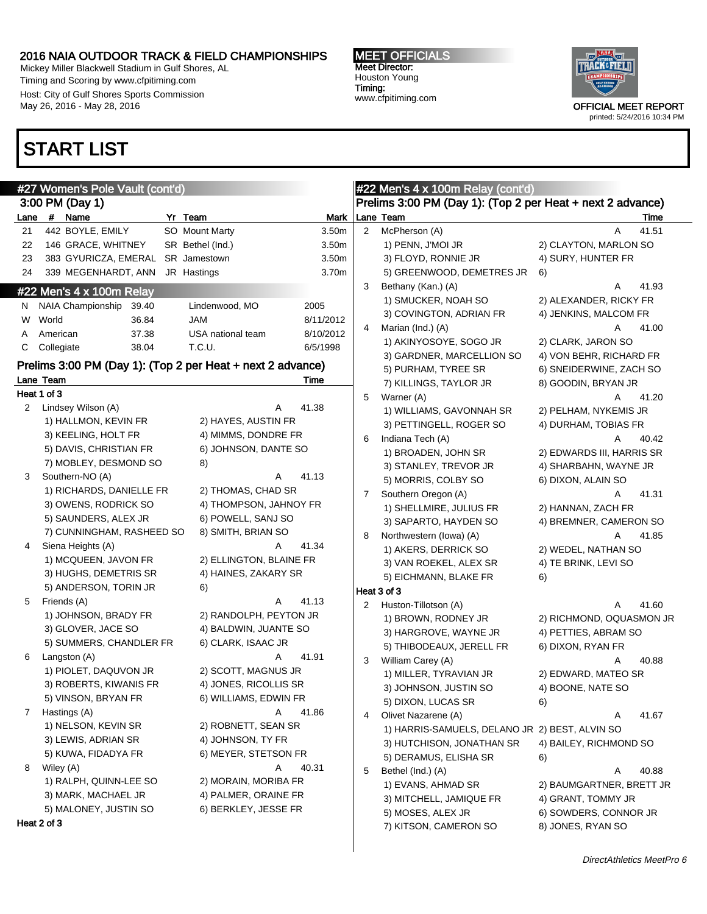$\mathsf{I}$ 

Mickey Miller Blackwell Stadium in Gulf Shores, AL Timing and Scoring by www.cfpitiming.com Host: City of Gulf Shores Sports Commission May 26, 2016 - May 28, 2016

### START LIST

#### MEET OFFICIALS Meet Director: Houston Young Timing: www.cfpitiming.com



|             | #27 Women's Pole Vault (cont'd)                            |                         |           |                | #22 Men's 4 x 100m Relay (cont'd)                          |                           |
|-------------|------------------------------------------------------------|-------------------------|-----------|----------------|------------------------------------------------------------|---------------------------|
|             | 3:00 PM (Day 1)                                            |                         |           |                | Prelims 3:00 PM (Day 1): (Top 2 per Heat + next 2 advance) |                           |
|             | Lane # Name                                                | Yr Team                 | Mark      |                | Lane Team                                                  | Time                      |
| 21          | 442 BOYLE, EMILY                                           | SO Mount Marty          | 3.50m     | $\overline{2}$ | McPherson (A)                                              | 41.51<br>A                |
| 22          | 146 GRACE, WHITNEY                                         | SR Bethel (Ind.)        | 3.50m     |                | 1) PENN, J'MOI JR                                          | 2) CLAYTON, MARLON SO     |
| 23          | 383 GYURICZA, EMERAL SR Jamestown                          |                         | 3.50m     |                | 3) FLOYD, RONNIE JR                                        | 4) SURY, HUNTER FR        |
| 24          | 339 MEGENHARDT, ANN JR Hastings                            |                         | 3.70m     |                | 5) GREENWOOD, DEMETRES JR                                  | 6)                        |
|             | #22 Men's 4 x 100m Relay                                   |                         |           | 3              | Bethany (Kan.) (A)                                         | 41.93<br>Α                |
|             | N NAIA Championship<br>39.40                               | Lindenwood, MO          | 2005      |                | 1) SMUCKER, NOAH SO                                        | 2) ALEXANDER, RICKY FR    |
| W           | World<br>36.84                                             | JAM                     | 8/11/2012 |                | 3) COVINGTON, ADRIAN FR                                    | 4) JENKINS, MALCOM FR     |
| A           | 37.38<br>American                                          | USA national team       | 8/10/2012 | 4              | Marian (Ind.) (A)                                          | 41.00<br>Α                |
| C           | Collegiate<br>38.04                                        | T.C.U.                  | 6/5/1998  |                | 1) AKINYOSOYE, SOGO JR                                     | 2) CLARK, JARON SO        |
|             | Prelims 3:00 PM (Day 1): (Top 2 per Heat + next 2 advance) |                         |           |                | 3) GARDNER, MARCELLION SO                                  | 4) VON BEHR, RICHARD FR   |
|             | Lane Team                                                  |                         | Time      |                | 5) PURHAM, TYREE SR                                        | 6) SNEIDERWINE, ZACH SO   |
|             | Heat 1 of 3                                                |                         |           |                | 7) KILLINGS, TAYLOR JR                                     | 8) GOODIN, BRYAN JR       |
|             | 2 Lindsey Wilson (A)                                       | A                       | 41.38     | 5              | Warner (A)                                                 | 41.20<br>Α                |
|             | 1) HALLMON, KEVIN FR                                       | 2) HAYES, AUSTIN FR     |           |                | 1) WILLIAMS, GAVONNAH SR                                   | 2) PELHAM, NYKEMIS JR     |
|             | 3) KEELING, HOLT FR                                        | 4) MIMMS, DONDRE FR     |           |                | 3) PETTINGELL, ROGER SO                                    | 4) DURHAM, TOBIAS FR      |
|             | 5) DAVIS, CHRISTIAN FR                                     | 6) JOHNSON, DANTE SO    |           | 6              | Indiana Tech (A)                                           | Α<br>40.42                |
|             | 7) MOBLEY, DESMOND SO                                      | 8)                      |           |                | 1) BROADEN, JOHN SR                                        | 2) EDWARDS III, HARRIS SR |
| 3           | Southern-NO (A)                                            | Α                       | 41.13     |                | 3) STANLEY, TREVOR JR                                      | 4) SHARBAHN, WAYNE JR     |
|             | 1) RICHARDS, DANIELLE FR                                   | 2) THOMAS, CHAD SR      |           |                | 5) MORRIS, COLBY SO                                        | 6) DIXON, ALAIN SO        |
|             | 3) OWENS, RODRICK SO                                       | 4) THOMPSON, JAHNOY FR  |           | 7              | Southern Oregon (A)                                        | 41.31<br>Α                |
|             | 5) SAUNDERS, ALEX JR                                       | 6) POWELL, SANJ SO      |           |                | 1) SHELLMIRE, JULIUS FR                                    | 2) HANNAN, ZACH FR        |
|             | 7) CUNNINGHAM, RASHEED SO                                  | 8) SMITH, BRIAN SO      |           |                | 3) SAPARTO, HAYDEN SO                                      | 4) BREMNER, CAMERON SO    |
| 4           | Siena Heights (A)                                          | Α                       | 41.34     | 8              | Northwestern (lowa) (A)                                    | 41.85<br>Α                |
|             | 1) MCQUEEN, JAVON FR                                       | 2) ELLINGTON, BLAINE FR |           |                | 1) AKERS, DERRICK SO                                       | 2) WEDEL, NATHAN SO       |
|             | 3) HUGHS, DEMETRIS SR                                      | 4) HAINES, ZAKARY SR    |           |                | 3) VAN ROEKEL, ALEX SR                                     | 4) TE BRINK, LEVI SO      |
|             | 5) ANDERSON, TORIN JR                                      | 6)                      |           |                | 5) EICHMANN, BLAKE FR                                      | 6)                        |
| 5           | Friends (A)                                                | Α                       | 41.13     |                | Heat 3 of 3                                                |                           |
|             | 1) JOHNSON, BRADY FR                                       | 2) RANDOLPH, PEYTON JR  |           | 2              | Huston-Tillotson (A)                                       | 41.60<br>Α                |
|             | 3) GLOVER, JACE SO                                         | 4) BALDWIN, JUANTE SO   |           |                | 1) BROWN, RODNEY JR                                        | 2) RICHMOND, OQUASMON JR  |
|             | 5) SUMMERS, CHANDLER FR                                    | 6) CLARK, ISAAC JR      |           |                | 3) HARGROVE, WAYNE JR                                      | 4) PETTIES, ABRAM SO      |
| 6           | Langston (A)                                               | Α                       | 41.91     |                | 5) THIBODEAUX, JERELL FR                                   | 6) DIXON, RYAN FR         |
|             | 1) PIOLET, DAQUVON JR                                      | 2) SCOTT, MAGNUS JR     |           | 3              | William Carey (A)                                          | Α<br>40.88                |
|             | 3) ROBERTS, KIWANIS FR                                     | 4) JONES, RICOLLIS SR   |           |                | 1) MILLER, TYRAVIAN JR                                     | 2) EDWARD, MATEO SR       |
|             | 5) VINSON, BRYAN FR                                        | 6) WILLIAMS, EDWIN FR   |           |                | 3) JOHNSON, JUSTIN SO                                      | 4) BOONE, NATE SO         |
| $7^{\circ}$ | Hastings (A)                                               | Α                       | 41.86     |                | 5) DIXON, LUCAS SR                                         | 6)                        |
|             | 1) NELSON, KEVIN SR                                        | 2) ROBNETT, SEAN SR     |           | 4              | Olivet Nazarene (A)                                        | 41.67<br>Α                |
|             | 3) LEWIS, ADRIAN SR                                        | 4) JOHNSON, TY FR       |           |                | 1) HARRIS-SAMUELS, DELANO JR 2) BEST, ALVIN SO             |                           |
|             | 5) KUWA, FIDADYA FR                                        | 6) MEYER, STETSON FR    |           |                | 3) HUTCHISON, JONATHAN SR                                  | 4) BAILEY, RICHMOND SO    |
| 8           | Wiley (A)                                                  | Α                       | 40.31     |                | 5) DERAMUS, ELISHA SR                                      | 6)                        |
|             | 1) RALPH, QUINN-LEE SO                                     | 2) MORAIN, MORIBA FR    |           | 5              | Bethel (Ind.) (A)                                          | 40.88<br>Α                |
|             | 3) MARK, MACHAEL JR                                        | 4) PALMER, ORAINE FR    |           |                | 1) EVANS, AHMAD SR                                         | 2) BAUMGARTNER, BRETT JR  |
|             | 5) MALONEY, JUSTIN SO                                      | 6) BERKLEY, JESSE FR    |           |                | 3) MITCHELL, JAMIQUE FR                                    | 4) GRANT, TOMMY JR        |
|             | Heat 2 of 3                                                |                         |           |                | 5) MOSES, ALEX JR                                          | 6) SOWDERS, CONNOR JR     |
|             |                                                            |                         |           |                | 7) KITSON, CAMERON SO                                      | 8) JONES, RYAN SO         |

# #27 Women's Pole Vault (cont'd) 3:00 PM (Day 1)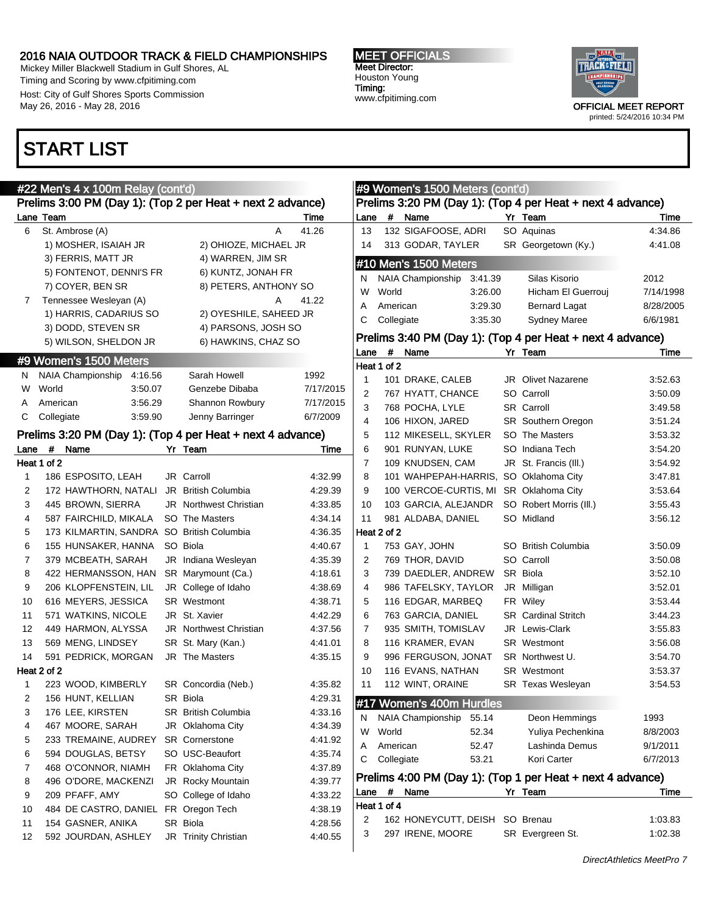Mickey Miller Blackwell Stadium in Gulf Shores, AL Timing and Scoring by www.cfpitiming.com Host: City of Gulf Shores Sports Commission May 26, 2016 - May 28, 2016

### START LIST

#### MEET OFFICIALS Meet Director: Houston Young Timing: www.cfpitiming.com



 $7/14/1998$ 8/28/2005  $6/6/1981$ 

|                | #22 Men's 4 x 100m Relay (cont'd)                          |                               |                    |                |                | #9 Women's 1500 Meters (cont'd)        |                    |                                                            |                      |
|----------------|------------------------------------------------------------|-------------------------------|--------------------|----------------|----------------|----------------------------------------|--------------------|------------------------------------------------------------|----------------------|
|                | Prelims 3:00 PM (Day 1): (Top 2 per Heat + next 2 advance) |                               |                    |                |                |                                        |                    | Prelims 3:20 PM (Day 1): (Top 4 per Heat + next 4 advance) |                      |
|                | Lane Team                                                  |                               | Time               | Lane           | #              | Name                                   |                    | Yr Team                                                    | Time                 |
| 6              | St. Ambrose (A)                                            | A                             | 41.26              | 13             |                | 132 SIGAFOOSE, ADRI                    |                    | SO Aquinas                                                 | 4:34.86              |
|                | 1) MOSHER, ISAIAH JR                                       | 2) OHIOZE, MICHAEL JR         |                    | 14             |                | 313 GODAR, TAYLER                      |                    | SR Georgetown (Ky.)                                        | 4:41.08              |
|                | 3) FERRIS, MATT JR                                         | 4) WARREN, JIM SR             |                    |                |                | #10 Men's 1500 Meters                  |                    |                                                            |                      |
|                | 5) FONTENOT, DENNI'S FR                                    | 6) KUNTZ, JONAH FR            |                    |                |                |                                        |                    | Silas Kisorio                                              | 2012                 |
|                | 7) COYER, BEN SR                                           | 8) PETERS, ANTHONY SO         |                    | N.<br>W        | World          | NAIA Championship                      | 3:41.39<br>3:26.00 | Hicham El Guerrouj                                         | 7/14/199             |
| 7              | Tennessee Wesleyan (A)                                     | Α                             | 41.22              |                |                |                                        |                    |                                                            |                      |
|                | 1) HARRIS, CADARIUS SO                                     | 2) OYESHILE, SAHEED JR        |                    | A              | American       |                                        | 3:29.30            | <b>Bernard Lagat</b>                                       | 8/28/200<br>6/6/1981 |
|                | 3) DODD, STEVEN SR                                         | 4) PARSONS, JOSH SO           |                    | С              | Collegiate     |                                        | 3:35.30            | <b>Sydney Maree</b>                                        |                      |
|                | 5) WILSON, SHELDON JR                                      | 6) HAWKINS, CHAZ SO           |                    |                |                |                                        |                    | Prelims 3:40 PM (Day 1): (Top 4 per Heat + next 4 advance) |                      |
|                | #9 Women's 1500 Meters                                     |                               |                    | Lane           |                | # Name                                 |                    | Yr Team                                                    | Time                 |
|                |                                                            | Sarah Howell                  | 1992               |                | Heat 1 of 2    |                                        |                    |                                                            |                      |
| N.             | NAIA Championship 4:16.56                                  |                               |                    | -1             |                | 101 DRAKE, CALEB                       |                    | <b>JR</b> Olivet Nazarene                                  | 3:52.63              |
| W              | World<br>3:50.07                                           | Genzebe Dibaba                | 7/17/2015          | $\overline{2}$ |                | 767 HYATT, CHANCE                      |                    | SO Carroll                                                 | 3:50.09              |
| A              | 3:56.29<br>American                                        | Shannon Rowbury               | 7/17/2015          | 3              |                | 768 POCHA, LYLE                        |                    | <b>SR</b> Carroll                                          | 3:49.58              |
| С              | Collegiate<br>3:59.90                                      | Jenny Barringer               | 6/7/2009           | $\overline{4}$ |                | 106 HIXON, JARED                       |                    | SR Southern Oregon                                         | 3:51.24              |
|                | Prelims 3:20 PM (Day 1): (Top 4 per Heat + next 4 advance) |                               |                    | 5              |                | 112 MIKESELL, SKYLER                   |                    | SO The Masters                                             | 3:53.32              |
| Lane           | # Name<br>Yr Team                                          |                               | Time               | 6              |                | 901 RUNYAN, LUKE                       |                    | SO Indiana Tech                                            | 3:54.20              |
|                | Heat 1 of 2                                                |                               |                    | $\overline{7}$ |                | 109 KNUDSEN, CAM                       |                    | JR St. Francis (III.)                                      | 3:54.92              |
| 1              | JR Carroll<br>186 ESPOSITO, LEAH                           |                               | 4:32.99            | 8              |                | 101 WAHPEPAH-HARRIS, SO Oklahoma City  |                    |                                                            | 3:47.81              |
| 2              | 172 HAWTHORN, NATALI                                       | JR British Columbia           | 4:29.39            | 9              |                | 100 VERCOE-CURTIS, MI SR Oklahoma City |                    |                                                            | 3:53.64              |
| 3              | 445 BROWN, SIERRA                                          | <b>JR</b> Northwest Christian | 4:33.85            | 10             |                | 103 GARCIA, ALEJANDR                   |                    | SO Robert Morris (III.)                                    | 3:55.43              |
| 4              | 587 FAIRCHILD, MIKALA                                      | SO The Masters                | 4:34.14            | 11             |                | 981 ALDABA, DANIEL                     |                    | SO Midland                                                 | 3:56.12              |
| 5              | 173 KILMARTIN, SANDRA SO British Columbia                  |                               | 4:36.35            |                | Heat 2 of 2    |                                        |                    |                                                            |                      |
| 6              | SO Biola<br>155 HUNSAKER, HANNA                            |                               | 4:40.67            | 1              |                | 753 GAY, JOHN                          |                    | SO British Columbia                                        | 3:50.09              |
| $\overline{7}$ | 379 MCBEATH, SARAH                                         | JR Indiana Wesleyan           | 4:35.39            | 2              |                | 769 THOR, DAVID                        |                    | SO Carroll                                                 | 3:50.08              |
| 8              | 422 HERMANSSON, HAN                                        | SR Marymount (Ca.)            | 4:18.61            | 3              |                | 739 DAEDLER, ANDREW                    |                    | SR Biola                                                   | 3:52.10              |
| 9              | 206 KLOPFENSTEIN, LIL                                      | JR College of Idaho           | 4:38.69            | $\overline{4}$ |                | 986 TAFELSKY, TAYLOR                   |                    | JR Milligan                                                | 3:52.01              |
| 10             | 616 MEYERS, JESSICA                                        | <b>SR</b> Westmont            | 4:38.71            | 5              |                | 116 EDGAR, MARBEQ                      |                    | FR Wiley                                                   | 3:53.44              |
| 11             | 571 WATKINS, NICOLE<br>JR St. Xavier                       |                               | 4:42.29            | 6              |                | 763 GARCIA, DANIEL                     |                    | <b>SR</b> Cardinal Stritch                                 | 3:44.23              |
| 12             | 449 HARMON, ALYSSA                                         | <b>JR</b> Northwest Christian | 4:37.56            | $\overline{7}$ |                | 935 SMITH, TOMISLAV                    |                    | JR Lewis-Clark                                             | 3:55.83              |
| 13             | 569 MENG, LINDSEY                                          | SR St. Mary (Kan.)            | 4:41.01            | 8              |                | 116 KRAMER, EVAN                       |                    | SR Westmont                                                | 3:56.08              |
| 14             | 591 PEDRICK, MORGAN                                        | JR The Masters                | 4:35.15            | 9              |                | 996 FERGUSON, JONAT                    |                    | SR Northwest U.                                            | 3:54.70              |
|                | Heat 2 of 2                                                |                               |                    | 10             |                | 116 EVANS, NATHAN                      |                    | SR Westmont                                                | 3:53.37              |
| -1             | 223 WOOD, KIMBERLY                                         | SR Concordia (Neb.)           | 4:35.82            | 11             |                | 112 WINT, ORAINE                       |                    | SR Texas Wesleyan                                          | 3:54.53              |
|                | 156 HUNT, KELLIAN<br>SR Biola                              |                               | 4:29.31            |                |                |                                        |                    |                                                            |                      |
| 3              | 176 LEE, KIRSTEN                                           | <b>SR</b> British Columbia    | 4:33.16            |                |                | #17 Women's 400m Hurdles               |                    |                                                            |                      |
| 4              | 467 MOORE, SARAH                                           | JR Oklahoma City              | 4:34.39            | N.             |                | NAIA Championship                      | 55.14              | Deon Hemmings                                              | 1993                 |
| 5              | 233 TREMAINE, AUDREY                                       | <b>SR</b> Cornerstone         | 4:41.92            | W              | World          |                                        | 52.34              | Yuliya Pechenkina                                          | 8/8/2003             |
| 6              | 594 DOUGLAS, BETSY                                         | SO USC-Beaufort               | 4:35.74            | A              | American       |                                        | 52.47              | Lashinda Demus                                             | 9/1/2011             |
| 7              | 468 O'CONNOR, NIAMH                                        | FR Oklahoma City              | 4:37.89            | С              | Collegiate     |                                        | 53.21              | Kori Carter                                                | 6/7/2013             |
|                |                                                            |                               |                    |                |                |                                        |                    | Prelims 4:00 PM (Day 1): (Top 1 per Heat + next 4 advance) |                      |
| 8              | 496 O'DORE, MACKENZI                                       | JR Rocky Mountain             | 4:39.77            | Lane           | $\overline{t}$ | Name                                   |                    | Yr Team                                                    | Time                 |
| 9              | 209 PFAFF, AMY                                             | SO College of Idaho           | 4:33.22<br>4:38.19 |                | Heat 1 of 4    |                                        |                    |                                                            |                      |
| 10             | 484 DE CASTRO, DANIEL FR Oregon Tech                       |                               |                    | 2              |                | 162 HONEYCUTT, DEISH SO Brenau         |                    |                                                            | 1:03.83              |
| 11             | SR Biola<br>154 GASNER, ANIKA                              |                               | 4:28.56            | 3              |                | 297 IRENE, MOORE                       |                    | SR Evergreen St.                                           | 1:02.38              |
| 12             | 592 JOURDAN, ASHLEY                                        | JR Trinity Christian          | 4:40.55            |                |                |                                        |                    |                                                            |                      |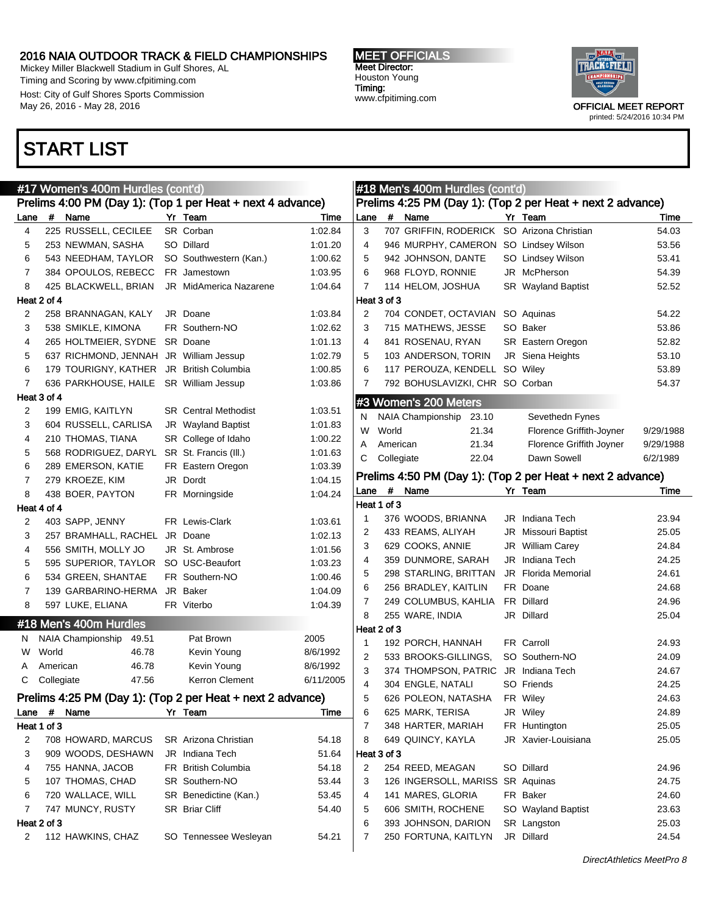Mickey Miller Blackwell Stadium in Gulf Shores, AL Timing and Scoring by www.cfpitiming.com Host: City of Gulf Shores Sports Commission May 26, 2016 - May 28, 2016

### START LIST



|             |             | #17 Women's 400m Hurdles (cont'd)          |                                                            |           | #18 Men's 400m Hurdles (cont'd) |            |                                            |  |                                                            |           |
|-------------|-------------|--------------------------------------------|------------------------------------------------------------|-----------|---------------------------------|------------|--------------------------------------------|--|------------------------------------------------------------|-----------|
|             |             |                                            | Prelims 4:00 PM (Day 1): (Top 1 per Heat + next 4 advance) |           |                                 |            |                                            |  | Prelims 4:25 PM (Day 1): (Top 2 per Heat + next 2 advance) |           |
| Lane        |             | # Name                                     | Yr Team                                                    | Time      | Lane                            | #          | Name                                       |  | Yr Team                                                    | Time      |
| 4           |             | 225 RUSSELL, CECILEE                       | SR Corban                                                  | 1:02.84   | 3                               |            | 707 GRIFFIN, RODERICK SO Arizona Christian |  |                                                            | 54.03     |
| 5           |             | 253 NEWMAN, SASHA                          | SO Dillard                                                 | 1:01.20   | 4                               |            | 946 MURPHY, CAMERON SO Lindsey Wilson      |  |                                                            | 53.56     |
| 6           |             | 543 NEEDHAM, TAYLOR                        | SO Southwestern (Kan.)                                     | 1:00.62   | 5                               |            | 942 JOHNSON, DANTE                         |  | SO Lindsey Wilson                                          | 53.41     |
| 7           |             | 384 OPOULOS, REBECC                        | FR Jamestown                                               | 1:03.95   | 6                               |            | 968 FLOYD, RONNIE                          |  | JR McPherson                                               | 54.39     |
| 8           |             | 425 BLACKWELL, BRIAN                       | JR MidAmerica Nazarene                                     | 1:04.64   | 7                               |            | 114 HELOM, JOSHUA                          |  | SR Wayland Baptist                                         | 52.52     |
| Heat 2 of 4 |             |                                            |                                                            |           | Heat 3 of 3                     |            |                                            |  |                                                            |           |
| 2           |             | 258 BRANNAGAN, KALY                        | JR Doane                                                   | 1:03.84   | 2                               |            | 704 CONDET, OCTAVIAN SO Aquinas            |  |                                                            | 54.22     |
| 3           |             | 538 SMIKLE, KIMONA                         | FR Southern-NO                                             | 1:02.62   | 3                               |            | 715 MATHEWS, JESSE                         |  | SO Baker                                                   | 53.86     |
| 4           |             | 265 HOLTMEIER, SYDNE SR Doane              |                                                            | 1:01.13   | 4                               |            | 841 ROSENAU, RYAN                          |  | SR Eastern Oregon                                          | 52.82     |
| 5           |             | 637 RICHMOND, JENNAH JR William Jessup     |                                                            | 1:02.79   | 5                               |            | 103 ANDERSON, TORIN                        |  | JR Siena Heights                                           | 53.10     |
| 6           |             | 179 TOURIGNY, KATHER JR British Columbia   |                                                            | 1:00.85   | 6                               |            | 117 PEROUZA, KENDELL SO Wiley              |  |                                                            | 53.89     |
| 7           |             | 636 PARKHOUSE, HAILE SR William Jessup     |                                                            | 1:03.86   | 7                               |            | 792 BOHUSLAVIZKI, CHR SO Corban            |  |                                                            | 54.37     |
|             | Heat 3 of 4 |                                            |                                                            |           |                                 |            | #3 Women's 200 Meters                      |  |                                                            |           |
| 2           |             | 199 EMIG, KAITLYN                          | <b>SR</b> Central Methodist                                | 1:03.51   | N                               |            | NAIA Championship 23.10                    |  | Sevethedn Fynes                                            |           |
| 3           |             | 604 RUSSELL, CARLISA                       | JR Wayland Baptist                                         | 1:01.83   | W                               | World      | 21.34                                      |  | Florence Griffith-Joyner                                   | 9/29/1988 |
| 4           |             | 210 THOMAS, TIANA                          | SR College of Idaho                                        | 1:00.22   | A                               | American   | 21.34                                      |  | Florence Griffith Joyner                                   | 9/29/1988 |
| 5           |             | 568 RODRIGUEZ, DARYL SR St. Francis (III.) |                                                            | 1:01.63   | С                               | Collegiate | 22.04                                      |  | Dawn Sowell                                                | 6/2/1989  |
| 6           |             | 289 EMERSON, KATIE                         | FR Eastern Oregon                                          | 1:03.39   |                                 |            |                                            |  |                                                            |           |
| 7           |             | 279 KROEZE, KIM                            | JR Dordt                                                   | 1:04.15   |                                 |            |                                            |  | Prelims 4:50 PM (Day 1): (Top 2 per Heat + next 2 advance) |           |
| 8           |             | 438 BOER, PAYTON                           | FR Morningside                                             | 1:04.24   |                                 |            | Lane # Name                                |  | Yr Team                                                    | Time      |
|             | Heat 4 of 4 |                                            |                                                            |           | Heat 1 of 3                     |            |                                            |  |                                                            |           |
| 2           |             | 403 SAPP, JENNY                            | FR Lewis-Clark                                             | 1:03.61   | -1                              |            | 376 WOODS, BRIANNA                         |  | JR Indiana Tech                                            | 23.94     |
| 3           |             | 257 BRAMHALL, RACHEL JR Doane              |                                                            | 1:02.13   | 2                               |            | 433 REAMS, ALIYAH                          |  | <b>JR</b> Missouri Baptist                                 | 25.05     |
| 4           |             | 556 SMITH, MOLLY JO                        | JR St. Ambrose                                             | 1:01.56   | 3                               |            | 629 COOKS, ANNIE                           |  | <b>JR</b> William Carey                                    | 24.84     |
| 5           |             | 595 SUPERIOR, TAYLOR SO USC-Beaufort       |                                                            | 1:03.23   | 4                               |            | 359 DUNMORE, SARAH                         |  | JR Indiana Tech                                            | 24.25     |
| 6           |             | 534 GREEN, SHANTAE                         | FR Southern-NO                                             | 1:00.46   | 5                               |            | 298 STARLING, BRITTAN                      |  | <b>JR</b> Florida Memorial                                 | 24.61     |
| 7           |             | 139 GARBARINO-HERMA JR Baker               |                                                            | 1:04.09   | 6                               |            | 256 BRADLEY, KAITLIN                       |  | FR Doane                                                   | 24.68     |
| 8           |             | 597 LUKE, ELIANA                           | FR Viterbo                                                 | 1:04.39   | 7                               |            | 249 COLUMBUS, KAHLIA                       |  | FR Dillard                                                 | 24.96     |
|             |             | #18 Men's 400m Hurdles                     |                                                            |           | 8                               |            | 255 WARE, INDIA                            |  | JR Dillard                                                 | 25.04     |
|             |             | NAIA Championship<br>49.51                 | Pat Brown                                                  | 2005      | Heat 2 of 3                     |            |                                            |  |                                                            |           |
| N.<br>W     | World       | 46.78                                      | Kevin Young                                                | 8/6/1992  | -1                              |            | 192 PORCH, HANNAH                          |  | FR Carroll                                                 | 24.93     |
| A           | American    | 46.78                                      | Kevin Young                                                | 8/6/1992  | 2                               |            | 533 BROOKS-GILLINGS,                       |  | SO Southern-NO                                             | 24.09     |
| С           | Collegiate  | 47.56                                      | Kerron Clement                                             | 6/11/2005 | 3                               |            | 374 THOMPSON, PATRIC JR Indiana Tech       |  |                                                            | 24.67     |
|             |             |                                            |                                                            |           | 4                               |            | 304 ENGLE, NATALI                          |  | SO Friends                                                 | 24.25     |
|             |             |                                            | Prelims 4:25 PM (Day 1): (Top 2 per Heat + next 2 advance) |           | 5                               |            | 626 POLEON, NATASHA                        |  | FR Wiley                                                   | 24.63     |
| Lane        | #           | Name                                       | Yr Team                                                    | Time      | 6                               |            | 625 MARK, TERISA                           |  | JR Wiley                                                   | 24.89     |
| Heat 1 of 3 |             |                                            |                                                            |           | 7                               |            | 348 HARTER, MARIAH                         |  | FR Huntington                                              | 25.05     |
| 2           |             | 708 HOWARD, MARCUS                         | SR Arizona Christian                                       | 54.18     | 8                               |            | 649 QUINCY, KAYLA                          |  | JR Xavier-Louisiana                                        | 25.05     |
| 3           |             | 909 WOODS, DESHAWN                         | JR Indiana Tech                                            | 51.64     | Heat 3 of 3                     |            |                                            |  |                                                            |           |
| 4           |             | 755 HANNA, JACOB                           | FR British Columbia                                        | 54.18     | $\overline{2}$                  |            | 254 REED, MEAGAN                           |  | SO Dillard                                                 | 24.96     |
| 5           |             | 107 THOMAS, CHAD                           | SR Southern-NO                                             | 53.44     | 3                               |            | 126 INGERSOLL, MARISS SR Aquinas           |  |                                                            | 24.75     |
| 6           |             | 720 WALLACE, WILL                          | SR Benedictine (Kan.)                                      | 53.45     | 4                               |            | 141 MARES, GLORIA                          |  | FR Baker                                                   | 24.60     |
| 7           |             | 747 MUNCY, RUSTY                           | SR Briar Cliff                                             | 54.40     | 5                               |            | 606 SMITH, ROCHENE                         |  | SO Wayland Baptist                                         | 23.63     |
| Heat 2 of 3 |             |                                            |                                                            |           | 6                               |            | 393 JOHNSON, DARION                        |  | SR Langston                                                | 25.03     |
| 2           |             | 112 HAWKINS, CHAZ                          | SO Tennessee Wesleyan                                      | 54.21     | 7                               |            | 250 FORTUNA, KAITLYN                       |  | JR Dillard                                                 | 24.54     |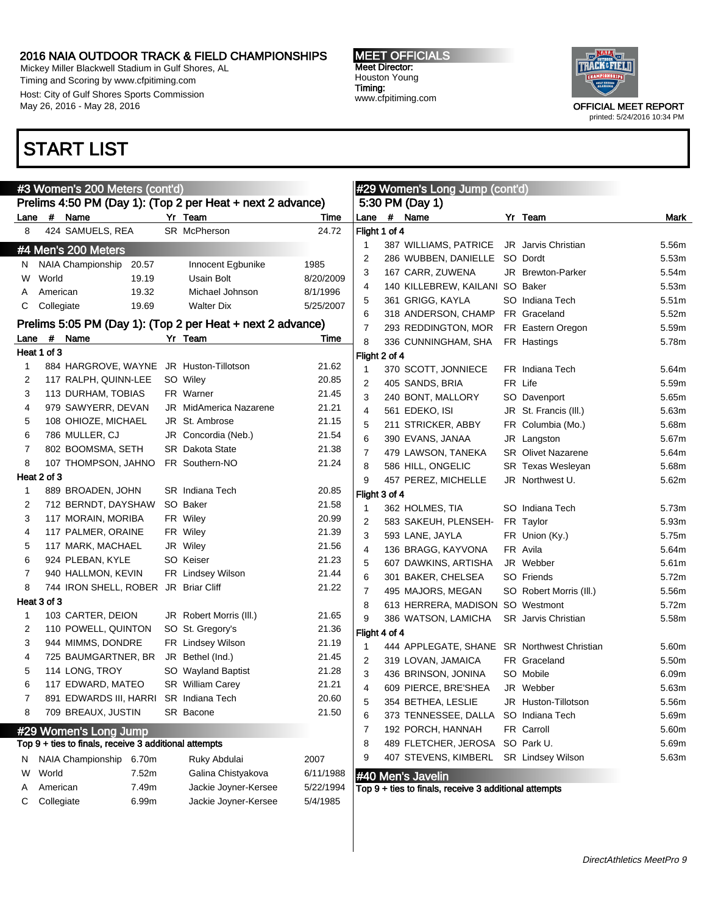Mickey Miller Blackwell Stadium in Gulf Shores, AL Timing and Scoring by www.cfpitiming.com Host: City of Gulf Shores Sports Commission May 26, 2016 - May 28, 2016

### START LIST

#### MEET OFFICIALS Meet Director: Houston Young Timing: www.cfpitiming.com



|        |             | #3 Women's 200 Meters (cont'd)                        |       |                                                            |                |               | #29 Women's Long Jump (cont'd)                        |                            |       |
|--------|-------------|-------------------------------------------------------|-------|------------------------------------------------------------|----------------|---------------|-------------------------------------------------------|----------------------------|-------|
|        |             |                                                       |       | Prelims 4:50 PM (Day 1): (Top 2 per Heat + next 2 advance) |                |               | 5:30 PM (Day 1)                                       |                            |       |
| Lane   |             | # Name                                                |       | Yr Team                                                    | Time           | Lane          | # Name                                                | Yr Team                    | Mark  |
| 8      |             | 424 SAMUELS, REA                                      |       | SR McPherson                                               | 24.72          | Flight 1 of 4 |                                                       |                            |       |
|        |             | #4 Men's 200 Meters                                   |       |                                                            |                |               | 387 WILLIAMS, PATRICE                                 | JR Jarvis Christian        | 5.56m |
| N.     |             | NAIA Championship                                     | 20.57 | Innocent Egbunike                                          | 1985           | 2             | 286 WUBBEN, DANIELLE                                  | SO Dordt                   | 5.53m |
| W      | World       |                                                       | 19.19 | Usain Bolt                                                 | 8/20/2009      | 3             | 167 CARR, ZUWENA                                      | JR Brewton-Parker          | 5.54m |
| A      | American    |                                                       | 19.32 | Michael Johnson                                            | 8/1/1996       | 4             | 140 KILLEBREW, KAILANI SO Baker                       |                            | 5.53m |
| С      | Collegiate  |                                                       | 19.69 | <b>Walter Dix</b>                                          | 5/25/2007      | 5             | 361 GRIGG, KAYLA                                      | SO Indiana Tech            | 5.51m |
|        |             |                                                       |       |                                                            |                | 6             | 318 ANDERSON, CHAMP                                   | FR Graceland               | 5.52m |
|        |             |                                                       |       | Prelims 5:05 PM (Day 1): (Top 2 per Heat + next 2 advance) |                | 7             | 293 REDDINGTON, MOR                                   | FR Eastern Oregon          | 5.59m |
| Lane   | #           | Name                                                  |       | Yr Team                                                    | Time           | 8             | 336 CUNNINGHAM, SHA                                   | FR Hastings                | 5.78m |
|        | Heat 1 of 3 |                                                       |       |                                                            |                | Flight 2 of 4 |                                                       |                            |       |
| 1      |             |                                                       |       | 884 HARGROVE, WAYNE JR Huston-Tillotson                    | 21.62          | 1             | 370 SCOTT, JONNIECE                                   | FR Indiana Tech            | 5.64m |
| 2      |             | 117 RALPH, QUINN-LEE                                  |       | SO Wiley                                                   | 20.85          | 2             | 405 SANDS, BRIA                                       | FR Life                    | 5.59m |
| 3      |             | 113 DURHAM, TOBIAS                                    |       | FR Warner<br><b>JR</b> MidAmerica Nazarene                 | 21.45          | 3             | 240 BONT, MALLORY                                     | SO Davenport               | 5.65m |
| 4      |             | 979 SAWYERR, DEVAN                                    |       | JR St. Ambrose                                             | 21.21          | 4             | 561 EDEKO, ISI                                        | JR St. Francis (III.)      | 5.63m |
| 5<br>6 |             | 108 OHIOZE, MICHAEL<br>786 MULLER, CJ                 |       | JR Concordia (Neb.)                                        | 21.15          | 5             | 211 STRICKER, ABBY                                    | FR Columbia (Mo.)          | 5.68m |
|        |             |                                                       |       |                                                            | 21.54          | 6             | 390 EVANS, JANAA                                      | JR Langston                | 5.67m |
| 7<br>8 |             | 802 BOOMSMA, SETH                                     |       | <b>SR</b> Dakota State                                     | 21.38          | 7             | 479 LAWSON, TANEKA                                    | <b>SR</b> Olivet Nazarene  | 5.64m |
|        | Heat 2 of 3 | 107 THOMPSON, JAHNO                                   |       | FR Southern-NO                                             | 21.24          | 8             | 586 HILL, ONGELIC                                     | SR Texas Wesleyan          | 5.68m |
| 1      |             | 889 BROADEN, JOHN                                     |       | <b>SR</b> Indiana Tech                                     | 20.85          | 9             | 457 PEREZ, MICHELLE                                   | JR Northwest U.            | 5.62m |
|        |             |                                                       |       | SO Baker                                                   |                | Flight 3 of 4 |                                                       |                            |       |
| 2      |             | 712 BERNDT, DAYSHAW                                   |       |                                                            | 21.58          | 1             | 362 HOLMES, TIA                                       | SO Indiana Tech            | 5.73m |
| 3      |             | 117 MORAIN, MORIBA                                    |       | FR Wiley                                                   | 20.99          | 2             | 583 SAKEUH, PLENSEH-                                  | FR Taylor                  | 5.93m |
| 4      |             | 117 PALMER, ORAINE                                    |       | FR Wiley                                                   | 21.39          | 3             | 593 LANE, JAYLA                                       | FR Union (Ky.)             | 5.75m |
| 5<br>6 |             | 117 MARK, MACHAEL<br>924 PLEBAN, KYLE                 |       | JR Wiley<br>SO Keiser                                      | 21.56<br>21.23 | 4             | 136 BRAGG, KAYVONA                                    | FR Avila                   | 5.64m |
| 7      |             | 940 HALLMON, KEVIN                                    |       | FR Lindsey Wilson                                          | 21.44          | 5             | 607 DAWKINS, ARTISHA                                  | JR Webber                  | 5.61m |
| 8      |             | 744 IRON SHELL, ROBER JR Briar Cliff                  |       |                                                            | 21.22          | 6             | 301 BAKER, CHELSEA                                    | SO Friends                 | 5.72m |
|        | Heat 3 of 3 |                                                       |       |                                                            |                | 7             | 495 MAJORS, MEGAN                                     | SO Robert Morris (III.)    | 5.56m |
| 1      |             | 103 CARTER, DEION                                     |       | JR Robert Morris (III.)                                    | 21.65          | 8             | 613 HERRERA, MADISON SO Westmont                      |                            | 5.72m |
| 2      |             | 110 POWELL, QUINTON                                   |       | SO St. Gregory's                                           | 21.36          | 9             | 386 WATSON, LAMICHA                                   | <b>SR</b> Jarvis Christian | 5.58m |
| 3      |             | 944 MIMMS, DONDRE                                     |       | FR Lindsey Wilson                                          | 21.19          | Flight 4 of 4 |                                                       |                            |       |
| 4      |             | 725 BAUMGARTNER, BR                                   |       | JR Bethel (Ind.)                                           | 21.45          | 1             | 444 APPLEGATE, SHANE SR Northwest Christian           |                            | 5.60m |
| 5      |             | 114 LONG, TROY                                        |       | SO Wayland Baptist                                         | 21.28          | 2             | 319 LOVAN, JAMAICA                                    | FR Graceland               | 5.50m |
| 6      |             | 117 EDWARD, MATEO                                     |       | <b>SR</b> William Carey                                    | 21.21          | 3             | 436 BRINSON, JONINA                                   | SO Mobile                  | 6.09m |
|        |             | 891 EDWARDS III, HARRI SR Indiana Tech                |       |                                                            | 20.60          | 4             | 609 PIERCE, BRE'SHEA                                  | JR Webber                  | 5.63m |
| 8      |             | 709 BREAUX, JUSTIN                                    |       | SR Bacone                                                  | 21.50          | 5             | 354 BETHEA, LESLIE                                    | JR Huston-Tillotson        | 5.56m |
|        |             |                                                       |       |                                                            |                | 6             | 373 TENNESSEE, DALLA                                  | SO Indiana Tech            | 5.69m |
|        |             | #29 Women's Long Jump                                 |       |                                                            |                | 7             | 192 PORCH, HANNAH                                     | FR Carroll                 | 5.60m |
|        |             | Top 9 + ties to finals, receive 3 additional attempts |       |                                                            |                | 8             | 489 FLETCHER, JEROSA SO Park U.                       |                            | 5.69m |
| N.     |             | NAIA Championship 6.70m                               |       | Ruky Abdulai                                               | 2007           | 9             | 407 STEVENS, KIMBERL                                  | <b>SR</b> Lindsey Wilson   | 5.63m |
| W      | World       |                                                       | 7.52m | Galina Chistyakova                                         | 6/11/1988      |               | #40 Men's Javelin                                     |                            |       |
| A      | American    |                                                       | 7.49m | Jackie Joyner-Kersee                                       | 5/22/1994      |               | Top 9 + ties to finals, receive 3 additional attempts |                            |       |
| С      | Collegiate  |                                                       | 6.99m | Jackie Joyner-Kersee                                       | 5/4/1985       |               |                                                       |                            |       |
|        |             |                                                       |       |                                                            |                |               |                                                       |                            |       |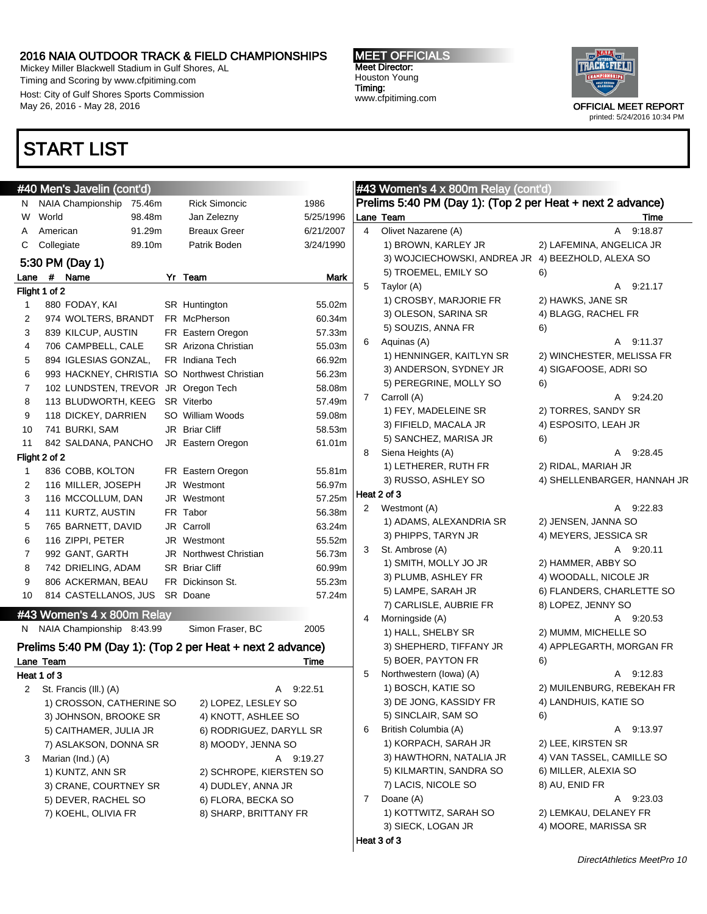Mickey Miller Blackwell Stadium in Gulf Shores, AL Timing and Scoring by www.cfpitiming.com Host: City of Gulf Shores Sports Commission May 26, 2016 - May 28, 2016

### START LIST

## #40 Men's Javelin (cont'd)

| N              | NAIA Championship                   | 75.46m | <b>Rick Simoncic</b>                         | 1986        |
|----------------|-------------------------------------|--------|----------------------------------------------|-------------|
| W              | World                               | 98.48m | Jan Zelezny                                  | 5/25/1996   |
| A              | American                            | 91.29m | <b>Breaux Greer</b>                          | 6/21/2007   |
| C              | 89.10m<br>Collegiate                |        | Patrik Boden                                 | 3/24/1990   |
|                | 5:30 PM (Day 1)                     |        |                                              |             |
| Lane           | #<br>Name                           | Yr     | Team                                         | Mark        |
|                | Flight 1 of 2                       |        |                                              |             |
| 1              | 880 FODAY, KAI                      |        | SR Huntington                                | 55.02m      |
| 2              | 974 WOLTERS, BRANDT                 |        | FR McPherson                                 | 60.34m      |
| 3              | 839 KILCUP, AUSTIN                  |        | FR Eastern Oregon                            | 57.33m      |
| 4              | 706 CAMPBELL, CALE                  |        | SR Arizona Christian                         | 55.03m      |
| 5              | 894 IGLESIAS GONZAL,                |        | FR Indiana Tech                              | 66.92m      |
| 6              |                                     |        | 993 HACKNEY, CHRISTIA SO Northwest Christian | 56.23m      |
| $\overline{7}$ | 102 LUNDSTEN, TREVOR JR Oregon Tech |        |                                              | 58.08m      |
| 8              | 113 BLUDWORTH, KEEG                 |        | SR Viterbo                                   | 57.49m      |
| 9              | 118 DICKEY, DARRIEN                 |        | SO William Woods                             | 59.08m      |
| 10             | 741 BURKI, SAM                      |        | JR Briar Cliff                               | 58.53m      |
| 11             | 842 SALDANA, PANCHO                 |        | JR Eastern Oregon                            | 61.01m      |
|                | Flight 2 of 2                       |        |                                              |             |
| 1              | 836 COBB, KOLTON                    |        | FR Eastern Oregon                            | 55.81m      |
| 2              | 116 MILLER, JOSEPH                  |        | JR Westmont                                  | 56.97m      |
| 3              | 116 MCCOLLUM, DAN                   |        | JR Westmont                                  | 57.25m      |
| 4              | 111 KURTZ, AUSTIN                   |        | FR Tabor                                     | 56.38m      |
| 5              | 765 BARNETT, DAVID                  |        | JR Carroll                                   | 63.24m      |
| 6              | 116 ZIPPI, PETER                    |        | JR Westmont                                  | 55.52m      |
| $\overline{7}$ | 992 GANT, GARTH                     |        | <b>JR</b> Northwest Christian                | 56.73m      |
| 8              | 742 DRIELING, ADAM                  |        | <b>SR</b> Briar Cliff                        | 60.99m      |
| 9              | 806 ACKERMAN, BEAU                  |        | FR Dickinson St.                             | 55.23m      |
| 10             | 814 CASTELLANOS, JUS                |        | SR Doane                                     | 57.24m      |
|                | #43 Women's 4 x 800m Relay          |        |                                              |             |
|                | N NAIA Champianobin 0.42.00         |        | $Clinear \Gamma$                             | <b>OOOE</b> |

N NAIA Championship 8:43.99 Simon Fraser, BC 2005 Prelims 5:40 PM (Day 1): (Top 2 per Heat + next 2 advance) Lane Team Time Heat 1 of 3 2 St. Francis (III.) (A) A 9:22.51 1) CROSSON, CATHERINE SO 2) LOPEZ, LESLEY SO 3) JOHNSON, BROOKE SR 4) KNOTT, ASHLEE SO 5) CAITHAMER, JULIA JR 6) RODRIGUEZ, DARYLL SR 7) ASLAKSON, DONNA SR 8) MOODY, JENNA SO 3 Marian (Ind.) (A) A 9:19.27 1) KUNTZ, ANN SR 2) SCHROPE, KIERSTEN SO 3) CRANE, COURTNEY SR 4) DUDLEY, ANNA JR 5) DEVER, RACHEL SO 6) FLORA, BECKA SO 7) KOEHL, OLIVIA FR 8) SHARP, BRITTANY FR

MEET OFFICIALS Meet Director: Houston Young Timing: www.cfpitiming.com



### #43 Women's 4 x 800m Relay (cont'd) Prelims 5:40 PM (Day 1): (Top 2 per Heat + next 2 advance) Lane Team Time 4 Olivet Nazarene (A) A 9:18.87 1) BROWN, KARLEY JR 2) LAFEMINA, ANGELICA JR 3) WOJCIECHOWSKI, ANDREA JR 4) BEEZHOLD, ALEXA SO 5) TROEMEL, EMILY SO 6) 5 Taylor (A) A 9:21.17 1) CROSBY, MARJORIE FR 2) HAWKS, JANE SR 3) OLESON, SARINA SR 4) BLAGG, RACHEL FR 5) SOUZIS, ANNA FR 6) 6 Aquinas (A) A 9:11.37 1) HENNINGER, KAITLYN SR 2) WINCHESTER, MELISSA FR 3) ANDERSON, SYDNEY JR 4) SIGAFOOSE, ADRI SO 5) PEREGRINE, MOLLY SO 6) 7 Carroll (A) **A 9:24.20** 1) FEY, MADELEINE SR 2) TORRES, SANDY SR 3) FIFIELD, MACALA JR 4) ESPOSITO, LEAH JR 5) SANCHEZ, MARISA JR 6) 8 Siena Heights (A) A 9:28.45 1) LETHERER, RUTH FR 2) RIDAL, MARIAH JR 3) RUSSO, ASHLEY SO 4) SHELLENBARGER, HANNAH JR Heat 2 of 3 2 Westmont (A) A 9:22.83 1) ADAMS, ALEXANDRIA SR 2) JENSEN, JANNA SO 3) PHIPPS, TARYN JR 4) MEYERS, JESSICA SR 3 St. Ambrose (A) A 9:20.11 1) SMITH, MOLLY JO JR 2) HAMMER, ABBY SO 3) PLUMB, ASHLEY FR 4) WOODALL, NICOLE JR 5) LAMPE, SARAH JR 6) FLANDERS, CHARLETTE SO 7) CARLISLE, AUBRIE FR 8) LOPEZ, JENNY SO Morningside (A) A 9:20.53 1) HALL, SHELBY SR 2) MUMM, MICHELLE SO 3) SHEPHERD, TIFFANY JR 4) APPLEGARTH, MORGAN FR 5) BOER, PAYTON FR 6) 5 Northwestern (Iowa) (A) A 9:12.83 1) BOSCH, KATIE SO 2) MUILENBURG, REBEKAH FR 3) DE JONG, KASSIDY FR 4) LANDHUIS, KATIE SO 5) SINCLAIR, SAM SO 6) 6 British Columbia (A) A 9:13.97 1) KORPACH, SARAH JR 2) LEE, KIRSTEN SR 3) HAWTHORN, NATALIA JR 4) VAN TASSEL, CAMILLE SO 5) KILMARTIN, SANDRA SO 6) MILLER, ALEXIA SO 7) LACIS, NICOLE SO 8) AU, ENID FR 7 Doane (A) A 9:23.03 1) KOTTWITZ, SARAH SO 2) LEMKAU, DELANEY FR 3) SIECK, LOGAN JR 4) MOORE, MARISSA SR Heat 3 of 3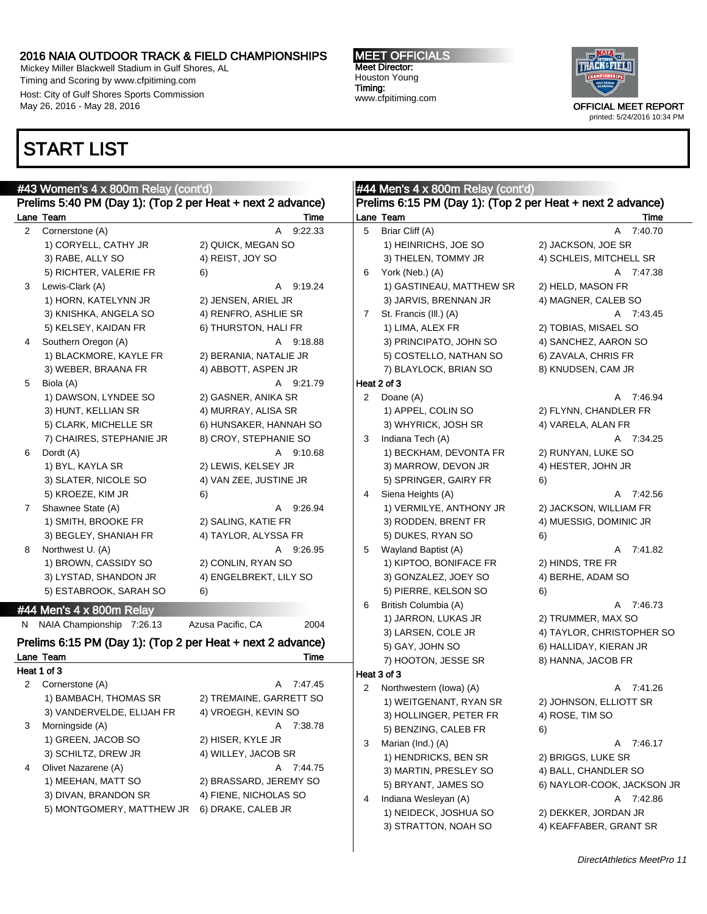Mickey Miller Blackwell Stadium in Gulf Shores, AL Timing and Scoring by www.cfpitiming.com Host: City of Gulf Shores Sports Commission May 26, 2016 - May 28, 2016

### START LIST



|              | #43 Women's 4 x 800m Relay (cont'd)                        |                           | #44 Men's $4 \times 800$ m Relay (cont'd) |                                                            |                            |  |  |  |  |
|--------------|------------------------------------------------------------|---------------------------|-------------------------------------------|------------------------------------------------------------|----------------------------|--|--|--|--|
|              | Prelims 5:40 PM (Day 1): (Top 2 per Heat + next 2 advance) |                           |                                           | Prelims 6:15 PM (Day 1): (Top 2 per Heat + next 2 advance) |                            |  |  |  |  |
|              | Lane Team                                                  | Time                      |                                           | Lane Team                                                  | Time                       |  |  |  |  |
| $2^{\circ}$  | Cornerstone (A)                                            | 9:22.33<br>A              | 5                                         | Briar Cliff (A)                                            | A 7:40.70                  |  |  |  |  |
|              | 1) CORYELL, CATHY JR                                       | 2) QUICK, MEGAN SO        |                                           | 1) HEINRICHS, JOE SO                                       | 2) JACKSON, JOE SR         |  |  |  |  |
|              | 3) RABE, ALLY SO                                           | 4) REIST, JOY SO          |                                           | 3) THELEN, TOMMY JR                                        | 4) SCHLEIS, MITCHELL SR    |  |  |  |  |
|              | 5) RICHTER, VALERIE FR                                     | 6)                        | 6                                         | York (Neb.) (A)                                            | A 7:47.38                  |  |  |  |  |
| 3            | Lewis-Clark (A)                                            | A 9:19.24                 |                                           | 1) GASTINEAU, MATTHEW SR                                   | 2) HELD, MASON FR          |  |  |  |  |
|              | 1) HORN, KATELYNN JR                                       | 2) JENSEN, ARIEL JR       |                                           | 3) JARVIS, BRENNAN JR                                      | 4) MAGNER, CALEB SO        |  |  |  |  |
|              | 3) KNISHKA, ANGELA SO                                      | 4) RENFRO, ASHLIE SR      | 7                                         | St. Francis (III.) (A)                                     | A 7:43.45                  |  |  |  |  |
|              | 5) KELSEY, KAIDAN FR                                       | 6) THURSTON, HALI FR      |                                           | 1) LIMA, ALEX FR                                           | 2) TOBIAS, MISAEL SO       |  |  |  |  |
| 4            | Southern Oregon (A)                                        | A 9:18.88                 |                                           | 3) PRINCIPATO, JOHN SO                                     | 4) SANCHEZ, AARON SO       |  |  |  |  |
|              | 1) BLACKMORE, KAYLE FR                                     | 2) BERANIA, NATALIE JR    |                                           | 5) COSTELLO, NATHAN SO                                     | 6) ZAVALA, CHRIS FR        |  |  |  |  |
|              | 3) WEBER, BRAANA FR                                        | 4) ABBOTT, ASPEN JR       |                                           | 7) BLAYLOCK, BRIAN SO                                      | 8) KNUDSEN, CAM JR         |  |  |  |  |
| 5            | Biola (A)                                                  | A 9:21.79                 |                                           | Heat 2 of 3                                                |                            |  |  |  |  |
|              | 1) DAWSON, LYNDEE SO                                       | 2) GASNER, ANIKA SR       |                                           | 2 Doane (A)                                                | A 7:46.94                  |  |  |  |  |
|              | 3) HUNT, KELLIAN SR                                        | 4) MURRAY, ALISA SR       |                                           | 1) APPEL, COLIN SO                                         | 2) FLYNN, CHANDLER FR      |  |  |  |  |
|              | 5) CLARK, MICHELLE SR                                      | 6) HUNSAKER, HANNAH SO    |                                           | 3) WHYRICK, JOSH SR                                        | 4) VARELA, ALAN FR         |  |  |  |  |
|              | 7) CHAIRES, STEPHANIE JR                                   | 8) CROY, STEPHANIE SO     | 3                                         | Indiana Tech (A)                                           | A 7:34.25                  |  |  |  |  |
| 6            | Dordt (A)                                                  | A 9:10.68                 |                                           | 1) BECKHAM, DEVONTA FR                                     | 2) RUNYAN, LUKE SO         |  |  |  |  |
|              | 1) BYL, KAYLA SR                                           | 2) LEWIS, KELSEY JR       |                                           | 3) MARROW, DEVON JR                                        | 4) HESTER, JOHN JR         |  |  |  |  |
|              | 3) SLATER, NICOLE SO                                       | 4) VAN ZEE, JUSTINE JR    |                                           | 5) SPRINGER, GAIRY FR                                      | 6)                         |  |  |  |  |
|              | 5) KROEZE, KIM JR                                          | 6)                        | 4                                         | Siena Heights (A)                                          | A 7:42.56                  |  |  |  |  |
| $\mathbf{7}$ | Shawnee State (A)                                          | A 9:26.94                 |                                           | 1) VERMILYE, ANTHONY JR                                    | 2) JACKSON, WILLIAM FR     |  |  |  |  |
|              | 1) SMITH, BROOKE FR                                        | 2) SALING, KATIE FR       |                                           | 3) RODDEN, BRENT FR                                        | 4) MUESSIG, DOMINIC JR     |  |  |  |  |
|              | 3) BEGLEY, SHANIAH FR                                      | 4) TAYLOR, ALYSSA FR      |                                           | 5) DUKES, RYAN SO                                          | 6)                         |  |  |  |  |
| 8            | Northwest U. (A)                                           | A 9:26.95                 | 5                                         | Wayland Baptist (A)                                        | A 7:41.82                  |  |  |  |  |
|              | 1) BROWN, CASSIDY SO                                       | 2) CONLIN, RYAN SO        |                                           | 1) KIPTOO, BONIFACE FR                                     | 2) HINDS, TRE FR           |  |  |  |  |
|              | 3) LYSTAD, SHANDON JR                                      | 4) ENGELBREKT, LILY SO    |                                           | 3) GONZALEZ, JOEY SO                                       | 4) BERHE, ADAM SO          |  |  |  |  |
|              | 5) ESTABROOK, SARAH SO                                     | 6)                        |                                           | 5) PIERRE, KELSON SO                                       | 6)                         |  |  |  |  |
|              |                                                            |                           | 6                                         | British Columbia (A)                                       | A 7:46.73                  |  |  |  |  |
|              | #44 Men's 4 x 800m Relay                                   |                           |                                           | 1) JARRON, LUKAS JR                                        | 2) TRUMMER, MAX SO         |  |  |  |  |
|              | N NAIA Championship 7:26.13                                | Azusa Pacific, CA<br>2004 |                                           | 3) LARSEN, COLE JR                                         | 4) TAYLOR, CHRISTOPHER SO  |  |  |  |  |
|              | Prelims 6:15 PM (Day 1): (Top 2 per Heat + next 2 advance) |                           |                                           | 5) GAY, JOHN SO                                            | 6) HALLIDAY, KIERAN JR     |  |  |  |  |
|              | Lane Team                                                  | Time                      |                                           | 7) HOOTON, JESSE SR                                        | 8) HANNA, JACOB FR         |  |  |  |  |
|              | Heat 1 of 3                                                |                           |                                           | Heat 3 of 3                                                |                            |  |  |  |  |
|              | 2 Cornerstone (A)                                          | A 7:47.45                 | 2                                         | Northwestern (Iowa) (A)                                    | A 7:41.26                  |  |  |  |  |
|              | 1) BAMBACH, THOMAS SR                                      | 2) TREMAINE, GARRETT SO   |                                           | 1) WEITGENANT, RYAN SR                                     | 2) JOHNSON, ELLIOTT SR     |  |  |  |  |
|              | 3) VANDERVELDE, ELIJAH FR                                  | 4) VROEGH, KEVIN SO       |                                           | 3) HOLLINGER, PETER FR                                     | 4) ROSE, TIM SO            |  |  |  |  |
| 3            | Morningside (A)                                            | A 7:38.78                 |                                           | 5) BENZING, CALEB FR                                       | 6)                         |  |  |  |  |
|              | 1) GREEN, JACOB SO                                         | 2) HISER, KYLE JR         | 3                                         | Marian (Ind.) (A)                                          | A 7:46.17                  |  |  |  |  |
|              | 3) SCHILTZ, DREW JR                                        | 4) WILLEY, JACOB SR       |                                           | 1) HENDRICKS, BEN SR                                       | 2) BRIGGS, LUKE SR         |  |  |  |  |
| 4            | Olivet Nazarene (A)                                        | A 7:44.75                 |                                           | 3) MARTIN, PRESLEY SO                                      | 4) BALL, CHANDLER SO       |  |  |  |  |
|              | 1) MEEHAN, MATT SO                                         | 2) BRASSARD, JEREMY SO    |                                           | 5) BRYANT, JAMES SO                                        | 6) NAYLOR-COOK, JACKSON JR |  |  |  |  |
|              | 3) DIVAN, BRANDON SR                                       | 4) FIENE, NICHOLAS SO     | 4                                         | Indiana Wesleyan (A)                                       | A 7:42.86                  |  |  |  |  |
|              | 5) MONTGOMERY, MATTHEW JR                                  | 6) DRAKE, CALEB JR        |                                           | 1) NEIDECK, JOSHUA SO                                      | 2) DEKKER, JORDAN JR       |  |  |  |  |
|              |                                                            |                           |                                           | 3) STRATTON, NOAH SO                                       | 4) KEAFFABER, GRANT SR     |  |  |  |  |
|              |                                                            |                           |                                           |                                                            |                            |  |  |  |  |
|              |                                                            |                           |                                           |                                                            |                            |  |  |  |  |

| $^{\prime}$ . | $\cdots$               |
|---------------|------------------------|
| HUA SO        | 2) DEKKER, JORDAN JR   |
| )AH SO        | 4) KEAFFABER, GRANT SR |
|               |                        |
|               |                        |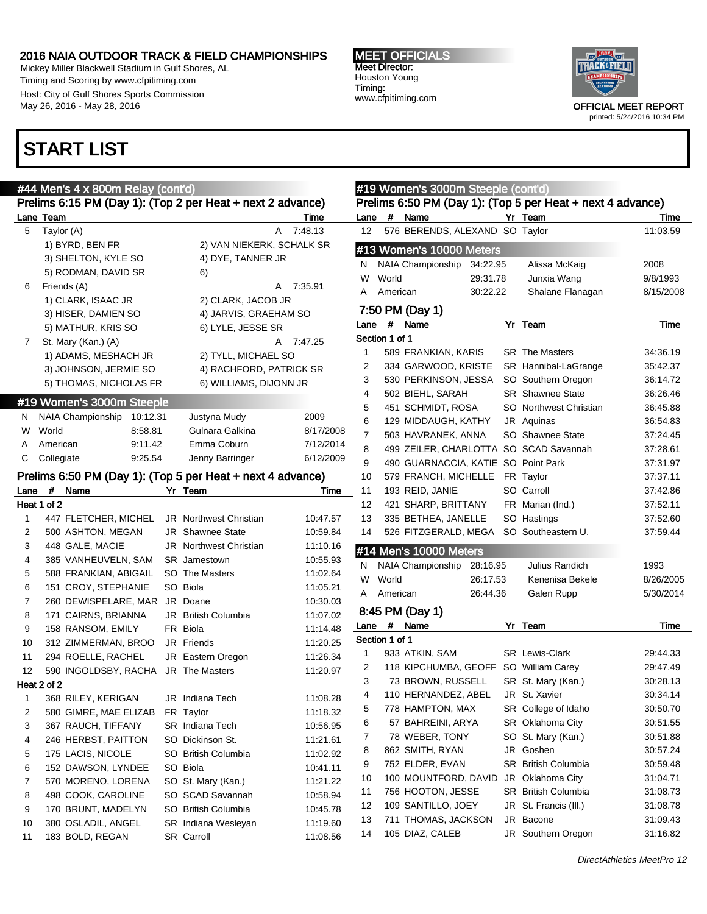Mickey Miller Blackwell Stadium in Gulf Shores, AL Timing and Scoring by www.cfpitiming.com Host: City of Gulf Shores Sports Commission May 26, 2016 - May 28, 2016

### START LIST

#### MEET OFFICIALS Meet Director: Houston Young Timing: www.cfpitiming.com



|                |             | #44 Men's 4 x 800m Relay (cont'd)                    |          |                                                            |                      |                |                | #19 Women's 3000m Steeple (cont'd)         |          |                                                            |                      |
|----------------|-------------|------------------------------------------------------|----------|------------------------------------------------------------|----------------------|----------------|----------------|--------------------------------------------|----------|------------------------------------------------------------|----------------------|
|                |             |                                                      |          | Prelims 6:15 PM (Day 1): (Top 2 per Heat + next 2 advance) |                      |                |                |                                            |          | Prelims 6:50 PM (Day 1): (Top 5 per Heat + next 4 advance) |                      |
|                | Lane Team   |                                                      |          |                                                            | Time                 | Lane           | #              | Name                                       |          | Yr Team                                                    | Time                 |
| 5              | Taylor (A)  |                                                      |          |                                                            | A 7:48.13            | 12             |                | 576 BERENDS, ALEXAND SO Taylor             |          |                                                            | 11:03.59             |
|                |             | 1) BYRD, BEN FR                                      |          | 2) VAN NIEKERK, SCHALK SR                                  |                      |                |                | #13 Women's 10000 Meters                   |          |                                                            |                      |
|                |             | 3) SHELTON, KYLE SO                                  |          | 4) DYE, TANNER JR                                          |                      | N              |                | NAIA Championship                          | 34:22.95 | Alissa McKaig                                              | 2008                 |
|                |             | 5) RODMAN, DAVID SR                                  |          | 6)                                                         |                      | W              | World          |                                            | 29:31.78 | Junxia Wang                                                | 9/8/1993             |
| 6              |             | Friends (A)                                          |          |                                                            | A 7:35.91            | A              | American       |                                            | 30:22.22 | Shalane Flanagan                                           | 8/15/2008            |
|                |             | 1) CLARK, ISAAC JR                                   |          | 2) CLARK, JACOB JR                                         |                      |                |                |                                            |          |                                                            |                      |
|                |             | 3) HISER, DAMIEN SO                                  |          | 4) JARVIS, GRAEHAM SO                                      |                      |                |                | 7:50 PM (Day 1)                            |          |                                                            |                      |
|                |             | 5) MATHUR, KRIS SO                                   |          | 6) LYLE, JESSE SR                                          |                      | Lane           | #              | Name                                       |          | Yr Team                                                    | Time                 |
| $7\phantom{.}$ |             | St. Mary (Kan.) (A)                                  |          |                                                            | A 7:47.25            |                | Section 1 of 1 |                                            |          |                                                            |                      |
|                |             | 1) ADAMS, MESHACH JR                                 |          | 2) TYLL, MICHAEL SO                                        |                      | -1             |                | 589 FRANKIAN, KARIS                        |          | <b>SR</b> The Masters                                      | 34:36.19             |
|                |             | 3) JOHNSON, JERMIE SO                                |          | 4) RACHFORD, PATRICK SR                                    |                      | 2              |                | 334 GARWOOD, KRISTE                        |          | SR Hannibal-LaGrange                                       | 35:42.37             |
|                |             | 5) THOMAS, NICHOLAS FR                               |          | 6) WILLIAMS, DIJONN JR                                     |                      | 3              |                | 530 PERKINSON, JESSA                       |          | SO Southern Oregon                                         | 36:14.72             |
|                |             | #19 Women's 3000m Steeple                            |          |                                                            |                      | 4              |                | 502 BIEHL, SARAH                           |          | <b>SR</b> Shawnee State                                    | 36:26.46             |
| N.             |             | NAIA Championship                                    | 10:12.31 | Justyna Mudy                                               | 2009                 | 5              |                | 451 SCHMIDT, ROSA                          |          | SO Northwest Christian                                     | 36:45.88             |
| W              | World       |                                                      | 8:58.81  | Gulnara Galkina                                            | 8/17/2008            | 6              |                | 129 MIDDAUGH, KATHY                        |          | JR Aquinas                                                 | 36:54.83             |
|                | American    |                                                      | 9:11.42  | Emma Coburn                                                | 7/12/2014            | $\overline{7}$ |                | 503 HAVRANEK, ANNA                         |          | SO Shawnee State                                           | 37:24.45             |
| С              | Collegiate  |                                                      | 9.25.54  | Jenny Barringer                                            | 6/12/2009            | 8              |                | 490 GUARNACCIA, KATIE SO Point Park        |          | 499 ZEILER, CHARLOTTA SO SCAD Savannah                     | 37:28.61             |
|                |             |                                                      |          | Prelims 6:50 PM (Day 1): (Top 5 per Heat + next 4 advance) |                      | 9<br>10        |                | 579 FRANCH, MICHELLE FR Taylor             |          |                                                            | 37:31.97<br>37:37.11 |
|                | #           |                                                      |          |                                                            |                      | 11             |                | 193 REID, JANIE                            |          | SO Carroll                                                 |                      |
| Lane           | Heat 1 of 2 | Name                                                 |          | Yr Team                                                    | Time                 | 12             |                |                                            |          |                                                            | 37:42.86             |
|                |             |                                                      |          |                                                            |                      | 13             |                | 421 SHARP, BRITTANY<br>335 BETHEA, JANELLE |          | FR Marian (Ind.)<br>SO Hastings                            | 37:52.11             |
| 1              |             | 447 FLETCHER, MICHEL<br>500 ASHTON, MEGAN            |          | <b>JR</b> Northwest Christian<br><b>JR</b> Shawnee State   | 10:47.57<br>10:59.84 |                |                |                                            |          |                                                            | 37:52.60             |
| 2<br>3         |             | 448 GALE, MACIE                                      |          | <b>JR</b> Northwest Christian                              | 11:10.16             | 14             |                |                                            |          | 526 FITZGERALD, MEGA SO Southeastern U.                    | 37:59.44             |
| 4              |             | 385 VANHEUVELN, SAM                                  |          | <b>SR</b> Jamestown                                        | 10:55.93             |                |                | #14 Men's 10000 Meters                     |          |                                                            |                      |
| 5              |             | 588 FRANKIAN, ABIGAIL                                |          | SO The Masters                                             | 11:02.64             | N              |                | NAIA Championship 28:16.95                 |          | Julius Randich                                             | 1993                 |
| 6              |             |                                                      |          | SO Biola                                                   |                      | W              | World          |                                            | 26:17.53 | Kenenisa Bekele                                            | 8/26/2005            |
| 7              |             | 151 CROY, STEPHANIE<br>260 DEWISPELARE, MAR JR Doane |          |                                                            | 11:05.21<br>10:30.03 |                | A American     |                                            | 26:44.36 | Galen Rupp                                                 | 5/30/2014            |
| 8              |             | 171 CAIRNS, BRIANNA                                  |          | JR British Columbia                                        | 11:07.02             |                |                | 8:45 PM (Day 1)                            |          |                                                            |                      |
| 9              |             | 158 RANSOM, EMILY                                    |          | FR Biola                                                   | 11:14.48             |                |                | Lane # Name                                |          | Yr Team                                                    | Time                 |
| 10             |             | 312 ZIMMERMAN, BROO                                  |          | JR Friends                                                 | 11:20.25             |                | Section 1 of 1 |                                            |          |                                                            |                      |
| 11             |             | 294 ROELLE, RACHEL                                   |          | JR Eastern Oregon                                          | 11:26.34             | $\mathbf{1}$   |                | 933 ATKIN, SAM                             |          | <b>SR</b> Lewis-Clark                                      | 29:44.33             |
| 12             |             | 590 INGOLDSBY, RACHA JR The Masters                  |          |                                                            | 11:20.97             | 2              |                | 118 KIPCHUMBA, GEOFF SO William Carey      |          |                                                            | 29:47.49             |
|                | Heat 2 of 2 |                                                      |          |                                                            |                      | 3              |                | 73 BROWN, RUSSELL                          |          | SR St. Mary (Kan.)                                         | 30:28.13             |
|                |             | 368 RILEY, KERIGAN                                   |          | JR Indiana Tech                                            | 11:08.28             | 4              |                | 110 HERNANDEZ, ABEL                        |          | JR St. Xavier                                              | 30:34.14             |
| 2              |             | 580 GIMRE, MAE ELIZAB                                |          | FR Taylor                                                  | 11:18.32             | 5              |                | 778 HAMPTON, MAX                           |          | SR College of Idaho                                        | 30:50.70             |
| 3              |             | 367 RAUCH, TIFFANY                                   |          | SR Indiana Tech                                            | 10:56.95             | 6              |                | 57 BAHREINI, ARYA                          |          | SR Oklahoma City                                           | 30:51.55             |
| 4              |             | 246 HERBST, PAITTON                                  |          | SO Dickinson St.                                           | 11:21.61             | 7              |                | 78 WEBER, TONY                             |          | SO St. Mary (Kan.)                                         | 30:51.88             |
| 5              |             | 175 LACIS, NICOLE                                    |          | SO British Columbia                                        | 11:02.92             | 8              |                | 862 SMITH, RYAN                            |          | JR Goshen                                                  | 30:57.24             |
| 6              |             | 152 DAWSON, LYNDEE                                   |          | SO Biola                                                   | 10:41.11             | 9              |                | 752 ELDER, EVAN                            |          | SR British Columbia                                        | 30:59.48             |
| 7              |             | 570 MORENO, LORENA                                   |          | SO St. Mary (Kan.)                                         | 11:21.22             | 10             |                | 100 MOUNTFORD, DAVID                       |          | JR Oklahoma City                                           | 31:04.71             |
| 8              |             | 498 COOK, CAROLINE                                   |          | SO SCAD Savannah                                           | 10:58.94             | 11             |                | 756 HOOTON, JESSE                          |          | <b>SR</b> British Columbia                                 | 31:08.73             |
| 9              |             | 170 BRUNT, MADELYN                                   |          | SO British Columbia                                        | 10:45.78             | 12             |                | 109 SANTILLO, JOEY                         |          | JR St. Francis (III.)                                      | 31:08.78             |
| 10             |             | 380 OSLADIL, ANGEL                                   |          | SR Indiana Wesleyan                                        | 11:19.60             | 13             |                | 711 THOMAS, JACKSON                        |          | JR Bacone                                                  | 31:09.43             |
| 11             |             | 183 BOLD, REGAN                                      |          | SR Carroll                                                 | 11:08.56             | 14             |                | 105 DIAZ, CALEB                            |          | JR Southern Oregon                                         | 31:16.82             |
|                |             |                                                      |          |                                                            |                      |                |                |                                            |          |                                                            |                      |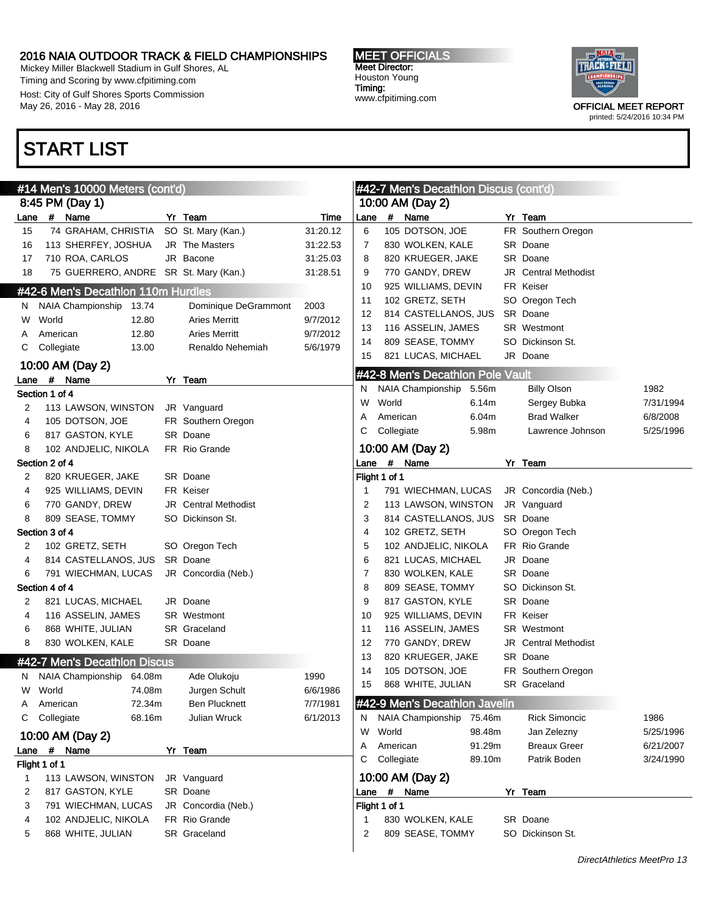Mickey Miller Blackwell Stadium in Gulf Shores, AL Timing and Scoring by www.cfpitiming.com Host: City of Gulf Shores Sports Commission May 26, 2016 - May 28, 2016

### START LIST



|      |                | #14 Men's 10000 Meters (cont'd)       |        |                             |          |             |               | #42-7 Men's Decathlon Discus (cont'd) |                  |                                    |                   |
|------|----------------|---------------------------------------|--------|-----------------------------|----------|-------------|---------------|---------------------------------------|------------------|------------------------------------|-------------------|
|      |                | 8:45 PM (Day 1)                       |        |                             |          |             |               | 10:00 AM (Day 2)                      |                  |                                    |                   |
| Lane |                | # Name                                |        | Yr Team                     | Time     | Lane        |               | # Name                                |                  | Yr Team                            |                   |
| 15   |                | 74 GRAHAM, CHRISTIA                   |        | SO St. Mary (Kan.)          | 31:20.12 | 6           |               | 105 DOTSON, JOE                       |                  | FR Southern Oregon                 |                   |
| 16   |                | 113 SHERFEY, JOSHUA                   |        | <b>JR</b> The Masters       | 31:22.53 | 7           |               | 830 WOLKEN, KALE                      |                  | SR Doane                           |                   |
| 17   |                | 710 ROA, CARLOS                       |        | JR Bacone                   | 31:25.03 | 8           |               | 820 KRUEGER, JAKE                     |                  | SR Doane                           |                   |
| 18   |                | 75 GUERRERO, ANDRE SR St. Mary (Kan.) |        |                             | 31:28.51 | 9           |               | 770 GANDY, DREW                       |                  | <b>JR</b> Central Methodist        |                   |
|      |                | #42-6 Men's Decathlon 110m Hurdles    |        |                             |          | 10          |               | 925 WILLIAMS, DEVIN                   |                  | FR Keiser                          |                   |
| N.   |                | NAIA Championship                     | 13.74  | Dominique DeGrammont        | 2003     | 11          |               | 102 GRETZ, SETH                       |                  | SO Oregon Tech                     |                   |
| W    | World          |                                       | 12.80  | <b>Aries Merritt</b>        | 9/7/2012 | 12          |               | 814 CASTELLANOS, JUS                  |                  | SR Doane                           |                   |
| A    | American       |                                       | 12.80  | <b>Aries Merritt</b>        | 9/7/2012 | 13          |               | 116 ASSELIN, JAMES                    |                  | <b>SR</b> Westmont                 |                   |
| С    | Collegiate     |                                       | 13.00  | Renaldo Nehemiah            | 5/6/1979 | 14          |               | 809 SEASE, TOMMY                      |                  | SO Dickinson St.                   |                   |
|      |                | 10:00 AM (Day 2)                      |        |                             |          | 15          |               | 821 LUCAS, MICHAEL                    |                  | JR Doane                           |                   |
|      | #              | Name                                  |        | Yr Team                     |          |             |               | #42-8 Men's Decathlon Pole Vault      |                  |                                    |                   |
| Lane | Section 1 of 4 |                                       |        |                             |          | N.          |               | NAIA Championship                     | 5.56m            | <b>Billy Olson</b>                 | 1982              |
| 2    |                | 113 LAWSON, WINSTON                   |        | JR Vanguard                 |          | W           | World         |                                       | 6.14m            | Sergey Bubka                       | 7/31/1994         |
| 4    |                | 105 DOTSON, JOE                       |        | FR Southern Oregon          |          | A           |               | American                              | 6.04m            | <b>Brad Walker</b>                 | 6/8/2008          |
| 6    |                | 817 GASTON, KYLE                      |        | SR Doane                    |          | С           |               | Collegiate                            | 5.98m            | Lawrence Johnson                   | 5/25/1996         |
| 8    |                | 102 ANDJELIC, NIKOLA                  |        | FR Rio Grande               |          |             |               | 10:00 AM (Day 2)                      |                  |                                    |                   |
|      | Section 2 of 4 |                                       |        |                             |          | Lane        |               | # Name                                |                  | Yr Team                            |                   |
| 2    |                | 820 KRUEGER, JAKE                     |        | SR Doane                    |          |             | Flight 1 of 1 |                                       |                  |                                    |                   |
| 4    |                | 925 WILLIAMS, DEVIN                   |        | FR Keiser                   |          | 1           |               | 791 WIECHMAN, LUCAS                   |                  | JR Concordia (Neb.)                |                   |
| 6    |                | 770 GANDY, DREW                       |        | <b>JR</b> Central Methodist |          | 2           |               | 113 LAWSON, WINSTON                   |                  | JR Vanguard                        |                   |
| 8    |                | 809 SEASE, TOMMY                      |        | SO Dickinson St.            |          | 3           |               | 814 CASTELLANOS, JUS                  |                  | SR Doane                           |                   |
|      | Section 3 of 4 |                                       |        |                             |          | 4           |               | 102 GRETZ, SETH                       |                  | SO Oregon Tech                     |                   |
| 2    |                | 102 GRETZ, SETH                       |        | SO Oregon Tech              |          | 5           |               | 102 ANDJELIC, NIKOLA                  |                  | FR Rio Grande                      |                   |
| 4    |                | 814 CASTELLANOS, JUS                  |        | SR Doane                    |          | 6           |               | 821 LUCAS, MICHAEL                    |                  | JR Doane                           |                   |
| 6    |                | 791 WIECHMAN, LUCAS                   |        | JR Concordia (Neb.)         |          | 7           |               | 830 WOLKEN, KALE                      |                  | SR Doane                           |                   |
|      | Section 4 of 4 |                                       |        |                             |          | 8           |               | 809 SEASE, TOMMY                      |                  | SO Dickinson St.                   |                   |
| 2    |                | 821 LUCAS, MICHAEL                    |        | JR Doane                    |          | 9           |               | 817 GASTON, KYLE                      |                  | SR Doane                           |                   |
| 4    |                | 116 ASSELIN, JAMES                    |        | SR Westmont                 |          | 10          |               | 925 WILLIAMS, DEVIN                   |                  | FR Keiser                          |                   |
| 6    |                | 868 WHITE, JULIAN                     |        | SR Graceland                |          | 11          |               | 116 ASSELIN, JAMES                    |                  | <b>SR</b> Westmont                 |                   |
| 8    |                | 830 WOLKEN, KALE                      |        | SR Doane                    |          | 12          |               | 770 GANDY, DREW                       |                  | JR Central Methodist               |                   |
|      |                | #42-7 Men's Decathlon Discus          |        |                             |          | 13          |               | 820 KRUEGER, JAKE                     |                  | SR Doane                           |                   |
|      |                |                                       |        |                             |          | 14          |               | 105 DOTSON, JOE                       |                  | FR Southern Oregon                 |                   |
| N    |                | NAIA Championship 64.08m              |        | Ade Olukoju                 | 1990     | 15          |               | 868 WHITE, JULIAN                     |                  | SR Graceland                       |                   |
|      | W World        |                                       | 74.08m | Jurgen Schult               | 6/6/1986 |             |               | #42-9 Men's Decathlon Javelin         |                  |                                    |                   |
| A    | American       |                                       | 72.34m | <b>Ben Plucknett</b>        | 7/7/1981 |             |               |                                       |                  |                                    |                   |
| С    | Collegiate     |                                       | 68.16m | <b>Julian Wruck</b>         | 6/1/2013 | N.<br>W     | World         | NAIA Championship                     | 75.46m<br>98.48m | <b>Rick Simoncic</b>               | 1986<br>5/25/1996 |
|      |                | 10:00 AM (Day 2)                      |        |                             |          |             |               | American                              | 91.29m           | Jan Zelezny<br><b>Breaux Greer</b> | 6/21/2007         |
| Lane |                | # Name                                |        | Yr Team                     |          | A<br>С      |               | Collegiate                            | 89.10m           | Patrik Boden                       | 3/24/1990         |
|      | Flight 1 of 1  |                                       |        |                             |          |             |               |                                       |                  |                                    |                   |
| 1    |                | 113 LAWSON, WINSTON                   |        | JR Vanguard                 |          |             |               | 10:00 AM (Day 2)                      |                  |                                    |                   |
| 2    |                | 817 GASTON, KYLE                      |        | SR Doane                    |          | Lane        |               | # Name                                |                  | Yr Team                            |                   |
| 3    |                | 791 WIECHMAN, LUCAS                   |        | JR Concordia (Neb.)         |          |             | Flight 1 of 1 |                                       |                  |                                    |                   |
| 4    |                | 102 ANDJELIC, NIKOLA                  |        | FR Rio Grande               |          | $\mathbf 1$ |               | 830 WOLKEN, KALE                      |                  | SR Doane                           |                   |
| 5    |                | 868 WHITE, JULIAN                     |        | SR Graceland                |          | 2           |               | 809 SEASE, TOMMY                      |                  | SO Dickinson St.                   |                   |
|      |                |                                       |        |                             |          |             |               |                                       |                  |                                    |                   |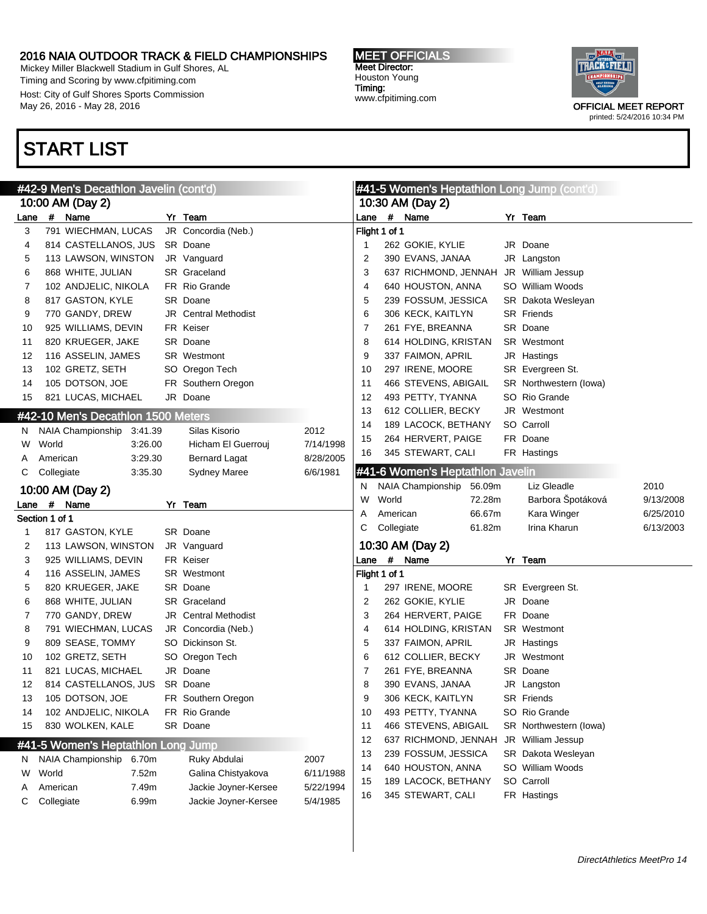Mickey Miller Blackwell Stadium in Gulf Shores, AL Timing and Scoring by www.cfpitiming.com Host: City of Gulf Shores Sports Commission May 26, 2016 - May 28, 2016

### START LIST



|      | #42-9 Men's Decathlon Javelin (cont'd) |                                    |                |  |                      |                       | #41-5 Women's Heptathlon Long Jump (cont'd) |               |                                  |        |  |                           |           |
|------|----------------------------------------|------------------------------------|----------------|--|----------------------|-----------------------|---------------------------------------------|---------------|----------------------------------|--------|--|---------------------------|-----------|
|      |                                        | 10:00 AM (Day 2)                   |                |  |                      |                       |                                             |               | 10:30 AM (Day 2)                 |        |  |                           |           |
| Lane | #                                      | Name                               |                |  | Yr Team              |                       | Lane                                        |               | # Name                           |        |  | Yr Team                   |           |
| 3    |                                        | 791 WIECHMAN, LUCAS                |                |  | JR Concordia (Neb.)  |                       |                                             | Flight 1 of 1 |                                  |        |  |                           |           |
| 4    |                                        | 814 CASTELLANOS, JUS               |                |  | SR Doane             |                       | $\mathbf{1}$                                |               | 262 GOKIE, KYLIE                 |        |  | JR Doane                  |           |
| 5    |                                        | 113 LAWSON, WINSTON                |                |  | JR Vanguard          |                       | $\overline{2}$                              |               | 390 EVANS, JANAA                 |        |  | JR Langston               |           |
| 6    |                                        | 868 WHITE, JULIAN                  |                |  | SR Graceland         |                       | 3                                           |               | 637 RICHMOND, JENNAH             |        |  | JR William Jessup         |           |
| 7    |                                        | 102 ANDJELIC, NIKOLA               |                |  | FR Rio Grande        |                       | 4                                           |               | 640 HOUSTON, ANNA                |        |  | SO William Woods          |           |
| 8    |                                        | 817 GASTON, KYLE                   |                |  | SR Doane             |                       | 5                                           |               | 239 FOSSUM, JESSICA              |        |  | <b>SR</b> Dakota Wesleyan |           |
| 9    |                                        | 770 GANDY, DREW                    |                |  | JR Central Methodist |                       | 6                                           |               | 306 KECK, KAITLYN                |        |  | <b>SR</b> Friends         |           |
| 10   |                                        | 925 WILLIAMS, DEVIN                |                |  | FR Keiser            |                       | 7                                           |               | 261 FYE, BREANNA                 |        |  | SR Doane                  |           |
| 11   |                                        | 820 KRUEGER, JAKE                  |                |  | SR Doane             |                       | 8                                           |               | 614 HOLDING, KRISTAN             |        |  | SR Westmont               |           |
| 12   |                                        | 116 ASSELIN, JAMES                 |                |  | SR Westmont          |                       | 9                                           |               | 337 FAIMON, APRIL                |        |  | JR Hastings               |           |
| 13   |                                        | 102 GRETZ, SETH                    |                |  | SO Oregon Tech       |                       | 10                                          |               | 297 IRENE, MOORE                 |        |  | SR Evergreen St.          |           |
| 14   |                                        | 105 DOTSON, JOE                    |                |  | FR Southern Oregon   |                       | 11                                          |               | 466 STEVENS, ABIGAIL             |        |  | SR Northwestern (lowa)    |           |
| 15   |                                        | 821 LUCAS, MICHAEL                 |                |  | JR Doane             |                       | 12                                          |               | 493 PETTY, TYANNA                |        |  | SO Rio Grande             |           |
|      |                                        | #42-10 Men's Decathlon 1500 Meters |                |  |                      |                       | 13                                          |               | 612 COLLIER, BECKY               |        |  | JR Westmont               |           |
| N.   |                                        | NAIA Championship                  | 3:41.39        |  | Silas Kisorio        | 2012                  | 14                                          |               | 189 LACOCK, BETHANY              |        |  | SO Carroll                |           |
| W    | World                                  |                                    | 3:26.00        |  | Hicham El Guerrouj   | 7/14/1998             | 15                                          |               | 264 HERVERT, PAIGE               |        |  | FR Doane                  |           |
| A    | American                               |                                    | 3:29.30        |  | <b>Bernard Lagat</b> | 8/28/2005             | 16                                          |               | 345 STEWART, CALI                |        |  | FR Hastings               |           |
| C    | Collegiate                             |                                    | 3:35.30        |  | <b>Sydney Maree</b>  | 6/6/1981              |                                             |               | #41-6 Women's Heptathlon Javelin |        |  |                           |           |
|      |                                        | 10:00 AM (Day 2)                   |                |  |                      |                       | N.                                          |               | NAIA Championship                | 56.09m |  | Liz Gleadle               | 2010      |
| Lane | #                                      | Name                               |                |  | Yr Team              |                       | W                                           | World         |                                  | 72.28m |  | Barbora Špotáková         | 9/13/2008 |
|      | Section 1 of 1                         |                                    |                |  |                      |                       | Α                                           | American      |                                  | 66.67m |  | Kara Winger               | 6/25/2010 |
| 1    |                                        | 817 GASTON, KYLE                   |                |  | SR Doane             |                       | С                                           | Collegiate    |                                  | 61.82m |  | Irina Kharun              | 6/13/2003 |
| 2    |                                        | 113 LAWSON, WINSTON                |                |  | JR Vanguard          |                       |                                             |               | 10:30 AM (Day 2)                 |        |  |                           |           |
| 3    |                                        | 925 WILLIAMS, DEVIN                |                |  | FR Keiser            |                       | Lane                                        |               | # Name                           |        |  | Yr Team                   |           |
| 4    |                                        | 116 ASSELIN, JAMES                 |                |  | SR Westmont          |                       |                                             | Flight 1 of 1 |                                  |        |  |                           |           |
| 5    |                                        | 820 KRUEGER, JAKE                  |                |  | SR Doane             |                       | -1                                          |               | 297 IRENE, MOORE                 |        |  | SR Evergreen St.          |           |
| 6    |                                        | 868 WHITE, JULIAN                  |                |  | <b>SR</b> Graceland  |                       | $\overline{2}$                              |               | 262 GOKIE, KYLIE                 |        |  | JR Doane                  |           |
| 7    |                                        | 770 GANDY, DREW                    |                |  | JR Central Methodist |                       | 3                                           |               | 264 HERVERT, PAIGE               |        |  | FR Doane                  |           |
| 8    |                                        | 791 WIECHMAN, LUCAS                |                |  | JR Concordia (Neb.)  |                       | 4                                           |               | 614 HOLDING, KRISTAN             |        |  | SR Westmont               |           |
| 9    |                                        | 809 SEASE, TOMMY                   |                |  | SO Dickinson St.     |                       | 5                                           |               | 337 FAIMON, APRIL                |        |  | JR Hastings               |           |
| 10   |                                        | 102 GRETZ, SETH                    |                |  | SO Oregon Tech       |                       | 6                                           |               | 612 COLLIER, BECKY               |        |  | JR Westmont               |           |
| 11   |                                        | 821 LUCAS, MICHAEL                 |                |  | JR Doane             |                       | 7                                           |               | 261 FYE, BREANNA                 |        |  | SR Doane                  |           |
| 12   |                                        | 814 CASTELLANOS, JUS               |                |  | SR Doane             |                       | 8                                           |               | 390 EVANS, JANAA                 |        |  | JR Langston               |           |
| 13   |                                        | 105 DOTSON, JOE                    |                |  | FR Southern Oregon   |                       | 9                                           |               | 306 KECK, KAITLYN                |        |  | SR Friends                |           |
| 14   |                                        | 102 ANDJELIC, NIKOLA               |                |  | FR Rio Grande        |                       | 10                                          |               | 493 PETTY, TYANNA                |        |  | SO Rio Grande             |           |
| 15   |                                        | 830 WOLKEN, KALE                   |                |  | SR Doane             |                       | 11                                          |               | 466 STEVENS, ABIGAIL             |        |  | SR Northwestern (lowa)    |           |
|      |                                        | #41-5 Women's Heptathlon Long Jump |                |  |                      |                       | 12                                          |               | 637 RICHMOND, JENNAH             |        |  | JR William Jessup         |           |
|      |                                        |                                    |                |  |                      |                       | 13                                          |               | 239 FOSSUM, JESSICA              |        |  | SR Dakota Wesleyan        |           |
| N.   |                                        | NAIA Championship                  | 6.70m          |  | Ruky Abdulai         | 2007                  | 14                                          |               | 640 HOUSTON, ANNA                |        |  | SO William Woods          |           |
| W    | World                                  |                                    | 7.52m          |  | Galina Chistyakova   | 6/11/1988             | 15                                          |               | 189 LACOCK, BETHANY              |        |  | SO Carroll                |           |
| A    | American<br>Collegiate                 |                                    | 7.49m<br>6.99m |  | Jackie Joyner-Kersee | 5/22/1994<br>5/4/1985 | 16                                          |               | 345 STEWART, CALI                |        |  | FR Hastings               |           |
| C    |                                        |                                    |                |  | Jackie Joyner-Kersee |                       |                                             |               |                                  |        |  |                           |           |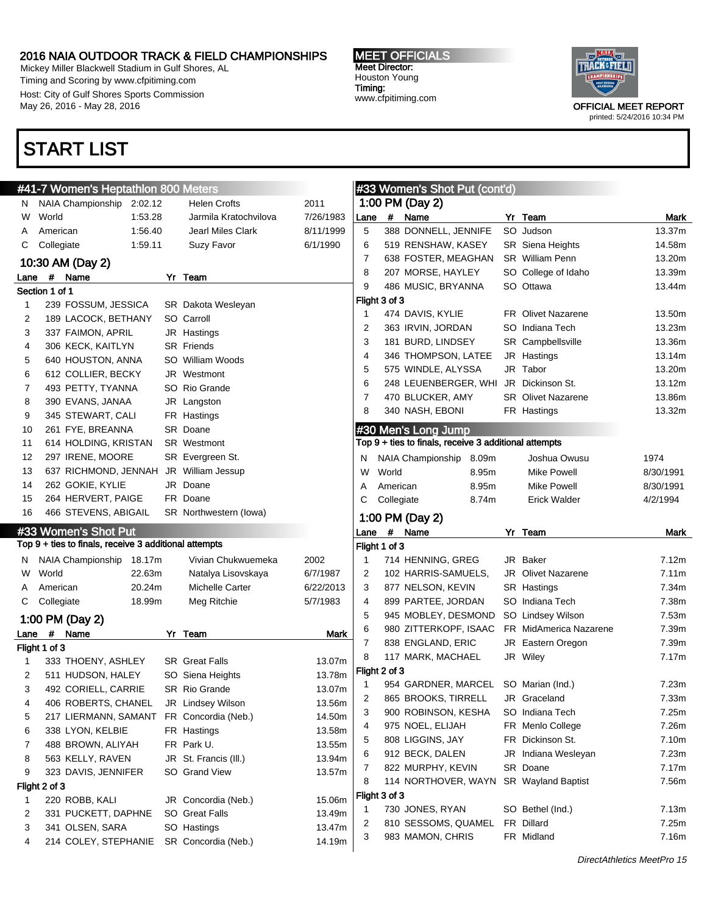$H_1$   $H_2$   $H_3$   $H_4$   $H_5$ 

Mickey Miller Blackwell Stadium in Gulf Shores, AL Timing and Scoring by www.cfpitiming.com Host: City of Gulf Shores Sports Commission May 26, 2016 - May 28, 2016

### START LIST

#### MEET OFFICIALS Meet Director: Houston Young Timing: www.cfpitiming.com

 $\frac{1}{2}$  women's  $\frac{1}{2}$   $\frac{1}{2}$   $\frac{1}{2}$   $\frac{1}{2}$   $\frac{1}{2}$   $\frac{1}{2}$   $\frac{1}{2}$   $\frac{1}{2}$   $\frac{1}{2}$   $\frac{1}{2}$   $\frac{1}{2}$   $\frac{1}{2}$   $\frac{1}{2}$   $\frac{1}{2}$   $\frac{1}{2}$   $\frac{1}{2}$   $\frac{1}{2}$   $\frac{1}{2}$   $\frac{1}{2}$   $\frac{1}{2}$   $\frac$ 



|        | <b>#41-7 VVOITIENS REPRAINION OUT METERS</b>                                  |                  |                | <b>#33 WOMEN'S SNOT PUT (COMT)</b>                    |    |                           |                |
|--------|-------------------------------------------------------------------------------|------------------|----------------|-------------------------------------------------------|----|---------------------------|----------------|
| N.     | NAIA Championship<br>2:02.12<br><b>Helen Crofts</b>                           | 2011             |                | 1:00 PM (Day 2)                                       |    |                           |                |
| W      | World<br>1:53.28<br>Jarmila Kratochvilova                                     | 7/26/1983        | #<br>Lane      | Name                                                  |    | Yr Team                   | Mark           |
| Α      | 1:56.40<br><b>Jearl Miles Clark</b><br>American                               | 8/11/1999        | 5              | 388 DONNELL, JENNIFE                                  |    | SO Judson                 | 13.37m         |
| C      | Suzy Favor<br>Collegiate<br>1:59.11                                           | 6/1/1990         | 6              | 519 RENSHAW, KASEY                                    |    | SR Siena Heights          | 14.58m         |
|        | 10:30 AM (Day 2)                                                              | 7                |                | 638 FOSTER, MEAGHAN                                   |    | <b>SR</b> William Penn    | 13.20m         |
| Lane   | #<br>Yr Team<br>Name                                                          |                  | 8              | 207 MORSE, HAYLEY                                     |    | SO College of Idaho       | 13.39m         |
|        | Section 1 of 1                                                                |                  | 9              | 486 MUSIC, BRYANNA                                    |    | SO Ottawa                 | 13.44m         |
| 1      | 239 FOSSUM, JESSICA<br><b>SR</b> Dakota Wesleyan                              |                  | Flight 3 of 3  |                                                       |    |                           |                |
| 2      | SO Carroll<br>189 LACOCK, BETHANY                                             | -1               |                | 474 DAVIS, KYLIE                                      |    | <b>FR</b> Olivet Nazarene | 13.50m         |
| 3      | 337 FAIMON, APRIL<br>JR Hastings                                              |                  | $\overline{2}$ | 363 IRVIN, JORDAN                                     |    | SO Indiana Tech           | 13.23m         |
| 4      | 306 KECK, KAITLYN<br><b>SR</b> Friends                                        |                  | 3              | 181 BURD, LINDSEY                                     |    | SR Campbellsville         | 13.36m         |
| 5      | SO William Woods<br>640 HOUSTON, ANNA                                         |                  | 4              | 346 THOMPSON, LATEE                                   |    | JR Hastings               | 13.14m         |
| 6      | 612 COLLIER, BECKY<br>JR Westmont                                             |                  | 5              | 575 WINDLE, ALYSSA                                    |    | JR Tabor                  | 13.20m         |
| 7      | SO Rio Grande<br>493 PETTY, TYANNA                                            |                  | 6              | 248 LEUENBERGER, WHI                                  |    | JR Dickinson St.          | 13.12m         |
| 8      | 390 EVANS, JANAA<br>JR Langston                                               | 7                |                | 470 BLUCKER, AMY                                      |    | <b>SR</b> Olivet Nazarene | 13.86m         |
| 9      | 345 STEWART, CALI<br>FR Hastings                                              |                  | 8              | 340 NASH, EBONI                                       |    | FR Hastings               | 13.32m         |
| 10     | 261 FYE, BREANNA<br>SR Doane                                                  |                  |                | #30 Men's Long Jump                                   |    |                           |                |
| 11     | 614 HOLDING, KRISTAN<br><b>SR</b> Westmont                                    |                  |                | Top 9 + ties to finals, receive 3 additional attempts |    |                           |                |
| 12     | 297 IRENE, MOORE<br>SR Evergreen St.                                          | N                |                | NAIA Championship 8.09m                               |    | Joshua Owusu              | 1974           |
| 13     | 637 RICHMOND, JENNAH JR William Jessup                                        | W                | World          | 8.95m                                                 |    | <b>Mike Powell</b>        | 8/30/1991      |
| 14     | 262 GOKIE, KYLIE<br>JR Doane                                                  | Α                | American       | 8.95m                                                 |    | Mike Powell               | 8/30/1991      |
| 15     | 264 HERVERT, PAIGE<br>FR Doane                                                | С                | Collegiate     | 8.74m                                                 |    | <b>Erick Walder</b>       | 4/2/1994       |
| 16     | 466 STEVENS, ABIGAIL<br>SR Northwestern (lowa)                                |                  |                |                                                       |    |                           |                |
|        |                                                                               |                  |                |                                                       |    |                           |                |
|        |                                                                               |                  |                | 1:00 PM (Day 2)                                       |    |                           |                |
|        | #33 Women's Shot Put                                                          |                  | $\#$<br>Lane   | Name                                                  |    | Yr Team                   | <b>Mark</b>    |
|        | Top 9 + ties to finals, receive 3 additional attempts                         |                  | Flight 1 of 3  |                                                       |    |                           |                |
| N.     | NAIA Championship 18.17m<br>Vivian Chukwuemeka                                | 2002<br>1        |                | 714 HENNING, GREG                                     |    | JR Baker                  | 7.12m          |
| W      | World<br>22.63m<br>Natalya Lisovskaya                                         | 6/7/1987         | 2              | 102 HARRIS-SAMUELS,                                   |    | JR Olivet Nazarene        | 7.11m          |
| A      | 20.24m<br><b>Michelle Carter</b><br>American                                  | 6/22/2013        | 3              | 877 NELSON, KEVIN                                     |    | SR Hastings               | 7.34m          |
| С      | 18.99m<br>Meg Ritchie<br>Collegiate                                           | 5/7/1983         | 4              | 899 PARTEE, JORDAN                                    |    | SO Indiana Tech           | 7.38m          |
|        | 1:00 PM (Day 2)                                                               |                  | 5              | 945 MOBLEY, DESMOND                                   |    | SO Lindsey Wilson         | 7.53m          |
| Lane   | #<br>Name<br>Yr Team                                                          | Mark             | 6              | 980 ZITTERKOPF, ISAAC                                 |    | FR MidAmerica Nazarene    | 7.39m          |
|        | Flight 1 of 3                                                                 |                  | 7              | 838 ENGLAND, ERIC                                     |    | JR Eastern Oregon         | 7.39m          |
| 1      | <b>SR</b> Great Falls<br>333 THOENY, ASHLEY                                   | 13.07m           | 8              | 117 MARK, MACHAEL                                     |    | JR Wiley                  | 7.17m          |
| 2      | 511 HUDSON, HALEY<br>SO Siena Heights                                         | 13.78m           | Flight 2 of 3  |                                                       |    |                           |                |
| 3      | 492 CORIELL, CARRIE<br><b>SR Rio Grande</b>                                   | -1<br>13.07m     |                | 954 GARDNER, MARCEL                                   |    | SO Marian (Ind.)          | 7.23m          |
| 4      | 406 ROBERTS, CHANEL<br>JR Lindsey Wilson                                      | 13.56m           | 2              | 865 BROOKS, TIRRELL                                   |    | JR Graceland              | 7.33m          |
| 5      | 217 LIERMANN, SAMANT FR Concordia (Neb.)                                      | 14.50m           | 3              | 900 ROBINSON, KESHA                                   |    | SO Indiana Tech           | 7.25m          |
| 6      | 338 LYON, KELBIE<br>FR Hastings                                               | 13.58m           | 4              | 975 NOEL, ELIJAH                                      |    | FR Menlo College          | 7.26m          |
| 7      | 488 BROWN, ALIYAH<br>FR Park U.                                               | 13.55m           | 5              | 808 LIGGINS, JAY                                      |    | FR Dickinson St.          | 7.10m          |
| 8      | JR St. Francis (III.)<br>563 KELLY, RAVEN                                     | 13.94m           | 6              | 912 BECK, DALEN                                       | JR | Indiana Wesleyan          | 7.23m          |
| 9      | 323 DAVIS, JENNIFER<br>SO Grand View                                          | 13.57m           | 7              | 822 MURPHY, KEVIN                                     |    | SR Doane                  | 7.17m          |
|        | Flight 2 of 3                                                                 |                  | 8              | 114 NORTHOVER, WAYN                                   |    | <b>SR</b> Wayland Baptist | 7.56m          |
| 1      | 220 ROBB, KALI<br>JR Concordia (Neb.)                                         | 15.06m           | Flight 3 of 3  |                                                       |    |                           |                |
| 2      | SO Great Falls<br>331 PUCKETT, DAPHNE                                         | -1<br>13.49m     |                | 730 JONES, RYAN                                       |    | SO Bethel (Ind.)          | 7.13m          |
| 3<br>4 | SO Hastings<br>341 OLSEN, SARA<br>SR Concordia (Neb.)<br>214 COLEY, STEPHANIE | 13.47m<br>14.19m | 2<br>3         | 810 SESSOMS, QUAMEL<br>983 MAMON, CHRIS               |    | FR Dillard<br>FR Midland  | 7.25m<br>7.16m |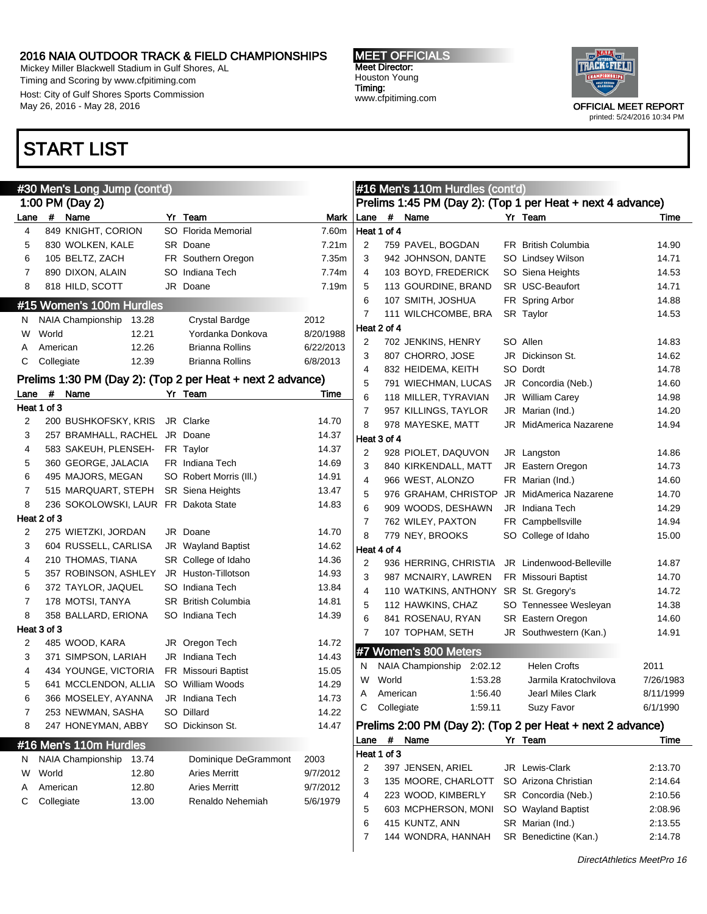Mickey Miller Blackwell Stadium in Gulf Shores, AL Timing and Scoring by www.cfpitiming.com Host: City of Gulf Shores Sports Commission May 26, 2016 - May 28, 2016

### START LIST

| <b>MEET OFFICIALS</b> |
|-----------------------|
| <b>Meet Director:</b> |
| Houston Young         |
| Timing:               |
| www.cfpitiming.com    |



|      |             | #30 Men's Long Jump (cont'd)         |                                                            |           |      |             | #16 Men's 110m Hurdles (cont'd)       |                                                            |           |
|------|-------------|--------------------------------------|------------------------------------------------------------|-----------|------|-------------|---------------------------------------|------------------------------------------------------------|-----------|
|      |             | 1:00 PM (Day 2)                      |                                                            |           |      |             |                                       | Prelims 1:45 PM (Day 2): (Top 1 per Heat + next 4 advance) |           |
| Lane |             | # Name                               | Yr Team                                                    | Mark      | Lane | $\pmb{\#}$  | Name                                  | Yr Team                                                    | Time      |
| 4    |             | 849 KNIGHT, CORION                   | SO Florida Memorial                                        | 7.60m     |      | Heat 1 of 4 |                                       |                                                            |           |
| 5    |             | 830 WOLKEN, KALE                     | SR Doane                                                   | 7.21m     | 2    |             | 759 PAVEL, BOGDAN                     | <b>FR</b> British Columbia                                 | 14.90     |
| 6    |             | 105 BELTZ, ZACH                      | FR Southern Oregon                                         | 7.35m     | 3    |             | 942 JOHNSON, DANTE                    | SO Lindsey Wilson                                          | 14.71     |
| 7    |             | 890 DIXON, ALAIN                     | SO Indiana Tech                                            | 7.74m     | 4    |             | 103 BOYD, FREDERICK                   | SO Siena Heights                                           | 14.53     |
| 8    |             | 818 HILD, SCOTT                      | JR Doane                                                   | 7.19m     | 5    |             | 113 GOURDINE, BRAND                   | SR USC-Beaufort                                            | 14.71     |
|      |             | #15 Women's 100m Hurdles             |                                                            |           | 6    |             | 107 SMITH, JOSHUA                     | FR Spring Arbor                                            | 14.88     |
| N.   |             | NAIA Championship 13.28              | Crystal Bardge                                             | 2012      | 7    |             | 111 WILCHCOMBE, BRA                   | SR Taylor                                                  | 14.53     |
| W    | World       | 12.21                                | Yordanka Donkova                                           | 8/20/1988 |      | Heat 2 of 4 |                                       |                                                            |           |
| A    | American    | 12.26                                | <b>Brianna Rollins</b>                                     | 6/22/2013 | 2    |             | 702 JENKINS, HENRY                    | SO Allen                                                   | 14.83     |
| С    | Collegiate  | 12.39                                | <b>Brianna Rollins</b>                                     | 6/8/2013  | 3    |             | 807 CHORRO, JOSE                      | JR Dickinson St.                                           | 14.62     |
|      |             |                                      |                                                            |           | 4    |             | 832 HEIDEMA, KEITH                    | SO Dordt                                                   | 14.78     |
|      |             |                                      | Prelims 1:30 PM (Day 2): (Top 2 per Heat + next 2 advance) |           | 5    |             | 791 WIECHMAN, LUCAS                   | JR Concordia (Neb.)                                        | 14.60     |
| Lane | $\#$        | Name                                 | Yr Team                                                    | Time      | 6    |             | 118 MILLER, TYRAVIAN                  | JR William Carey                                           | 14.98     |
|      | Heat 1 of 3 |                                      |                                                            |           | 7    |             | 957 KILLINGS, TAYLOR                  | JR Marian (Ind.)                                           | 14.20     |
| 2    |             | 200 BUSHKOFSKY, KRIS                 | JR Clarke                                                  | 14.70     | 8    |             | 978 MAYESKE, MATT                     | JR MidAmerica Nazarene                                     | 14.94     |
| 3    |             | 257 BRAMHALL, RACHEL JR Doane        |                                                            | 14.37     |      | Heat 3 of 4 |                                       |                                                            |           |
| 4    |             | 583 SAKEUH, PLENSEH-                 | FR Taylor                                                  | 14.37     | 2    |             | 928 PIOLET, DAQUVON                   | JR Langston                                                | 14.86     |
| 5    |             | 360 GEORGE, JALACIA                  | FR Indiana Tech                                            | 14.69     | 3    |             | 840 KIRKENDALL, MATT                  | JR Eastern Oregon                                          | 14.73     |
| 6    |             | 495 MAJORS, MEGAN                    | SO Robert Morris (III.)                                    | 14.91     | 4    |             | 966 WEST, ALONZO                      | FR Marian (Ind.)                                           | 14.60     |
| 7    |             | 515 MARQUART, STEPH                  | <b>SR</b> Siena Heights                                    | 13.47     | 5    |             | 976 GRAHAM, CHRISTOP                  | JR MidAmerica Nazarene                                     | 14.70     |
| 8    |             | 236 SOKOLOWSKI, LAUR FR Dakota State |                                                            | 14.83     | 6    |             | 909 WOODS, DESHAWN                    | JR Indiana Tech                                            | 14.29     |
|      | Heat 2 of 3 |                                      |                                                            |           | 7    |             | 762 WILEY, PAXTON                     | FR Campbellsville                                          | 14.94     |
| 2    |             | 275 WIETZKI, JORDAN                  | JR Doane                                                   | 14.70     | 8    |             | 779 NEY, BROOKS                       | SO College of Idaho                                        | 15.00     |
| 3    |             | 604 RUSSELL, CARLISA                 | JR Wayland Baptist                                         | 14.62     |      | Heat 4 of 4 |                                       |                                                            |           |
| 4    |             | 210 THOMAS, TIANA                    | SR College of Idaho                                        | 14.36     | 2    |             | 936 HERRING, CHRISTIA                 | JR Lindenwood-Belleville                                   | 14.87     |
| 5    |             | 357 ROBINSON, ASHLEY                 | JR Huston-Tillotson                                        | 14.93     | 3    |             | 987 MCNAIRY, LAWREN                   | FR Missouri Baptist                                        | 14.70     |
| 6    |             | 372 TAYLOR, JAQUEL                   | SO Indiana Tech                                            | 13.84     | 4    |             | 110 WATKINS, ANTHONY SR St. Gregory's |                                                            | 14.72     |
| 7    |             | 178 MOTSI, TANYA                     | <b>SR</b> British Columbia                                 | 14.81     | 5    |             | 112 HAWKINS, CHAZ                     | SO Tennessee Wesleyan                                      | 14.38     |
| 8    |             | 358 BALLARD, ERIONA                  | SO Indiana Tech                                            | 14.39     | 6    |             | 841 ROSENAU, RYAN                     | SR Eastern Oregon                                          | 14.60     |
|      | Heat 3 of 3 |                                      |                                                            |           | 7    |             | 107 TOPHAM, SETH                      | JR Southwestern (Kan.)                                     | 14.91     |
| 2    |             | 485 WOOD, KARA                       | JR Oregon Tech                                             | 14.72     |      |             | #7 Women's 800 Meters                 |                                                            |           |
| 3    |             | 371 SIMPSON, LARIAH                  | JR Indiana Tech                                            | 14.43     |      |             |                                       |                                                            |           |
| 4    |             | 434 YOUNGE, VICTORIA                 | <b>FR</b> Missouri Baptist                                 | 15.05     | N.   |             | NAIA Championship 2:02.12             | <b>Helen Crofts</b>                                        | 2011      |
| 5    |             | 641 MCCLENDON, ALLIA                 | SO William Woods                                           | 14.29     | W    | World       | 1:53.28                               | Jarmila Kratochvilova                                      | 7/26/1983 |
| 6    |             | 366 MOSELEY, AYANNA JR Indiana Tech  |                                                            | 14.73     | A    | American    | 1:56.40                               | Jearl Miles Clark                                          | 8/11/1999 |
| 7    |             | 253 NEWMAN, SASHA                    | SO Dillard                                                 | 14.22     | C    | Collegiate  | 1:59.11                               | Suzy Favor                                                 | 6/1/1990  |
| 8    |             | 247 HONEYMAN, ABBY                   | SO Dickinson St.                                           | 14.47     |      |             |                                       | Prelims 2:00 PM (Day 2): (Top 2 per Heat + next 2 advance) |           |
|      |             | #16 Men's 110m Hurdles               |                                                            |           |      |             | Lane # Name                           | Yr Team                                                    | Time      |
| N    |             | NAIA Championship<br>13.74           | Dominique DeGrammont                                       | 2003      |      | Heat 1 of 3 |                                       |                                                            |           |
| W    | World       | 12.80                                | <b>Aries Merritt</b>                                       | 9/7/2012  | 2    |             | 397 JENSEN, ARIEL                     | JR Lewis-Clark                                             | 2:13.70   |
| A    | American    | 12.80                                | <b>Aries Merritt</b>                                       | 9/7/2012  | 3    |             | 135 MOORE, CHARLOTT                   | SO Arizona Christian                                       | 2:14.64   |
| С    | Collegiate  | 13.00                                | Renaldo Nehemiah                                           | 5/6/1979  | 4    |             | 223 WOOD, KIMBERLY                    | SR Concordia (Neb.)                                        | 2:10.56   |
|      |             |                                      |                                                            |           | 5    |             | 603 MCPHERSON, MONI                   | SO Wayland Baptist                                         | 2:08.96   |
|      |             |                                      |                                                            |           | 6    |             | 415 KUNTZ, ANN                        | SR Marian (Ind.)                                           | 2:13.55   |
|      |             |                                      |                                                            |           | 7    |             | 144 WONDRA, HANNAH                    | SR Benedictine (Kan.)                                      | 2:14.78   |
|      |             |                                      |                                                            |           |      |             |                                       |                                                            |           |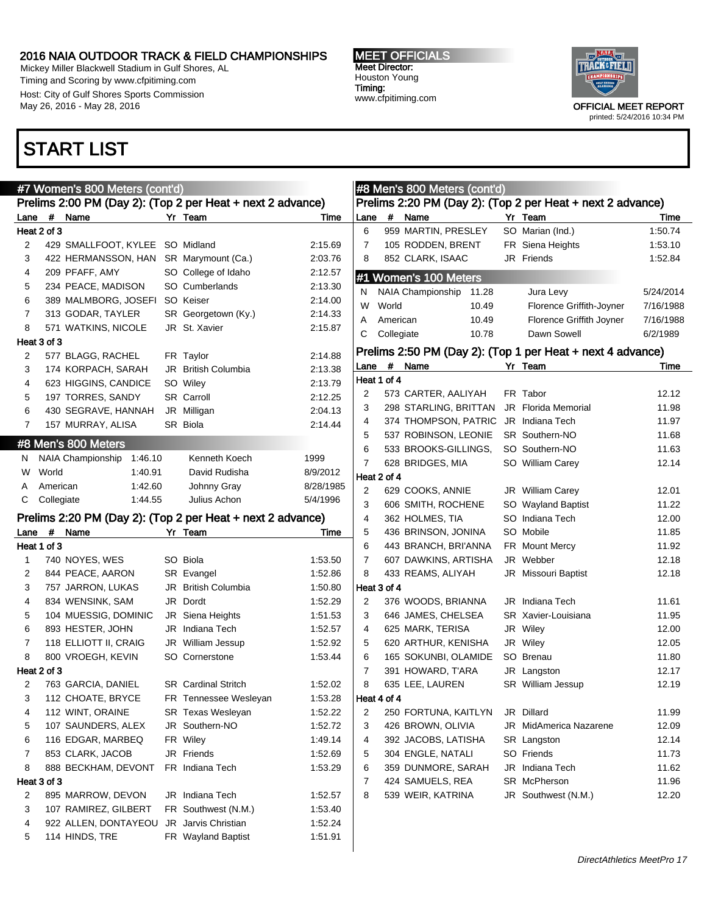Mickey Miller Blackwell Stadium in Gulf Shores, AL Timing and Scoring by www.cfpitiming.com Host: City of Gulf Shores Sports Commission May 26, 2016 - May 28, 2016

### START LIST

#### MEET OFFICIALS Meet Director: Houston Young Timing: www.cfpitiming.com

 $\frac{1}{2}$   $\frac{1}{2}$   $\frac{1}{2}$   $\frac{1}{2}$   $\frac{1}{2}$   $\frac{1}{2}$   $\frac{1}{2}$   $\frac{1}{2}$   $\frac{1}{2}$   $\frac{1}{2}$   $\frac{1}{2}$   $\frac{1}{2}$   $\frac{1}{2}$   $\frac{1}{2}$   $\frac{1}{2}$   $\frac{1}{2}$   $\frac{1}{2}$   $\frac{1}{2}$   $\frac{1}{2}$   $\frac{1}{2}$   $\frac{1}{2}$   $\frac{1}{2}$ 



|                |             | #7 Women's 800 Meters (cont'd)  |                                                            |           |             |             | #8 Men's 800 Meters (cont'd) |                                                            |           |
|----------------|-------------|---------------------------------|------------------------------------------------------------|-----------|-------------|-------------|------------------------------|------------------------------------------------------------|-----------|
|                |             |                                 | Prelims 2:00 PM (Day 2): (Top 2 per Heat + next 2 advance) |           |             |             |                              | Prelims 2:20 PM (Day 2): (Top 2 per Heat + next 2 advance) |           |
| Lane           | #           | Name                            | Yr Team                                                    | Time      | Lane        | $\#$        | Name                         | Yr Team                                                    | Time      |
|                | Heat 2 of 3 |                                 |                                                            |           | 6           |             | 959 MARTIN, PRESLEY          | SO Marian (Ind.)                                           | 1:50.74   |
| 2              |             | 429 SMALLFOOT, KYLEE SO Midland |                                                            | 2:15.69   | 7           |             | 105 RODDEN, BRENT            | FR Siena Heights                                           | 1:53.10   |
| 3              |             | 422 HERMANSSON, HAN             | SR Marymount (Ca.)                                         | 2:03.76   | 8           |             | 852 CLARK, ISAAC             | JR Friends                                                 | 1:52.84   |
| 4              |             | 209 PFAFF, AMY                  | SO College of Idaho                                        | 2:12.57   |             |             | #1 Women's 100 Meters        |                                                            |           |
| 5              |             | 234 PEACE, MADISON              | SO Cumberlands                                             | 2:13.30   | N           |             | NAIA Championship<br>11.28   | Jura Levy                                                  | 5/24/2014 |
| 6              |             | 389 MALMBORG, JOSEFI            | SO Keiser                                                  | 2:14.00   | W           | World       | 10.49                        | Florence Griffith-Joyner                                   | 7/16/1988 |
| $\overline{7}$ |             | 313 GODAR, TAYLER               | SR Georgetown (Ky.)                                        | 2:14.33   | A           |             | American<br>10.49            | Florence Griffith Joyner                                   | 7/16/1988 |
| 8              |             | 571 WATKINS, NICOLE             | JR St. Xavier                                              | 2:15.87   | С           |             | Collegiate<br>10.78          | Dawn Sowell                                                | 6/2/1989  |
|                | Heat 3 of 3 |                                 |                                                            |           |             |             |                              |                                                            |           |
| 2              |             | 577 BLAGG, RACHEL               | FR Taylor                                                  | 2:14.88   |             |             |                              | Prelims 2:50 PM (Day 2): (Top 1 per Heat + next 4 advance) |           |
| 3              |             | 174 KORPACH, SARAH              | JR British Columbia                                        | 2:13.38   | Lane        | $\#$        | Name                         | Yr Team                                                    | Time      |
| 4              |             | 623 HIGGINS, CANDICE            | SO Wiley                                                   | 2:13.79   |             | Heat 1 of 4 |                              |                                                            |           |
| 5              |             | 197 TORRES, SANDY               | SR Carroll                                                 | 2:12.25   | 2           |             | 573 CARTER, AALIYAH          | FR Tabor                                                   | 12.12     |
| 6              |             | 430 SEGRAVE, HANNAH             | JR Milligan                                                | 2:04.13   | 3           |             | 298 STARLING, BRITTAN        | <b>JR</b> Florida Memorial                                 | 11.98     |
| 7              |             | 157 MURRAY, ALISA               | SR Biola                                                   | 2:14.44   | 4           |             | 374 THOMPSON, PATRIC         | JR Indiana Tech                                            | 11.97     |
|                |             | #8 Men's 800 Meters             |                                                            |           | 5           |             | 537 ROBINSON, LEONIE         | SR Southern-NO                                             | 11.68     |
|                |             | 1:46.10                         | Kenneth Koech                                              | 1999      | 6           |             | 533 BROOKS-GILLINGS,         | SO Southern-NO                                             | 11.63     |
| N<br>W         | World       | NAIA Championship<br>1:40.91    | David Rudisha                                              | 8/9/2012  | 7           |             | 628 BRIDGES, MIA             | SO William Carey                                           | 12.14     |
|                | American    | 1:42.60                         |                                                            | 8/28/1985 |             | Heat 2 of 4 |                              |                                                            |           |
| Α              |             |                                 | Johnny Gray<br>Julius Achon                                | 5/4/1996  | 2           |             | 629 COOKS, ANNIE             | JR William Carey                                           | 12.01     |
| С              | Collegiate  | 1:44.55                         |                                                            |           | 3           |             | 606 SMITH, ROCHENE           | SO Wayland Baptist                                         | 11.22     |
|                |             |                                 | Prelims 2:20 PM (Day 2): (Top 2 per Heat + next 2 advance) |           | 4           |             | 362 HOLMES, TIA              | SO Indiana Tech                                            | 12.00     |
| Lane           | #           | Name                            | Yr Team                                                    | Time      | 5           |             | 436 BRINSON, JONINA          | SO Mobile                                                  | 11.85     |
|                | Heat 1 of 3 |                                 |                                                            |           | 6           |             | 443 BRANCH, BRI'ANNA         | <b>FR</b> Mount Mercy                                      | 11.92     |
| 1              |             | 740 NOYES, WES                  | SO Biola                                                   | 1:53.50   | 7           |             | 607 DAWKINS, ARTISHA         | JR Webber                                                  | 12.18     |
| 2              |             | 844 PEACE, AARON                | SR Evangel                                                 | 1:52.86   | 8           |             | 433 REAMS, ALIYAH            | JR Missouri Baptist                                        | 12.18     |
| 3              |             | 757 JARRON, LUKAS               | JR British Columbia                                        | 1:50.80   | Heat 3 of 4 |             |                              |                                                            |           |
| 4              |             | 834 WENSINK, SAM                | JR Dordt                                                   | 1:52.29   | 2           |             | 376 WOODS, BRIANNA           | JR Indiana Tech                                            | 11.61     |
| 5              |             | 104 MUESSIG, DOMINIC            | JR Siena Heights                                           | 1:51.53   | 3           |             | 646 JAMES, CHELSEA           | SR Xavier-Louisiana                                        | 11.95     |
| 6              |             | 893 HESTER, JOHN                | JR Indiana Tech                                            | 1:52.57   | 4           |             | 625 MARK, TERISA             | JR Wiley                                                   | 12.00     |
| $\overline{7}$ |             | 118 ELLIOTT II, CRAIG           | JR William Jessup                                          | 1:52.92   | 5           |             | 620 ARTHUR, KENISHA          | JR Wiley                                                   | 12.05     |
| 8              |             | 800 VROEGH, KEVIN               | SO Cornerstone                                             | 1:53.44   | 6           |             | 165 SOKUNBI, OLAMIDE         | SO Brenau                                                  | 11.80     |
|                | Heat 2 of 3 |                                 |                                                            |           | 7           |             | 391 HOWARD, T'ARA            | JR Langston                                                | 12.17     |
| 2              |             | 763 GARCIA, DANIEL              | <b>SR</b> Cardinal Stritch                                 | 1:52.02   | 8           |             | 635 LEE, LAUREN              | SR William Jessup                                          | 12.19     |
| 3              |             | 112 CHOATE, BRYCE               | FR Tennessee Wesleyan                                      | 1:53.28   | Heat 4 of 4 |             |                              |                                                            |           |
| 4              |             | 112 WINT, ORAINE                | SR Texas Wesleyan                                          | 1:52.22   | 2           |             | 250 FORTUNA, KAITLYN         | JR Dillard                                                 | 11.99     |
| 5              |             | 107 SAUNDERS, ALEX              | JR Southern-NO                                             | 1:52.72   | 3           |             | 426 BROWN, OLIVIA            | JR MidAmerica Nazarene                                     | 12.09     |
| 6              |             | 116 EDGAR, MARBEQ               | FR Wiley                                                   | 1:49.14   | 4           |             | 392 JACOBS, LATISHA          | SR Langston                                                | 12.14     |
| 7              |             | 853 CLARK, JACOB                | JR Friends                                                 | 1:52.69   | 5           |             | 304 ENGLE, NATALI            | SO Friends                                                 | 11.73     |
| 8              |             | 888 BECKHAM, DEVONT             | FR Indiana Tech                                            | 1:53.29   | 6           |             | 359 DUNMORE, SARAH           | JR Indiana Tech                                            | 11.62     |
|                | Heat 3 of 3 |                                 |                                                            |           | 7           |             | 424 SAMUELS, REA             | SR McPherson                                               | 11.96     |
| 2              |             | 895 MARROW, DEVON               | JR Indiana Tech                                            | 1:52.57   | 8           |             | 539 WEIR, KATRINA            | JR Southwest (N.M.)                                        | 12.20     |
| 3              |             | 107 RAMIREZ, GILBERT            | FR Southwest (N.M.)                                        | 1:53.40   |             |             |                              |                                                            |           |
| 4              |             | 922 ALLEN, DONTAYEOU            | JR Jarvis Christian                                        | 1:52.24   |             |             |                              |                                                            |           |
| 5              |             | 114 HINDS, TRE                  | FR Wayland Baptist                                         | 1:51.91   |             |             |                              |                                                            |           |
|                |             |                                 |                                                            |           |             |             |                              |                                                            |           |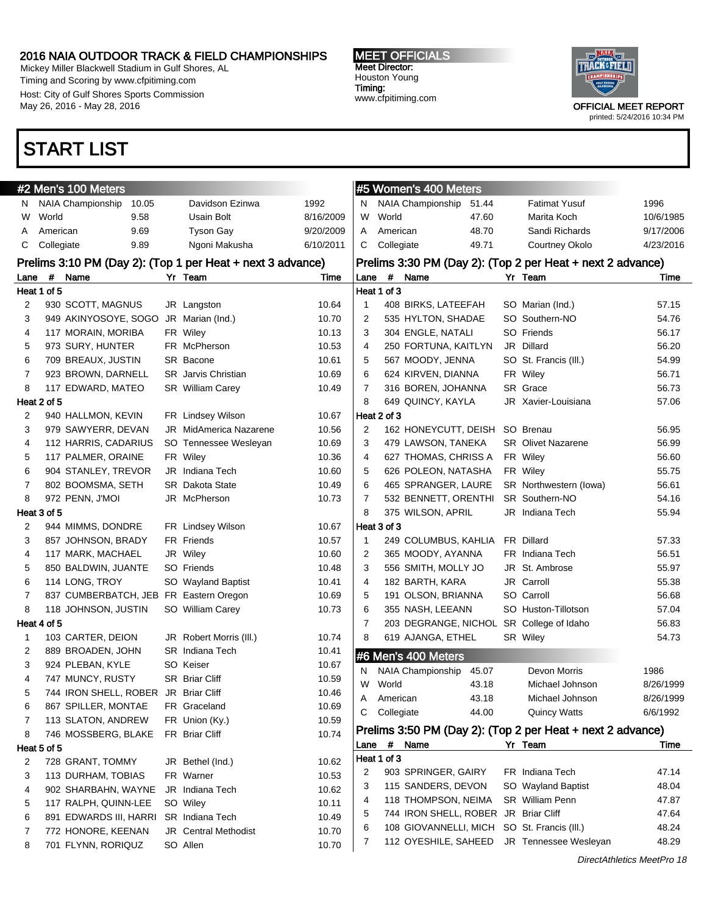Mickey Miller Blackwell Stadium in Gulf Shores, AL Timing and Scoring by www.cfpitiming.com Host: City of Gulf Shores Sports Commission May 26, 2016 - May 28, 2016

#### MEET OFFICIALS Meet Director: Houston Young Timing: www.cfpitiming.com



printed: 5/24/2016 10:34 PM

### START LIST

|                |             | #2 Men's 100 Meters                    |       |                                                            |           |              |             | #5 Women's 400 Meters                         |       |                                                            |                |
|----------------|-------------|----------------------------------------|-------|------------------------------------------------------------|-----------|--------------|-------------|-----------------------------------------------|-------|------------------------------------------------------------|----------------|
| N.             |             | NAIA Championship                      | 10.05 | Davidson Ezinwa                                            | 1992      | N            |             | <b>NAIA Championship</b>                      | 51.44 | <b>Fatimat Yusuf</b>                                       | 1996           |
| W              | World       | 9.58                                   |       | Usain Bolt                                                 | 8/16/2009 | W            | World       |                                               | 47.60 | Marita Koch                                                | 10/6/1985      |
| A              | American    | 9.69                                   |       | <b>Tyson Gay</b>                                           | 9/20/2009 | A            | American    |                                               | 48.70 | Sandi Richards                                             | 9/17/2006      |
| С              | Collegiate  | 9.89                                   |       | Ngoni Makusha                                              | 6/10/2011 | С            | Collegiate  |                                               | 49.71 | Courtney Okolo                                             | 4/23/2016      |
|                |             |                                        |       | Prelims 3:10 PM (Day 2): (Top 1 per Heat + next 3 advance) |           |              |             |                                               |       | Prelims 3:30 PM (Day 2): (Top 2 per Heat + next 2 advance) |                |
| Lane           | #           | Name                                   |       | Yr Team                                                    | Time      | Lane         | $\#$        | Name                                          |       | Yr Team                                                    | Time           |
|                | Heat 1 of 5 |                                        |       |                                                            |           |              | Heat 1 of 3 |                                               |       |                                                            |                |
| 2              |             | 930 SCOTT, MAGNUS                      |       | JR Langston                                                | 10.64     | 1            |             | 408 BIRKS, LATEEFAH                           |       | SO Marian (Ind.)                                           | 57.15          |
| 3              |             | 949 AKINYOSOYE, SOGO                   |       | JR Marian (Ind.)                                           | 10.70     | 2            |             | 535 HYLTON, SHADAE                            |       | SO Southern-NO                                             | 54.76          |
| 4              |             | 117 MORAIN, MORIBA                     |       | FR Wiley                                                   | 10.13     | 3            |             | 304 ENGLE, NATALI                             |       | SO Friends                                                 | 56.17          |
| 5              |             | 973 SURY, HUNTER                       |       | FR McPherson                                               | 10.53     | 4            |             | 250 FORTUNA, KAITLYN                          |       | JR Dillard                                                 | 56.20          |
| 6              |             | 709 BREAUX, JUSTIN                     |       | SR Bacone                                                  | 10.61     | 5            |             | 567 MOODY, JENNA                              |       | SO St. Francis (III.)                                      | 54.99          |
| 7              |             | 923 BROWN, DARNELL                     |       | <b>SR</b> Jarvis Christian                                 | 10.69     | 6            |             | 624 KIRVEN, DIANNA                            |       | FR Wiley                                                   | 56.71          |
| 8              |             | 117 EDWARD, MATEO                      |       | SR William Carey                                           | 10.49     | 7            |             | 316 BOREN, JOHANNA                            |       | SR Grace                                                   | 56.73          |
|                | Heat 2 of 5 |                                        |       |                                                            |           | 8            |             | 649 QUINCY, KAYLA                             |       | JR Xavier-Louisiana                                        | 57.06          |
| 2              |             | 940 HALLMON, KEVIN                     |       | FR Lindsey Wilson                                          | 10.67     |              | Heat 2 of 3 |                                               |       |                                                            |                |
| 3              |             | 979 SAWYERR, DEVAN                     |       | JR MidAmerica Nazarene                                     | 10.56     | 2            |             | 162 HONEYCUTT, DEISH                          |       | SO Brenau                                                  | 56.95          |
| 4              |             | 112 HARRIS, CADARIUS                   |       | SO Tennessee Wesleyan                                      | 10.69     | 3            |             | 479 LAWSON, TANEKA                            |       | <b>SR</b> Olivet Nazarene                                  | 56.99          |
| 5              |             | 117 PALMER, ORAINE                     |       | FR Wiley                                                   | 10.36     | 4            |             | 627 THOMAS, CHRISS A                          |       | FR Wiley                                                   | 56.60          |
| 6              |             | 904 STANLEY, TREVOR                    |       | JR Indiana Tech                                            | 10.60     | 5            |             | 626 POLEON, NATASHA                           |       | FR Wiley                                                   | 55.75          |
| 7              |             | 802 BOOMSMA, SETH                      |       | <b>SR</b> Dakota State                                     | 10.49     | 6            |             | 465 SPRANGER, LAURE                           |       | SR Northwestern (lowa)                                     | 56.61          |
| 8              |             | 972 PENN, J'MOI                        |       | JR McPherson                                               | 10.73     | 7            |             | 532 BENNETT, ORENTHI                          |       | SR Southern-NO                                             | 54.16          |
|                | Heat 3 of 5 |                                        |       |                                                            |           | 8            |             | 375 WILSON, APRIL                             |       | JR Indiana Tech                                            | 55.94          |
| 2              |             | 944 MIMMS, DONDRE                      |       | FR Lindsey Wilson                                          | 10.67     |              | Heat 3 of 3 |                                               |       |                                                            |                |
| 3              |             | 857 JOHNSON, BRADY                     |       | FR Friends                                                 | 10.57     | $\mathbf{1}$ |             | 249 COLUMBUS, KAHLIA                          |       | FR Dillard                                                 | 57.33          |
| 4              |             | 117 MARK, MACHAEL                      |       | JR Wiley                                                   | 10.60     | 2            |             | 365 MOODY, AYANNA                             |       | FR Indiana Tech                                            | 56.51          |
| 5              |             | 850 BALDWIN, JUANTE                    |       | SO Friends                                                 | 10.48     | 3            |             | 556 SMITH, MOLLY JO                           |       | JR St. Ambrose                                             | 55.97          |
| 6              |             | 114 LONG, TROY                         |       | SO Wayland Baptist                                         | 10.41     | 4            |             | 182 BARTH, KARA                               |       | JR Carroll                                                 | 55.38          |
| $\overline{7}$ |             | 837 CUMBERBATCH, JEB FR Eastern Oregon |       |                                                            | 10.69     | 5            |             | 191 OLSON, BRIANNA                            |       | SO Carroll                                                 | 56.68          |
| 8              |             | 118 JOHNSON, JUSTIN                    |       | SO William Carey                                           | 10.73     | 6            |             | 355 NASH, LEEANN                              |       | SO Huston-Tillotson                                        | 57.04          |
|                | Heat 4 of 5 |                                        |       |                                                            |           | 7            |             |                                               |       | 203 DEGRANGE, NICHOL SR College of Idaho                   | 56.83          |
| $\mathbf{1}$   |             | 103 CARTER, DEION                      |       | JR Robert Morris (III.)                                    | 10.74     | 8            |             | 619 AJANGA, ETHEL                             |       | SR Wiley                                                   | 54.73          |
| 2              |             | 889 BROADEN, JOHN                      |       | <b>SR</b> Indiana Tech                                     | 10.41     |              |             | #6 Men's 400 Meters                           |       |                                                            |                |
| 3              |             | 924 PLEBAN, KYLE                       |       | SO Keiser                                                  | 10.67     | N            |             | <b>NAIA Championship</b>                      | 45.07 | Devon Morris                                               | 1986           |
| 4              |             | 747 MUNCY, RUSTY                       |       | <b>SR Briar Cliff</b>                                      | 10.59     | W            | World       |                                               | 43.18 | Michael Johnson                                            | 8/26/1999      |
| 5              |             | 744 IRON SHELL, ROBER JR Briar Cliff   |       |                                                            | 10.46     | A            | American    |                                               | 43.18 | Michael Johnson                                            | 8/26/1999      |
| 6              |             | 867 SPILLER, MONTAE                    |       | FR Graceland                                               | 10.69     | С            | Collegiate  |                                               | 44.00 | <b>Quincy Watts</b>                                        | 6/6/1992       |
| 7              |             | 113 SLATON, ANDREW                     |       | FR Union (Ky.)                                             | 10.59     |              |             |                                               |       |                                                            |                |
| 8              |             | 746 MOSSBERG, BLAKE                    |       | FR Briar Cliff                                             | 10.74     |              |             |                                               |       | Prelims 3:50 PM (Day 2): (Top 2 per Heat + next 2 advance) |                |
|                | Heat 5 of 5 |                                        |       |                                                            |           |              | Lane # Name |                                               |       | Yr Team                                                    | Time           |
| 2              |             | 728 GRANT, TOMMY                       |       | JR Bethel (Ind.)                                           | 10.62     |              | Heat 1 of 3 |                                               |       |                                                            |                |
| 3              |             | 113 DURHAM, TOBIAS                     |       | FR Warner                                                  | 10.53     | 2            |             | 903 SPRINGER, GAIRY                           |       | FR Indiana Tech                                            | 47.14          |
| 4              |             | 902 SHARBAHN, WAYNE                    |       | JR Indiana Tech                                            | 10.62     | 3            |             | 115 SANDERS, DEVON                            |       | SO Wayland Baptist                                         | 48.04          |
| 5              |             | 117 RALPH, QUINN-LEE                   |       | SO Wiley                                                   | 10.11     | 4            |             | 118 THOMPSON, NEIMA                           |       | SR William Penn                                            | 47.87          |
| 6              |             | 891 EDWARDS III, HARRI                 |       | SR Indiana Tech                                            | 10.49     | 5            |             | 744 IRON SHELL, ROBER JR Briar Cliff          |       | SO St. Francis (III.)                                      | 47.64<br>48.24 |
| 7              |             | 772 HONORE, KEENAN                     |       | <b>JR</b> Central Methodist                                | 10.70     | 6            |             | 108 GIOVANNELLI, MICH<br>112 OYESHILE, SAHEED |       | JR Tennessee Wesleyan                                      | 48.29          |
| 8              |             | 701 FLYNN, RORIQUZ                     |       | SO Allen                                                   | 10.70     | 7            |             |                                               |       |                                                            |                |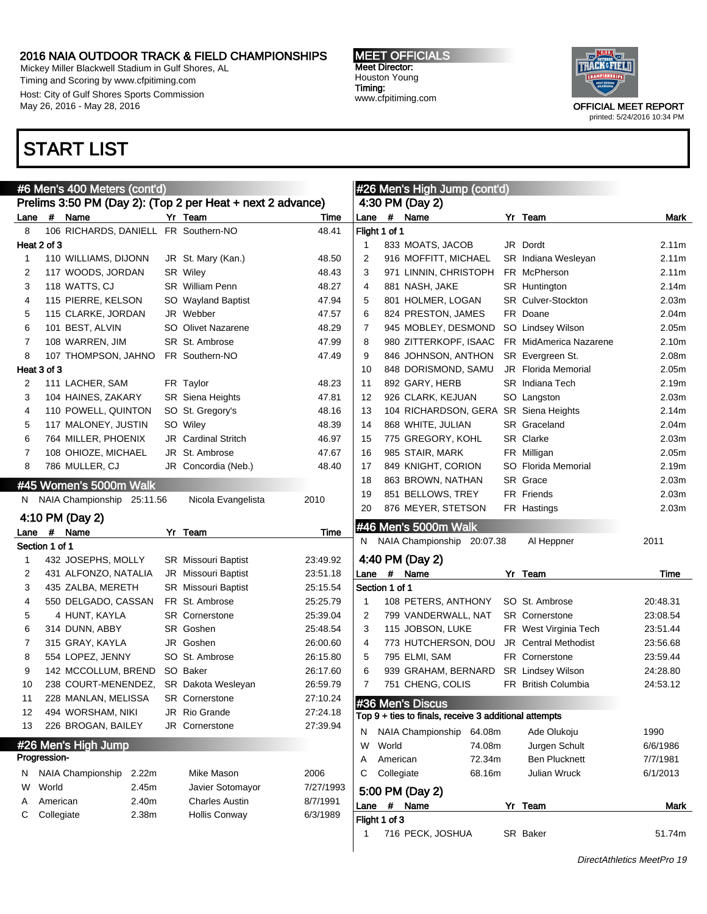Mickey Miller Blackwell Stadium in Gulf Shores, AL Timing and Scoring by www.cfpitiming.com Host: City of Gulf Shores Sports Commission May 26, 2016 - May 28, 2016

### START LIST

MEET OFFICIALS Meet Director: Houston Young Timing: www.cfpitiming.com



|      | #6 Men's 400 Meters (cont'd) |                            |  |                                                            |           |      | <b>#26 Men's High Jump (cont'd)</b> |                                                       |        |  |                             |                   |
|------|------------------------------|----------------------------|--|------------------------------------------------------------|-----------|------|-------------------------------------|-------------------------------------------------------|--------|--|-----------------------------|-------------------|
|      |                              |                            |  | Prelims 3:50 PM (Day 2): (Top 2 per Heat + next 2 advance) |           |      |                                     | 4:30 PM (Day 2)                                       |        |  |                             |                   |
| Lane |                              | # Name                     |  | Yr Team                                                    | Time      | Lane |                                     | # Name                                                |        |  | Yr Team                     | Mark              |
| 8    |                              | 106 RICHARDS, DANIELL      |  | FR Southern-NO                                             | 48.41     |      | Flight 1 of 1                       |                                                       |        |  |                             |                   |
|      | Heat 2 of 3                  |                            |  |                                                            |           | 1    |                                     | 833 MOATS, JACOB                                      |        |  | JR Dordt                    | 2.11m             |
| 1    |                              | 110 WILLIAMS, DIJONN       |  | JR St. Mary (Kan.)                                         | 48.50     | 2    |                                     | 916 MOFFITT, MICHAEL                                  |        |  | SR Indiana Wesleyan         | 2.11m             |
| 2    |                              | 117 WOODS, JORDAN          |  | SR Wiley                                                   | 48.43     | 3    |                                     | 971 LINNIN, CHRISTOPH                                 |        |  | FR McPherson                | 2.11m             |
| 3    |                              | 118 WATTS, CJ              |  | <b>SR</b> William Penn                                     | 48.27     | 4    |                                     | 881 NASH, JAKE                                        |        |  | <b>SR</b> Huntington        | 2.14m             |
| 4    |                              | 115 PIERRE, KELSON         |  | SO Wayland Baptist                                         | 47.94     | 5    |                                     | 801 HOLMER, LOGAN                                     |        |  | <b>SR</b> Culver-Stockton   | 2.03 <sub>m</sub> |
| 5    |                              | 115 CLARKE, JORDAN         |  | JR Webber                                                  | 47.57     | 6    |                                     | 824 PRESTON, JAMES                                    |        |  | FR Doane                    | 2.04m             |
| 6    |                              | 101 BEST, ALVIN            |  | SO Olivet Nazarene                                         | 48.29     | 7    |                                     | 945 MOBLEY, DESMOND                                   |        |  | SO Lindsey Wilson           | 2.05m             |
| 7    |                              | 108 WARREN, JIM            |  | SR St. Ambrose                                             | 47.99     | 8    |                                     | 980 ZITTERKOPF, ISAAC                                 |        |  | FR MidAmerica Nazarene      | 2.10m             |
| 8    |                              | 107 THOMPSON, JAHNO        |  | FR Southern-NO                                             | 47.49     | 9    |                                     | 846 JOHNSON, ANTHON                                   |        |  | SR Evergreen St.            | 2.08m             |
|      | Heat 3 of 3                  |                            |  |                                                            |           | 10   |                                     | 848 DORISMOND, SAMU                                   |        |  | <b>JR</b> Florida Memorial  | 2.05m             |
| 2    |                              | 111 LACHER, SAM            |  | FR Taylor                                                  | 48.23     | 11   |                                     | 892 GARY, HERB                                        |        |  | SR Indiana Tech             | 2.19m             |
| 3    |                              | 104 HAINES, ZAKARY         |  | SR Siena Heights                                           | 47.81     | 12   |                                     | 926 CLARK, KEJUAN                                     |        |  | SO Langston                 | 2.03m             |
| 4    |                              | 110 POWELL, QUINTON        |  | SO St. Gregory's                                           | 48.16     | 13   |                                     | 104 RICHARDSON, GERA SR Siena Heights                 |        |  |                             | 2.14m             |
| 5    |                              | 117 MALONEY, JUSTIN        |  | SO Wiley                                                   | 48.39     | 14   |                                     | 868 WHITE, JULIAN                                     |        |  | SR Graceland                | 2.04m             |
| 6    |                              | 764 MILLER, PHOENIX        |  | <b>JR</b> Cardinal Stritch                                 | 46.97     | 15   |                                     | 775 GREGORY, KOHL                                     |        |  | SR Clarke                   | 2.03 <sub>m</sub> |
| 7    |                              | 108 OHIOZE, MICHAEL        |  | JR St. Ambrose                                             | 47.67     | 16   |                                     | 985 STAIR, MARK                                       |        |  | FR Milligan                 | 2.05 <sub>m</sub> |
| 8    |                              | 786 MULLER, CJ             |  | JR Concordia (Neb.)                                        | 48.40     | 17   |                                     | 849 KNIGHT, CORION                                    |        |  | SO Florida Memorial         | 2.19m             |
|      |                              | #45 Women's 5000m Walk     |  |                                                            |           | 18   |                                     | 863 BROWN, NATHAN                                     |        |  | SR Grace                    | 2.03 <sub>m</sub> |
|      |                              |                            |  |                                                            |           | 19   |                                     | 851 BELLOWS, TREY                                     |        |  | FR Friends                  | 2.03 <sub>m</sub> |
| N.   |                              | NAIA Championship 25:11.56 |  | Nicola Evangelista                                         | 2010      | 20   |                                     | 876 MEYER, STETSON                                    |        |  | FR Hastings                 | 2.03m             |
|      |                              | 4:10 PM (Day 2)            |  |                                                            |           |      |                                     | #46 Men's 5000m Walk                                  |        |  |                             |                   |
| Lane | #                            | Name                       |  | Yr Team                                                    | Time      |      |                                     | N NAIA Championship 20:07.38                          |        |  | Al Heppner                  | 2011              |
|      | Section 1 of 1               |                            |  |                                                            |           |      |                                     |                                                       |        |  |                             |                   |
| 1    |                              | 432 JOSEPHS, MOLLY         |  | <b>SR</b> Missouri Baptist                                 | 23:49.92  |      |                                     | 4:40 PM (Day 2)                                       |        |  |                             |                   |
| 2    |                              | 431 ALFONZO, NATALIA       |  | <b>JR</b> Missouri Baptist                                 | 23:51.18  | Lane | $\#$                                | Name                                                  |        |  | Yr Team                     | Time              |
| 3    |                              | 435 ZALBA, MERETH          |  | <b>SR</b> Missouri Baptist                                 | 25:15.54  |      | Section 1 of 1                      |                                                       |        |  |                             |                   |
| 4    |                              | 550 DELGADO, CASSAN        |  | FR St. Ambrose                                             | 25:25.79  | -1   |                                     | 108 PETERS, ANTHONY                                   |        |  | SO St. Ambrose              | 20:48.31          |
| 5    |                              | 4 HUNT, KAYLA              |  | <b>SR</b> Cornerstone                                      | 25:39.04  | 2    |                                     | 799 VANDERWALL, NAT                                   |        |  | <b>SR</b> Cornerstone       | 23:08.54          |
| 6    |                              | 314 DUNN, ABBY             |  | SR Goshen                                                  | 25:48.54  | 3    |                                     | 115 JOBSON, LUKE                                      |        |  | FR West Virginia Tech       | 23:51.44          |
| 7    |                              | 315 GRAY, KAYLA            |  | JR Goshen                                                  | 26:00.60  | 4    |                                     | 773 HUTCHERSON, DOU                                   |        |  | <b>JR</b> Central Methodist | 23:56.68          |
| 8    |                              | 554 LOPEZ, JENNY           |  | SO St. Ambrose                                             | 26:15.80  | 5    |                                     | 795 ELMI, SAM                                         |        |  | FR Cornerstone              | 23:59.44          |
| 9    |                              | 142 MCCOLLUM, BREND        |  | SO Baker                                                   | 26:17.60  | 6    |                                     | 939 GRAHAM, BERNARD                                   |        |  | SR Lindsey Wilson           | 24:28.80          |
| 10   |                              | 238 COURT-MENENDEZ,        |  | <b>SR</b> Dakota Wesleyan                                  | 26:59.79  | 7    |                                     | 751 CHENG, COLIS                                      |        |  | FR British Columbia         | 24:53.12          |
| 11   |                              | 228 MANLAN, MELISSA        |  | <b>SR</b> Cornerstone                                      | 27:10.24  |      |                                     | #36 Men's Discus                                      |        |  |                             |                   |
| 12   |                              | 494 WORSHAM, NIKI          |  | JR Rio Grande                                              | 27:24.18  |      |                                     | Top 9 + ties to finals, receive 3 additional attempts |        |  |                             |                   |
| 13   |                              | 226 BROGAN, BAILEY         |  | JR Cornerstone                                             | 27:39.94  | N    |                                     | NAIA Championship                                     | 64.08m |  | Ade Olukoju                 | 1990              |
|      |                              | #26 Men's High Jump        |  |                                                            |           | W    | World                               |                                                       | 74.08m |  | Jurgen Schult               | 6/6/1986          |
|      | Progression-                 |                            |  |                                                            |           | Α    | American                            |                                                       | 72.34m |  | <b>Ben Plucknett</b>        | 7/7/1981          |
| N    |                              | NAIA Championship<br>2.22m |  | Mike Mason                                                 | 2006      | С    | Collegiate                          |                                                       | 68.16m |  | Julian Wruck                | 6/1/2013          |
| W    | World                        | 2.45m                      |  | Javier Sotomayor                                           | 7/27/1993 |      |                                     |                                                       |        |  |                             |                   |
| A    | American                     | 2.40m                      |  | <b>Charles Austin</b>                                      | 8/7/1991  |      |                                     | 5:00 PM (Day 2)                                       |        |  |                             |                   |
| С    | Collegiate                   | 2.38m                      |  | Hollis Conway                                              | 6/3/1989  | Lane |                                     | # Name                                                |        |  | Yr Team                     | Mark              |
|      |                              |                            |  |                                                            |           |      | Flight 1 of 3                       |                                                       |        |  |                             |                   |
|      |                              |                            |  |                                                            |           | 1    |                                     | 716 PECK, JOSHUA                                      |        |  | SR Baker                    | 51.74m            |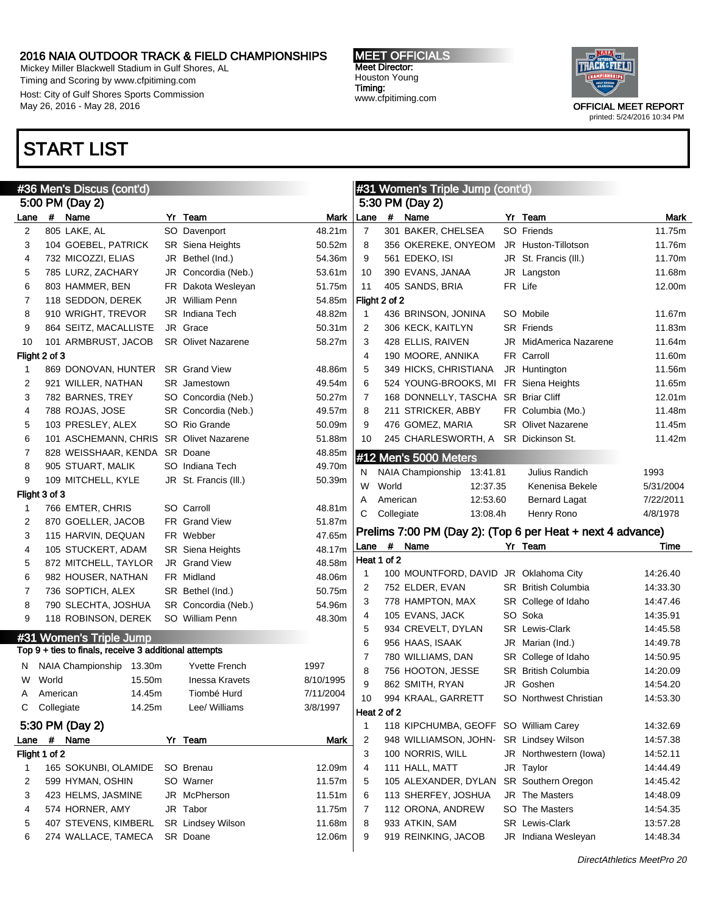Mickey Miller Blackwell Stadium in Gulf Shores, AL Timing and Scoring by www.cfpitiming.com Host: City of Gulf Shores Sports Commission May 26, 2016 - May 28, 2016

### START LIST

MEET OFFICIALS Meet Director: Houston Young Timing: www.cfpitiming.com

 $\frac{1}{2}$  Women's Triple Jump (contains)



|                |            | #36 Men's Discus (cont'd)                             |                           |           |                |            | #31 Women's Triple Jump (cont'd)      |                                                            |           |
|----------------|------------|-------------------------------------------------------|---------------------------|-----------|----------------|------------|---------------------------------------|------------------------------------------------------------|-----------|
|                |            | 5:00 PM (Day 2)                                       |                           |           |                |            | 5:30 PM (Day 2)                       |                                                            |           |
| Lane           |            | # Name                                                | Yr Team                   | Mark      | Lane           |            | # Name                                | Yr Team                                                    | Mark      |
| 2              |            | 805 LAKE, AL                                          | SO Davenport              | 48.21m    | $\overline{7}$ |            | 301 BAKER, CHELSEA                    | SO Friends                                                 | 11.75m    |
| 3              |            | 104 GOEBEL, PATRICK                                   | <b>SR</b> Siena Heights   | 50.52m    | 8              |            | 356 OKEREKE, ONYEOM                   | JR Huston-Tillotson                                        | 11.76m    |
| 4              |            | 732 MICOZZI, ELIAS                                    | JR Bethel (Ind.)          | 54.36m    | 9              |            | 561 EDEKO, ISI                        | JR St. Francis (III.)                                      | 11.70m    |
| 5              |            | 785 LURZ, ZACHARY                                     | JR Concordia (Neb.)       | 53.61m    | 10             |            | 390 EVANS, JANAA                      | JR Langston                                                | 11.68m    |
| 6              |            | 803 HAMMER, BEN                                       | FR Dakota Wesleyan        | 51.75m    | 11             |            | 405 SANDS, BRIA                       | FR Life                                                    | 12.00m    |
| $\overline{7}$ |            | 118 SEDDON, DEREK                                     | JR William Penn           | 54.85m    | Flight 2 of 2  |            |                                       |                                                            |           |
| 8              |            | 910 WRIGHT, TREVOR                                    | <b>SR</b> Indiana Tech    | 48.82m    | $\mathbf{1}$   |            | 436 BRINSON, JONINA                   | SO Mobile                                                  | 11.67m    |
| 9              |            | 864 SEITZ, MACALLISTE                                 | JR Grace                  | 50.31m    | 2              |            | 306 KECK, KAITLYN                     | <b>SR</b> Friends                                          | 11.83m    |
| 10             |            | 101 ARMBRUST, JACOB                                   | <b>SR</b> Olivet Nazarene | 58.27m    | 3              |            | 428 ELLIS, RAIVEN                     | <b>JR</b> MidAmerica Nazarene                              | 11.64m    |
| Flight 2 of 3  |            |                                                       |                           |           | 4              |            | 190 MOORE, ANNIKA                     | FR Carroll                                                 | 11.60m    |
| 1              |            | 869 DONOVAN, HUNTER                                   | <b>SR</b> Grand View      | 48.86m    | 5              |            | 349 HICKS, CHRISTIANA                 | JR Huntington                                              | 11.56m    |
| 2              |            | 921 WILLER, NATHAN                                    | <b>SR</b> Jamestown       | 49.54m    | 6              |            | 524 YOUNG-BROOKS, MI                  | FR Siena Heights                                           | 11.65m    |
| 3              |            | 782 BARNES, TREY                                      | SO Concordia (Neb.)       | 50.27m    | 7              |            | 168 DONNELLY, TASCHA SR Briar Cliff   |                                                            | 12.01m    |
| 4              |            | 788 ROJAS, JOSE                                       | SR Concordia (Neb.)       | 49.57m    | 8              |            | 211 STRICKER, ABBY                    | FR Columbia (Mo.)                                          | 11.48m    |
| 5              |            | 103 PRESLEY, ALEX                                     | SO Rio Grande             | 50.09m    | 9              |            | 476 GOMEZ, MARIA                      | <b>SR</b> Olivet Nazarene                                  | 11.45m    |
| 6              |            | 101 ASCHEMANN, CHRIS SR Olivet Nazarene               |                           | 51.88m    | 10             |            | 245 CHARLESWORTH, A                   | SR Dickinson St.                                           | 11.42m    |
| $\overline{7}$ |            | 828 WEISSHAAR, KENDA SR Doane                         |                           | 48.85m    |                |            | #12 Men's 5000 Meters                 |                                                            |           |
| 8              |            | 905 STUART, MALIK                                     | SO Indiana Tech           | 49.70m    |                |            | NAIA Championship<br>13:41.81         | Julius Randich                                             | 1993      |
| 9              |            | 109 MITCHELL, KYLE                                    | JR St. Francis (III.)     | 50.39m    | N<br>W         | World      | 12:37.35                              | Kenenisa Bekele                                            | 5/31/2004 |
| Flight 3 of 3  |            |                                                       |                           |           |                | American   | 12:53.60                              |                                                            | 7/22/2011 |
| 1              |            | 766 EMTER, CHRIS                                      | SO Carroll                | 48.81m    | Α              |            |                                       | <b>Bernard Lagat</b>                                       |           |
| 2              |            | 870 GOELLER, JACOB                                    | FR Grand View             | 51.87m    | C              | Collegiate | 13:08.4h                              | Henry Rono                                                 | 4/8/1978  |
| 3              |            | 115 HARVIN, DEQUAN                                    | FR Webber                 | 47.65m    |                |            |                                       | Prelims 7:00 PM (Day 2): (Top 6 per Heat + next 4 advance) |           |
| 4              |            | 105 STUCKERT, ADAM                                    | SR Siena Heights          | 48.17m    | Lane           | $\#$       | Name                                  | Yr Team                                                    | Time      |
| 5              |            | 872 MITCHELL, TAYLOR                                  | JR Grand View             | 48.58m    | Heat 1 of 2    |            |                                       |                                                            |           |
| 6              |            | 982 HOUSER, NATHAN                                    | FR Midland                | 48.06m    | 1              |            | 100 MOUNTFORD, DAVID                  | JR Oklahoma City                                           | 14.26.40  |
| $\overline{7}$ |            | 736 SOPTICH, ALEX                                     | SR Bethel (Ind.)          | 50.75m    | 2              |            | 752 ELDER, EVAN                       | <b>SR</b> British Columbia                                 | 14:33.30  |
| 8              |            | 790 SLECHTA, JOSHUA                                   | SR Concordia (Neb.)       | 54.96m    | 3              |            | 778 HAMPTON, MAX                      | SR College of Idaho                                        | 14:47.46  |
| 9              |            | 118 ROBINSON, DEREK                                   | SO William Penn           | 48.30m    | 4              |            | 105 EVANS, JACK                       | SO Soka                                                    | 14:35.91  |
| #31            |            | <b>Women's Triple Jump</b>                            |                           |           | 5              |            | 934 CREVELT, DYLAN                    | <b>SR</b> Lewis-Clark                                      | 14:45.58  |
|                |            | Top 9 + ties to finals, receive 3 additional attempts |                           |           | 6              |            | 956 HAAS, ISAAK                       | JR Marian (Ind.)                                           | 14:49.78  |
|                |            |                                                       |                           |           | 7              |            | 780 WILLIAMS, DAN                     | SR College of Idaho                                        | 14:50.95  |
| N.             |            | NAIA Championship 13.30m                              | <b>Yvette French</b>      | 1997      | 8              |            | 756 HOOTON, JESSE                     | <b>SR</b> British Columbia                                 | 14:20.09  |
| w              | World      | 15.50m                                                | <b>Inessa Kravets</b>     | 8/10/1995 | 9              |            | 862 SMITH, RYAN                       | JR Goshen                                                  | 14:54.20  |
| A              | American   | 14.45m                                                | Tiombé Hurd               | 7/11/2004 | 10             |            | 994 KRAAL, GARRETT                    | SO Northwest Christian                                     | 14:53.30  |
| C              | Collegiate | 14.25m                                                | Lee/ Williams             | 3/8/1997  | Heat 2 of 2    |            |                                       |                                                            |           |
|                |            | 5:30 PM (Day 2)                                       |                           |           | $\mathbf 1$    |            | 118 KIPCHUMBA, GEOFF SO William Carey |                                                            | 14:32.69  |
| Lane           |            | # Name                                                | Yr Team                   | Mark      | 2              |            | 948 WILLIAMSON, JOHN-                 | SR Lindsey Wilson                                          | 14:57.38  |
| Flight 1 of 2  |            |                                                       |                           |           | 3              |            | 100 NORRIS, WILL                      | JR Northwestern (lowa)                                     | 14:52.11  |
| 1              |            | 165 SOKUNBI, OLAMIDE                                  | SO Brenau                 | 12.09m    | 4              |            | 111 HALL, MATT                        | JR Taylor                                                  | 14:44.49  |
| 2              |            | 599 HYMAN, OSHIN                                      | SO Warner                 | 11.57m    | 5              |            | 105 ALEXANDER, DYLAN                  | SR Southern Oregon                                         | 14:45.42  |
| 3              |            | 423 HELMS, JASMINE                                    | JR McPherson              | 11.51m    | 6              |            | 113 SHERFEY, JOSHUA                   | JR The Masters                                             | 14:48.09  |
| 4              |            | 574 HORNER, AMY                                       | JR Tabor                  | 11.75m    | 7              |            | 112 ORONA, ANDREW                     | SO The Masters                                             | 14:54.35  |
| 5              |            | 407 STEVENS, KIMBERL                                  | SR Lindsey Wilson         | 11.68m    | 8              |            | 933 ATKIN, SAM                        | SR Lewis-Clark                                             | 13:57.28  |
| 6              |            | 274 WALLACE, TAMECA                                   | SR Doane                  | 12.06m    | 9              |            | 919 REINKING, JACOB                   | JR Indiana Wesleyan                                        | 14:48.34  |
|                |            |                                                       |                           |           |                |            |                                       |                                                            |           |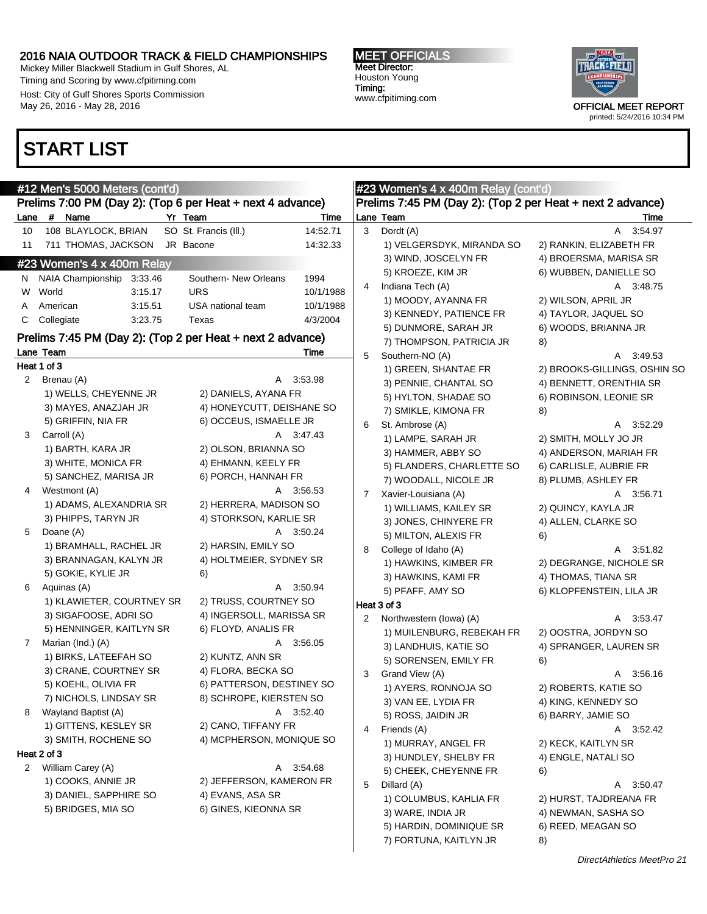Mickey Miller Blackwell Stadium in Gulf Shores, AL Timing and Scoring by www.cfpitiming.com Host: City of Gulf Shores Sports Commission May 26, 2016 - May 28, 2016

### START LIST



|             | #12 Men's 5000 Meters (cont'd)<br>Prelims 7:00 PM (Day 2): (Top 6 per Heat + next 4 advance) |                                   |   | #23 Women's 4 x 400m Relay (cont'd)<br>Prelims 7:45 PM (Day 2): (Top 2 per Heat + next 2 advance) |                              |
|-------------|----------------------------------------------------------------------------------------------|-----------------------------------|---|---------------------------------------------------------------------------------------------------|------------------------------|
|             | Lane # Name<br>Yr Team                                                                       | Time                              |   | Lane Team                                                                                         | Time                         |
| 10          | 108 BLAYLOCK, BRIAN                                                                          | SO St. Francis (III.)<br>14:52.71 | 3 | Dordt (A)                                                                                         | A 3:54.97                    |
| 11          | 711 THOMAS, JACKSON JR Bacone                                                                | 14:32.33                          |   | 1) VELGERSDYK, MIRANDA SO                                                                         | 2) RANKIN, ELIZABETH FR      |
|             | #23 Women's 4 x 400m Relay                                                                   |                                   |   | 3) WIND, JOSCELYN FR                                                                              | 4) BROERSMA, MARISA SR       |
|             |                                                                                              |                                   |   | 5) KROEZE, KIM JR                                                                                 | 6) WUBBEN, DANIELLE SO       |
|             | N NAIA Championship 3:33.46                                                                  | Southern- New Orleans<br>1994     | 4 | Indiana Tech (A)                                                                                  | A 3:48.75                    |
|             | W World<br>3:15.17                                                                           | <b>URS</b><br>10/1/1988           |   | 1) MOODY, AYANNA FR                                                                               | 2) WILSON, APRIL JR          |
| A           | American<br>3:15.51                                                                          | USA national team<br>10/1/1988    |   | 3) KENNEDY, PATIENCE FR                                                                           | 4) TAYLOR, JAQUEL SO         |
| C           | Collegiate<br>3:23.75                                                                        | Texas<br>4/3/2004                 |   | 5) DUNMORE, SARAH JR                                                                              | 6) WOODS, BRIANNA JR         |
|             | Prelims 7:45 PM (Day 2): (Top 2 per Heat + next 2 advance)                                   |                                   |   | 7) THOMPSON, PATRICIA JR                                                                          | 8)                           |
|             | Lane Team                                                                                    | Time                              | 5 | Southern-NO (A)                                                                                   | A 3:49.53                    |
|             | Heat 1 of 3                                                                                  |                                   |   | 1) GREEN, SHANTAE FR                                                                              | 2) BROOKS-GILLINGS, OSHIN SO |
|             | 2 Brenau (A)                                                                                 | A 3:53.98                         |   | 3) PENNIE, CHANTAL SO                                                                             | 4) BENNETT, ORENTHIA SR      |
|             | 1) WELLS, CHEYENNE JR                                                                        | 2) DANIELS, AYANA FR              |   | 5) HYLTON, SHADAE SO                                                                              | 6) ROBINSON, LEONIE SR       |
|             | 3) MAYES, ANAZJAH JR                                                                         | 4) HONEYCUTT, DEISHANE SO         |   | 7) SMIKLE, KIMONA FR                                                                              | 8)                           |
|             | 5) GRIFFIN, NIA FR                                                                           | 6) OCCEUS, ISMAELLE JR            | 6 | St. Ambrose (A)                                                                                   | A 3:52.29                    |
| 3           | Carroll (A)                                                                                  | A 3:47.43                         |   | 1) LAMPE, SARAH JR                                                                                | 2) SMITH, MOLLY JO JR        |
|             | 1) BARTH, KARA JR                                                                            | 2) OLSON, BRIANNA SO              |   |                                                                                                   |                              |
|             | 3) WHITE, MONICA FR                                                                          | 4) EHMANN, KEELY FR               |   | 3) HAMMER, ABBY SO                                                                                | 4) ANDERSON, MARIAH FR       |
|             | 5) SANCHEZ, MARISA JR                                                                        | 6) PORCH, HANNAH FR               |   | 5) FLANDERS, CHARLETTE SO                                                                         | 6) CARLISLE, AUBRIE FR       |
| 4           | Westmont (A)                                                                                 | A 3:56.53                         |   | 7) WOODALL, NICOLE JR                                                                             | 8) PLUMB, ASHLEY FR          |
|             | 1) ADAMS, ALEXANDRIA SR                                                                      | 2) HERRERA, MADISON SO            | 7 | Xavier-Louisiana (A)                                                                              | A 3:56.71                    |
|             | 3) PHIPPS, TARYN JR                                                                          | 4) STORKSON, KARLIE SR            |   | 1) WILLIAMS, KAILEY SR                                                                            | 2) QUINCY, KAYLA JR          |
| 5           | Doane (A)                                                                                    | A 3:50.24                         |   | 3) JONES, CHINYERE FR                                                                             | 4) ALLEN, CLARKE SO          |
|             | 1) BRAMHALL, RACHEL JR                                                                       | 2) HARSIN, EMILY SO               |   | 5) MILTON, ALEXIS FR                                                                              | 6)                           |
|             | 3) BRANNAGAN, KALYN JR                                                                       | 4) HOLTMEIER, SYDNEY SR           | 8 | College of Idaho (A)                                                                              | A 3:51.82                    |
|             | 5) GOKIE, KYLIE JR                                                                           | 6)                                |   | 1) HAWKINS, KIMBER FR                                                                             | 2) DEGRANGE, NICHOLE SR      |
| 6           | Aquinas (A)                                                                                  | A 3:50.94                         |   | 3) HAWKINS, KAMI FR                                                                               | 4) THOMAS, TIANA SR          |
|             |                                                                                              | 2) TRUSS, COURTNEY SO             |   | 5) PFAFF, AMY SO                                                                                  | 6) KLOPFENSTEIN, LILA JR     |
|             | 1) KLAWIETER, COURTNEY SR                                                                    |                                   |   | Heat 3 of 3                                                                                       |                              |
|             | 3) SIGAFOOSE, ADRI SO                                                                        | 4) INGERSOLL, MARISSA SR          | 2 | Northwestern (lowa) (A)                                                                           | A 3:53.47                    |
|             | 5) HENNINGER, KAITLYN SR                                                                     | 6) FLOYD, ANALIS FR               |   | 1) MUILENBURG, REBEKAH FR                                                                         | 2) OOSTRA, JORDYN SO         |
| $7^{\circ}$ | Marian (Ind.) (A)                                                                            | A 3:56.05                         |   | 3) LANDHUIS, KATIE SO                                                                             | 4) SPRANGER, LAUREN SR       |
|             | 1) BIRKS, LATEEFAH SO                                                                        | 2) KUNTZ, ANN SR                  |   | 5) SORENSEN, EMILY FR                                                                             | 6)                           |
|             | 3) CRANE, COURTNEY SR                                                                        | 4) FLORA, BECKA SO                | 3 | Grand View (A)                                                                                    | A 3:56.16                    |
|             | 5) KOEHL, OLIVIA FR                                                                          | 6) PATTERSON, DESTINEY SO         |   | 1) AYERS, RONNOJA SO                                                                              | 2) ROBERTS, KATIE SO         |
|             | 7) NICHOLS, LINDSAY SR                                                                       | 8) SCHROPE, KIERSTEN SO           |   | 3) VAN EE, LYDIA FR                                                                               | 4) KING, KENNEDY SO          |
| 8           | Wayland Baptist (A)                                                                          | A 3:52.40                         |   | 5) ROSS, JAIDIN JR                                                                                | 6) BARRY, JAMIE SO           |
|             | 1) GITTENS, KESLEY SR                                                                        | 2) CANO, TIFFANY FR               | 4 | Friends (A)                                                                                       | A 3:52.42                    |
|             | 3) SMITH, ROCHENE SO                                                                         | 4) MCPHERSON, MONIQUE SO          |   | 1) MURRAY, ANGEL FR                                                                               | 2) KECK, KAITLYN SR          |
|             | Heat 2 of 3                                                                                  |                                   |   | 3) HUNDLEY, SHELBY FR                                                                             | 4) ENGLE, NATALI SO          |
|             | 2 William Carey (A)                                                                          | A 3:54.68                         |   | 5) CHEEK, CHEYENNE FR                                                                             | 6)                           |
|             | 1) COOKS, ANNIE JR                                                                           | 2) JEFFERSON, KAMERON FR          | 5 | Dillard (A)                                                                                       | A 3:50.47                    |
|             | 3) DANIEL, SAPPHIRE SO                                                                       | 4) EVANS, ASA SR                  |   | 1) COLUMBUS, KAHLIA FR                                                                            | 2) HURST, TAJDREANA FR       |
|             | 5) BRIDGES, MIA SO                                                                           | 6) GINES, KIEONNA SR              |   | 3) WARE, INDIA JR                                                                                 | 4) NEWMAN, SASHA SO          |
|             |                                                                                              |                                   |   | 5) HARDIN, DOMINIQUE SR                                                                           | 6) REED, MEAGAN SO           |
|             |                                                                                              |                                   |   |                                                                                                   |                              |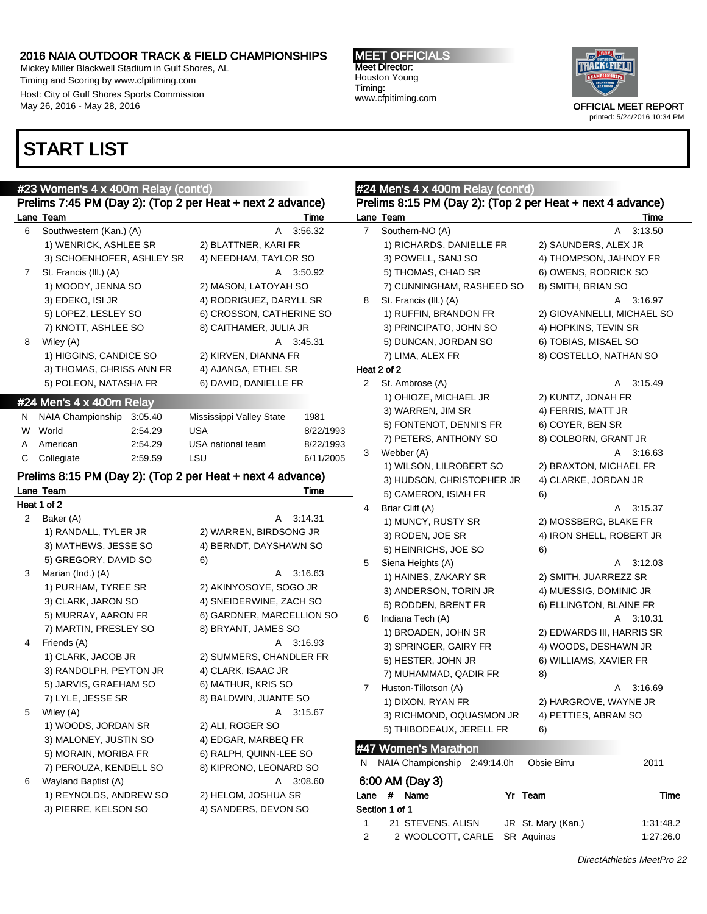Mickey Miller Blackwell Stadium in Gulf Shores, AL Timing and Scoring by www.cfpitiming.com Host: City of Gulf Shores Sports Commission May 26, 2016 - May 28, 2016

### START LIST

#23 Women's 4

#### MEET OFFICIALS Meet Director: Houston Young Timing: www.cfpitiming.com



|                | #23 Women's 4 x 400m Relay (cont'd)                        |                           |           |                | #24 Men's 4 x 400m Relay (cont'd)                          |                                 |  |
|----------------|------------------------------------------------------------|---------------------------|-----------|----------------|------------------------------------------------------------|---------------------------------|--|
|                | Prelims 7:45 PM (Day 2): (Top 2 per Heat + next 2 advance) |                           |           |                | Prelims 8:15 PM (Day 2): (Top 2 per Heat + next 4 advance) |                                 |  |
|                | Lane Team                                                  |                           | Time      |                | Lane Team                                                  | Time                            |  |
| 6              | Southwestern (Kan.) (A)                                    | A                         | 3:56.32   | $\overline{7}$ | Southern-NO (A)                                            | A<br>3:13.50                    |  |
|                | 1) WENRICK, ASHLEE SR                                      | 2) BLATTNER, KARI FR      |           |                | 1) RICHARDS, DANIELLE FR                                   | 2) SAUNDERS, ALEX JR            |  |
|                | 3) SCHOENHOFER, ASHLEY SR                                  | 4) NEEDHAM, TAYLOR SO     |           |                | 3) POWELL, SANJ SO                                         | 4) THOMPSON, JAHNOY FR          |  |
| 7 <sup>7</sup> | St. Francis (III.) (A)                                     |                           | A 3:50.92 |                | 5) THOMAS, CHAD SR                                         | 6) OWENS, RODRICK SO            |  |
|                | 1) MOODY, JENNA SO                                         | 2) MASON, LATOYAH SO      |           |                | 7) CUNNINGHAM, RASHEED SO                                  | 8) SMITH, BRIAN SO              |  |
|                | 3) EDEKO, ISI JR                                           | 4) RODRIGUEZ, DARYLL SR   |           | 8              | St. Francis (III.) (A)                                     | A 3:16.97                       |  |
|                | 5) LOPEZ, LESLEY SO                                        | 6) CROSSON, CATHERINE SO  |           |                | 1) RUFFIN, BRANDON FR                                      | 2) GIOVANNELLI, MICHAEL SO      |  |
|                | 7) KNOTT, ASHLEE SO                                        | 8) CAITHAMER, JULIA JR    |           |                | 3) PRINCIPATO, JOHN SO                                     | 4) HOPKINS, TEVIN SR            |  |
| 8              | Wiley (A)                                                  |                           | A 3:45.31 |                | 5) DUNCAN, JORDAN SO                                       | 6) TOBIAS, MISAEL SO            |  |
|                | 1) HIGGINS, CANDICE SO                                     | 2) KIRVEN, DIANNA FR      |           |                | 7) LIMA, ALEX FR                                           | 8) COSTELLO, NATHAN SO          |  |
|                | 3) THOMAS, CHRISS ANN FR                                   | 4) AJANGA, ETHEL SR       |           |                | Heat 2 of 2                                                |                                 |  |
|                | 5) POLEON, NATASHA FR                                      | 6) DAVID, DANIELLE FR     |           | $\mathbf{2}$   | St. Ambrose (A)                                            | 3:15.49<br>A                    |  |
|                |                                                            |                           |           |                | 1) OHIOZE, MICHAEL JR                                      | 2) KUNTZ, JONAH FR              |  |
|                | #24 Men's 4 x 400m Relay                                   |                           |           |                | 3) WARREN, JIM SR                                          | 4) FERRIS, MATT JR              |  |
| N,             | NAIA Championship 3:05.40                                  | Mississippi Valley State  | 1981      |                | 5) FONTENOT, DENNI'S FR                                    | 6) COYER, BEN SR                |  |
| W              | World<br>2:54.29                                           | <b>USA</b>                | 8/22/1993 |                | 7) PETERS, ANTHONY SO                                      | 8) COLBORN, GRANT JR            |  |
| A              | 2:54.29<br>American                                        | USA national team         | 8/22/1993 | 3              | Webber (A)                                                 | A 3:16.63                       |  |
| C              | Collegiate<br>2:59.59                                      | LSU                       | 6/11/2005 |                | 1) WILSON, LILROBERT SO                                    | 2) BRAXTON, MICHAEL FR          |  |
|                | Prelims 8:15 PM (Day 2): (Top 2 per Heat + next 4 advance) |                           |           |                | 3) HUDSON, CHRISTOPHER JR                                  | 4) CLARKE, JORDAN JR            |  |
|                | Lane Team                                                  |                           | Time      |                | 5) CAMERON, ISIAH FR                                       | 6)                              |  |
|                | Heat 1 of 2                                                |                           |           | 4              | Briar Cliff (A)                                            | 3:15.37<br>A                    |  |
| 2              | Baker (A)                                                  |                           | A 3:14.31 |                | 1) MUNCY, RUSTY SR                                         | 2) MOSSBERG, BLAKE FR           |  |
|                | 1) RANDALL, TYLER JR                                       | 2) WARREN, BIRDSONG JR    |           |                | 3) RODEN, JOE SR                                           | 4) IRON SHELL, ROBERT JR        |  |
|                | 3) MATHEWS, JESSE SO                                       | 4) BERNDT, DAYSHAWN SO    |           |                | 5) HEINRICHS, JOE SO                                       | 6)                              |  |
|                | 5) GREGORY, DAVID SO                                       | 6)                        |           | 5              |                                                            | A 3:12.03                       |  |
| 3              | Marian (Ind.) (A)                                          |                           | A 3:16.63 |                | Siena Heights (A)                                          |                                 |  |
|                | 1) PURHAM, TYREE SR                                        | 2) AKINYOSOYE, SOGO JR    |           |                | 1) HAINES, ZAKARY SR                                       | 2) SMITH, JUARREZZ SR           |  |
|                | 3) CLARK, JARON SO                                         | 4) SNEIDERWINE, ZACH SO   |           |                | 3) ANDERSON, TORIN JR                                      | 4) MUESSIG, DOMINIC JR          |  |
|                | 5) MURRAY, AARON FR                                        | 6) GARDNER, MARCELLION SO |           | 6              | 5) RODDEN, BRENT FR                                        | 6) ELLINGTON, BLAINE FR         |  |
|                | 7) MARTIN, PRESLEY SO                                      | 8) BRYANT, JAMES SO       |           |                | Indiana Tech (A)                                           | A 3:10.31                       |  |
| 4              | Friends (A)                                                |                           | A 3:16.93 |                | 1) BROADEN, JOHN SR                                        | 2) EDWARDS III, HARRIS SR       |  |
|                | 1) CLARK, JACOB JR                                         | 2) SUMMERS, CHANDLER FR   |           |                | 3) SPRINGER, GAIRY FR                                      | 4) WOODS, DESHAWN JR            |  |
|                | 3) RANDOLPH, PEYTON JR                                     | 4) CLARK, ISAAC JR        |           |                | 5) HESTER, JOHN JR                                         | 6) WILLIAMS, XAVIER FR          |  |
|                | 5) JARVIS, GRAEHAM SO                                      | 6) MATHUR, KRIS SO        |           |                | 7) MUHAMMAD, QADIR FR                                      | 8)                              |  |
|                | 7) LYLE, JESSE SR                                          | 8) BALDWIN, JUANTE SO     |           | 7              | Huston-Tillotson (A)                                       | A 3:16.69                       |  |
| 5              | Wiley (A)                                                  |                           | A 3:15.67 |                | 1) DIXON, RYAN FR                                          | 2) HARGROVE, WAYNE JR           |  |
|                | 1) WOODS, JORDAN SR                                        | 2) ALI, ROGER SO          |           |                | 3) RICHMOND, OQUASMON JR                                   | 4) PETTIES, ABRAM SO            |  |
|                | 3) MALONEY, JUSTIN SO                                      | 4) EDGAR, MARBEQ FR       |           |                | 5) THIBODEAUX, JERELL FR                                   | 6)                              |  |
|                | 5) MORAIN, MORIBA FR                                       | 6) RALPH, QUINN-LEE SO    |           |                | #47 Women's Marathon                                       |                                 |  |
|                | 7) PEROUZA, KENDELL SO                                     | 8) KIPRONO, LEONARD SO    |           | N              | NAIA Championship 2:49:14.0h                               | Obsie Birru<br>2011             |  |
| 6              | Wayland Baptist (A)                                        |                           | A 3:08.60 |                | 6:00 AM (Day 3)                                            |                                 |  |
|                | 1) REYNOLDS, ANDREW SO                                     | 2) HELOM, JOSHUA SR       |           |                | Lane # Name<br>Yr Team                                     | <b>Time</b>                     |  |
|                | 3) PIERRE, KELSON SO                                       | 4) SANDERS, DEVON SO      |           |                | Section 1 of 1                                             |                                 |  |
|                |                                                            |                           |           | 1              | 21 STEVENS, ALISN                                          | JR St. Mary (Kan.)<br>1:31:48.2 |  |
|                |                                                            |                           |           | 2              | 2 WOOLCOTT, CARLE<br>SR Aquinas                            | 1:27:26.0                       |  |
|                |                                                            |                           |           |                |                                                            |                                 |  |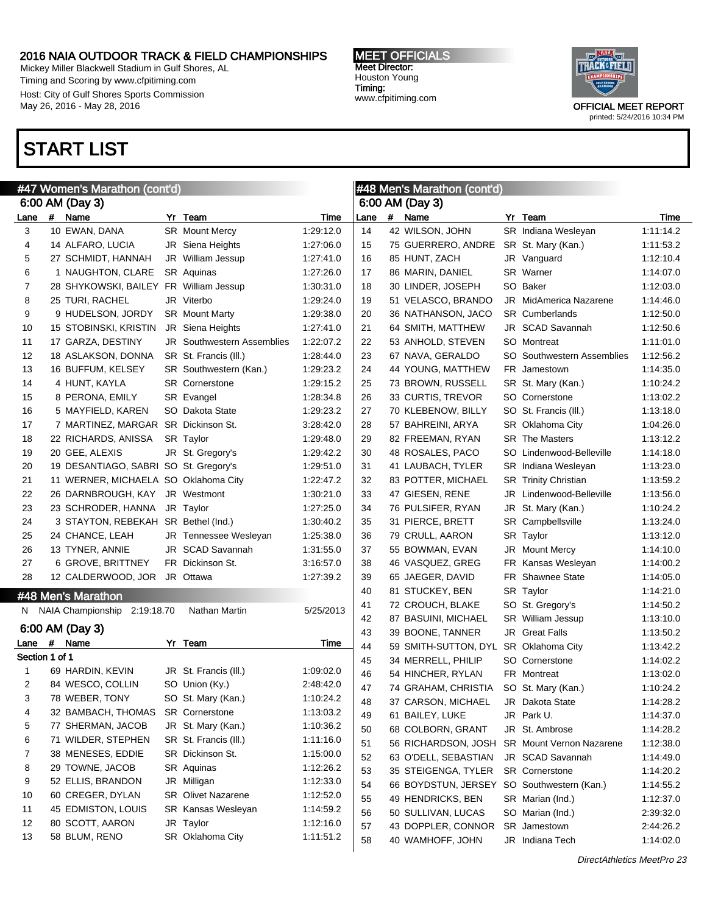Mickey Miller Blackwell Stadium in Gulf Shores, AL Timing and Scoring by www.cfpitiming.com Host: City of Gulf Shores Sports Commission May 26, 2016 - May 28, 2016

### START LIST

#### #47 Women's Marathon (cont'd) 6:00 AM (Day 3) Lane # Name Yr Team Time 3 10 EWAN, DANA SR Mount Mercy 1:29:12.0 4 14 ALFARO, LUCIA JR Siena Heights 1:27:06.0 5 27 SCHMIDT, HANNAH JR William Jessup 1:27:41.0 6 1 NAUGHTON, CLARE SR Aquinas 1:27:26.0 7 28 SHYKOWSKI, BAILEY FR William Jessup 1:30:31.0 8 25 TURI, RACHEL JR Viterbo 1:29:24.0 9 9 HUDELSON, JORDY SR Mount Marty 1:29:38.0 10 15 STOBINSKI, KRISTIN JR Siena Heights 1:27:41.0 11 17 GARZA, DESTINY JR Southwestern Assemblies 1:22:07.2 12 18 ASLAKSON, DONNA SR St. Francis (Ill.) 1:28:44.0 13 16 BUFFUM, KELSEY SR Southwestern (Kan.) 1:29:23.2 14 4 HUNT, KAYLA SR Cornerstone 1:29:15.2 15 8 PERONA, EMILY SR Evangel 1:28:34.8 16 5 MAYFIELD, KAREN SO Dakota State 1:29:23.2 17 7 MARTINEZ, MARGAR SR Dickinson St. 3:28:42.0 18 22 RICHARDS, ANISSA SR Taylor 1:29:48.0 19 20 GEE, ALEXIS JR St. Gregory's 1:29:42.2 20 19 DESANTIAGO, SABRI SO St. Gregory's 1:29:51.0 21 11 WERNER, MICHAELA SO Oklahoma City 1:22:47.2 22 26 DARNBROUGH, KAY JR Westmont 1:30:21.0 23 23 SCHRODER, HANNA JR Taylor 1:27:25.0 24 3 STAYTON, REBEKAH SR Bethel (Ind.) 1:30:40.2 25 24 CHANCE, LEAH JR Tennessee Wesleyan 1:25:38.0 26 13 TYNER, ANNIE JR SCAD Savannah 1:31:55.0 27 6 GROVE, BRITTNEY FR Dickinson St. 3:16:57.0 28 12 CALDERWOOD, JOR JR Ottawa 1:27:39.2 #48 Men's Marathon N NAIA Championship 2:19:18.70 Nathan Martin 5/25/2013 6:00 AM (Day 3) Lane # Name Yr Team Time Section 1 of 1 1 69 HARDIN, KEVIN JR St. Francis (Ill.) 1:09:02.0 2 84 WESCO, COLLIN SO Union (Ky.) 2:48:42.0 3 78 WEBER, TONY SO St. Mary (Kan.) 1:10:24.2 4 32 BAMBACH, THOMAS SR Cornerstone 1:13:03.2 5 77 SHERMAN, JACOB JR St. Mary (Kan.) 1:10:36.2 6 71 WILDER, STEPHEN SR St. Francis (Ill.) 1:11:16.0 7 38 MENESES, EDDIE SR Dickinson St. 1:15:00.0 8 29 TOWNE, JACOB SR Aquinas 1:12:26.2 9 52 ELLIS, BRANDON JR Milligan 1:12:33.0 10 60 CREGER, DYLAN SR Olivet Nazarene 1:12:52.0 11 45 EDMISTON, LOUIS SR Kansas Wesleyan 1:14:59.2 12 80 SCOTT, AARON JR Taylor 1:12:16.0 13 58 BLUM, RENO SR Oklahoma City 1:11:51.2 #48 Men's Marathon (cont'd) 6:00 AM (Day 3) Lane # Name Yr Team Time 14 42 WILSON, JOHN SR Indiana Wesleyan 1:11:14.2 15 75 GUERRERO, ANDRE SR St. Mary (Kan.) 1:11:53.2 16 85 HUNT, ZACH JR Vanguard 1:12:10.4 17 86 MARIN, DANIEL SR Warner 1:14:07.0 18 30 LINDER, JOSEPH SO Baker 1:12:03.0 19 51 VELASCO, BRANDO JR MidAmerica Nazarene 1:14:46.0 20 36 NATHANSON, JACO SR Cumberlands 1:12:50.0 21 64 SMITH, MATTHEW JR SCAD Savannah 1:12:50.6 22 53 ANHOLD, STEVEN SO Montreat 1:11:01.0 23 67 NAVA, GERALDO SO Southwestern Assemblies 1:12:56.2 24 44 YOUNG, MATTHEW FR Jamestown 1:14:35.0 25 73 BROWN, RUSSELL SR St. Mary (Kan.) 1:10:24.2 26 33 CURTIS, TREVOR SO Cornerstone 1:13:02.2 27 70 KLEBENOW, BILLY SO St. Francis (Ill.) 1:13:18.0 28 57 BAHREINI, ARYA SR Oklahoma City 1:04:26.0 29 82 FREEMAN, RYAN SR The Masters 1:13:12.2 30 48 ROSALES, PACO SO Lindenwood-Belleville 1:14:18.0 31 41 LAUBACH, TYLER SR Indiana Wesleyan 1:13:23.0 32 83 POTTER, MICHAEL SR Trinity Christian 1:13:59.2 33 47 GIESEN, RENE JR Lindenwood-Belleville 1:13:56.0 34 76 PULSIFER, RYAN JR St. Mary (Kan.) 1:10:24.2 35 31 PIERCE, BRETT SR Campbellsville 1:13:24.0 36 79 CRULL, AARON SR Taylor 1:13:12.0 37 55 BOWMAN, EVAN JR Mount Mercy 1:14:10.0 38 46 VASQUEZ, GREG FR Kansas Wesleyan 1:14:00.2 39 65 JAEGER, DAVID FR Shawnee State 1:14:05.0 40 81 STUCKEY, BEN SR Taylor 1:14:21.0 41 72 CROUCH, BLAKE SO St. Gregory's 1:14:50.2 42 87 BASUINI, MICHAEL SR William Jessup 1:13:10.0 43 39 BOONE, TANNER JR Great Falls 1:13:50.2 44 59 SMITH-SUTTON, DYL SR Oklahoma City 1:13:42.2 45 34 MERRELL, PHILIP SO Cornerstone 1:14:02.2 46 54 HINCHER, RYLAN FR Montreat 1:13:02.0 47 74 GRAHAM, CHRISTIA SO St. Mary (Kan.) 1:10:24.2 48 37 CARSON, MICHAEL JR Dakota State 1:14:28.2 49 61 BAILEY, LUKE JR Park U. 1:14:37.0 50 68 COLBORN, GRANT JR St. Ambrose 1:14:28.2 51 56 RICHARDSON, JOSH SR Mount Vernon Nazarene 1:12:38.0 52 63 O'DELL, SEBASTIAN JR SCAD Savannah 1:14:49.0 53 35 STEIGENGA, TYLER SR Cornerstone 1:14:20.2 54 66 BOYDSTUN, JERSEY SO Southwestern (Kan.) 1:14:55.2 55 49 HENDRICKS, BEN SR Marian (Ind.) 1:12:37.0 56 50 SULLIVAN, LUCAS SO Marian (Ind.) 2:39:32.0 57 43 DOPPLER, CONNOR SR Jamestown 2:44:26.2 58 40 WAMHOFF, JOHN JR Indiana Tech 1:14:02.0

MEET OFFICIALS Meet Director: Houston Young Timing: www.cfpitiming.com

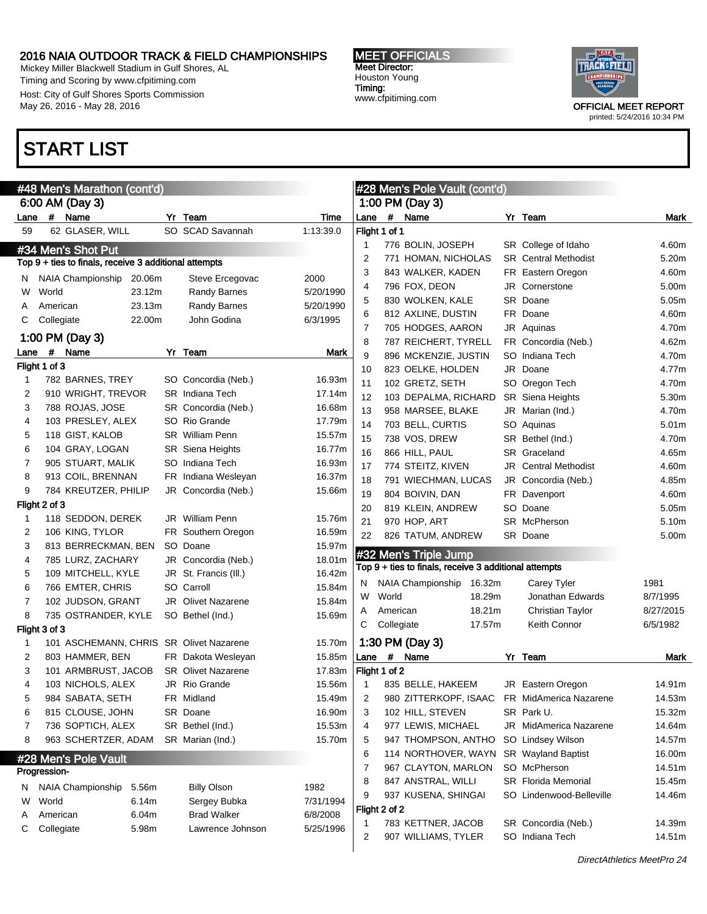Mickey Miller Blackwell Stadium in Gulf Shores, AL Timing and Scoring by www.cfpitiming.com Host: City of Gulf Shores Sports Commission May 26, 2016 - May 28, 2016

### START LIST

#### MEET OFFICIALS Meet Director: Houston Young Timing: www.cfpitiming.com



|                       |       |            | #48 Men's Marathon (cont'd)                           |        |                           |           |                |               | #28 Men's Pole Vault (cont'd)                         |        |                             |                   |
|-----------------------|-------|------------|-------------------------------------------------------|--------|---------------------------|-----------|----------------|---------------|-------------------------------------------------------|--------|-----------------------------|-------------------|
|                       |       |            | 6:00 AM (Day 3)                                       |        |                           |           |                |               | 1:00 PM (Day 3)                                       |        |                             |                   |
| Lane                  |       |            | # Name                                                |        | Yr Team                   | Time      | Lane           |               | # Name                                                |        | Yr Team                     | Mark              |
| 59                    |       |            | 62 GLASER, WILL                                       |        | SO SCAD Savannah          | 1:13:39.0 |                | Flight 1 of 1 |                                                       |        |                             |                   |
|                       |       |            | #34 Men's Shot Put                                    |        |                           |           | $\mathbf{1}$   |               | 776 BOLIN, JOSEPH                                     |        | SR College of Idaho         | 4.60m             |
|                       |       |            | Top 9 + ties to finals, receive 3 additional attempts |        |                           |           | $\overline{2}$ |               | 771 HOMAN, NICHOLAS                                   |        | <b>SR</b> Central Methodist | 5.20m             |
| N.                    |       |            | NAIA Championship                                     | 20.06m | Steve Ercegovac           | 2000      | 3              |               | 843 WALKER, KADEN                                     |        | FR Eastern Oregon           | 4.60m             |
| W                     | World |            |                                                       | 23.12m | <b>Randy Barnes</b>       | 5/20/1990 | 4              |               | 796 FOX, DEON                                         |        | JR Cornerstone              | 5.00m             |
| A                     |       | American   |                                                       | 23.13m | Randy Barnes              | 5/20/1990 | 5              |               | 830 WOLKEN, KALE                                      |        | SR Doane                    | 5.05m             |
| С                     |       | Collegiate |                                                       | 22.00m | John Godina               | 6/3/1995  | 6              |               | 812 AXLINE, DUSTIN                                    |        | FR Doane                    | 4.60m             |
|                       |       |            | 1:00 PM (Day 3)                                       |        |                           |           | 7              |               | 705 HODGES, AARON                                     |        | JR Aquinas                  | 4.70m             |
|                       |       | #          |                                                       |        | Yr Team                   |           | 8              |               | 787 REICHERT, TYRELL                                  |        | FR Concordia (Neb.)         | 4.62m             |
| Lane<br>Flight 1 of 3 |       |            | Name                                                  |        |                           | Mark      | 9              |               | 896 MCKENZIE, JUSTIN                                  |        | SO Indiana Tech             | 4.70m             |
| $\mathbf 1$           |       |            | 782 BARNES, TREY                                      |        | SO Concordia (Neb.)       | 16.93m    | 10             |               | 823 OELKE, HOLDEN                                     |        | JR Doane                    | 4.77m             |
| 2                     |       |            | 910 WRIGHT, TREVOR                                    |        | <b>SR</b> Indiana Tech    | 17.14m    | 11             |               | 102 GRETZ, SETH                                       |        | SO Oregon Tech              | 4.70m             |
| 3                     |       |            | 788 ROJAS, JOSE                                       |        | SR Concordia (Neb.)       | 16.68m    | 12             |               | 103 DEPALMA, RICHARD                                  |        | <b>SR</b> Siena Heights     | 5.30m             |
| 4                     |       |            | 103 PRESLEY, ALEX                                     |        | SO Rio Grande             | 17.79m    | 13             |               | 958 MARSEE, BLAKE                                     |        | JR Marian (Ind.)            | 4.70m             |
| 5                     |       |            | 118 GIST, KALOB                                       |        | <b>SR</b> William Penn    | 15.57m    | 14             |               | 703 BELL, CURTIS                                      |        | SO Aquinas                  | 5.01 <sub>m</sub> |
| 6                     |       |            | 104 GRAY, LOGAN                                       |        | <b>SR</b> Siena Heights   | 16.77m    | 15             |               | 738 VOS, DREW                                         |        | SR Bethel (Ind.)            | 4.70m             |
| 7                     |       |            | 905 STUART, MALIK                                     |        | SO Indiana Tech           | 16.93m    | 16             |               | 866 HILL, PAUL                                        |        | SR Graceland                | 4.65m             |
| 8                     |       |            | 913 COIL, BRENNAN                                     |        | FR Indiana Wesleyan       | 16.37m    | 17             |               | 774 STEITZ, KIVEN                                     |        | <b>JR</b> Central Methodist | 4.60m             |
| 9                     |       |            | 784 KREUTZER, PHILIP                                  |        | JR Concordia (Neb.)       | 15.66m    | 18             |               | 791 WIECHMAN, LUCAS                                   |        | JR Concordia (Neb.)         | 4.85m             |
| Flight 2 of 3         |       |            |                                                       |        |                           |           | 19             |               | 804 BOIVIN, DAN                                       |        | FR Davenport                | 4.60m             |
| $\mathbf 1$           |       |            | 118 SEDDON, DEREK                                     |        | JR William Penn           | 15.76m    | 20             |               | 819 KLEIN, ANDREW                                     |        | SO Doane<br>SR McPherson    | 5.05m             |
| 2                     |       |            | 106 KING, TYLOR                                       |        | FR Southern Oregon        | 16.59m    | 21<br>22       |               | 970 HOP, ART<br>826 TATUM, ANDREW                     |        | SR Doane                    | 5.10m<br>5.00m    |
| 3                     |       |            | 813 BERRECKMAN, BEN                                   |        | SO Doane                  | 15.97m    |                |               |                                                       |        |                             |                   |
| 4                     |       |            | 785 LURZ, ZACHARY                                     |        | JR Concordia (Neb.)       | 18.01m    |                |               | #32 Men's Triple Jump                                 |        |                             |                   |
| 5                     |       |            | 109 MITCHELL, KYLE                                    |        | JR St. Francis (III.)     | 16.42m    |                |               | Top 9 + ties to finals, receive 3 additional attempts |        |                             |                   |
| 6                     |       |            | 766 EMTER, CHRIS                                      |        | SO Carroll                | 15.84m    | N              |               | NAIA Championship                                     | 16.32m | Carey Tyler                 | 1981              |
| 7                     |       |            | 102 JUDSON, GRANT                                     |        | JR Olivet Nazarene        | 15.84m    | W              | World         |                                                       | 18.29m | Jonathan Edwards            | 8/7/1995          |
| 8                     |       |            | 735 OSTRANDER, KYLE                                   |        | SO Bethel (Ind.)          | 15.69m    | Α              | American      |                                                       | 18.21m | <b>Christian Taylor</b>     | 8/27/2015         |
| Flight 3 of 3         |       |            |                                                       |        |                           |           | С              | Collegiate    |                                                       | 17.57m | Keith Connor                | 6/5/1982          |
| 1                     |       |            | 101 ASCHEMANN, CHRIS SR Olivet Nazarene               |        |                           | 15.70m    |                |               | 1:30 PM (Day 3)                                       |        |                             |                   |
| 2                     |       |            | 803 HAMMER, BEN                                       |        | FR Dakota Wesleyan        | 15.85m    | Lane           |               | # Name                                                |        | Yr Team                     | Mark              |
| 3                     |       |            | 101 ARMBRUST, JACOB                                   |        | <b>SR</b> Olivet Nazarene | 17.83m    |                | Flight 1 of 2 |                                                       |        |                             |                   |
| 4                     |       |            | 103 NICHOLS, ALEX                                     |        | JR Rio Grande             | 15.56m    | $\mathbf{1}$   |               | 835 BELLE, HAKEEM                                     |        | JR Eastern Oregon           | 14.91m            |
| 5                     |       |            | 984 SABATA, SETH                                      |        | FR Midland                | 15.49m    | $\overline{2}$ |               | 980 ZITTERKOPF, ISAAC                                 |        | FR MidAmerica Nazarene      | 14.53m            |
| 6                     |       |            | 815 CLOUSE, JOHN                                      |        | SR Doane                  | 16.90m    | 3              |               | 102 HILL, STEVEN                                      |        | SR Park U.                  | 15.32m            |
| 7                     |       |            | 736 SOPTICH, ALEX                                     |        | SR Bethel (Ind.)          | 15.53m    | 4              |               | 977 LEWIS, MICHAEL                                    |        | JR MidAmerica Nazarene      | 14.64m            |
| 8                     |       |            | 963 SCHERTZER, ADAM                                   |        | SR Marian (Ind.)          | 15.70m    | 5              |               | 947 THOMPSON, ANTHO                                   |        | SO Lindsey Wilson           | 14.57m            |
|                       |       |            | #28 Men's Pole Vault                                  |        |                           |           | 6              |               | 114 NORTHOVER, WAYN                                   |        | SR Wayland Baptist          | 16.00m            |
| Progression-          |       |            |                                                       |        |                           |           | 7              |               | 967 CLAYTON, MARLON                                   |        | SO McPherson                | 14.51m            |
| N                     |       |            | NAIA Championship                                     | 5.56m  | <b>Billy Olson</b>        | 1982      | 8              |               | 847 ANSTRAL, WILLI                                    |        | <b>SR</b> Florida Memorial  | 15.45m            |
| W                     | World |            |                                                       | 6.14m  | Sergey Bubka              | 7/31/1994 | 9              |               | 937 KUSENA, SHINGAI                                   |        | SO Lindenwood-Belleville    | 14.46m            |
| Α                     |       | American   |                                                       | 6.04m  | <b>Brad Walker</b>        | 6/8/2008  |                | Flight 2 of 2 |                                                       |        |                             |                   |
| С                     |       | Collegiate |                                                       | 5.98m  | Lawrence Johnson          | 5/25/1996 | $\mathbf{1}$   |               | 783 KETTNER, JACOB                                    |        | SR Concordia (Neb.)         | 14.39m            |
|                       |       |            |                                                       |        |                           |           | 2              |               | 907 WILLIAMS, TYLER                                   |        | SO Indiana Tech             | 14.51m            |
|                       |       |            |                                                       |        |                           |           |                |               |                                                       |        |                             |                   |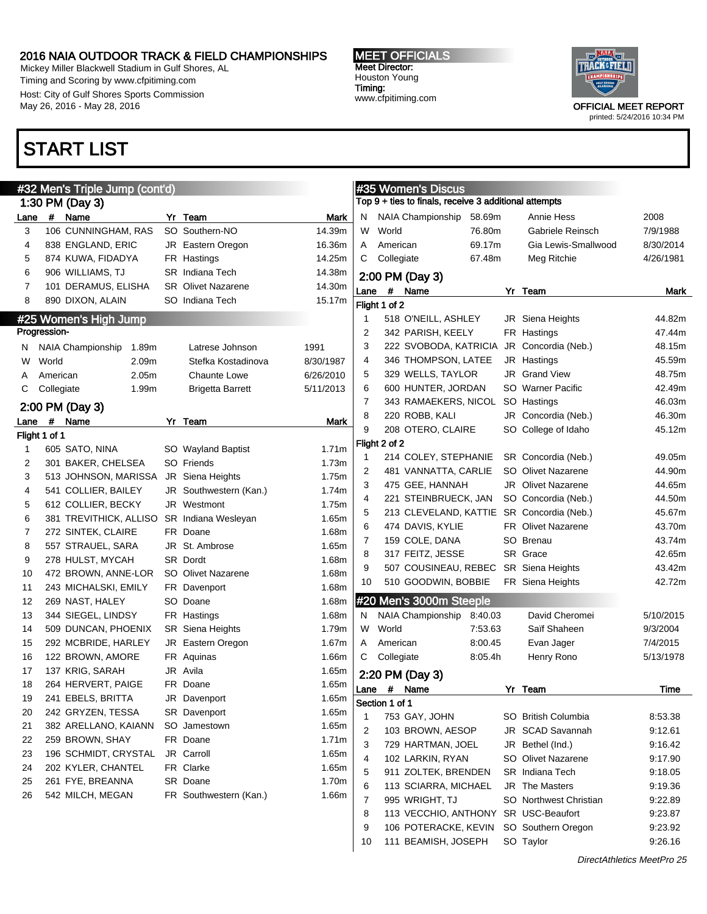Mickey Miller Blackwell Stadium in Gulf Shores, AL Timing and Scoring by www.cfpitiming.com Host: City of Gulf Shores Sports Commission May 26, 2016 - May 28, 2016

### START LIST

#### MEET OFFICIALS Meet Director: Houston Young Timing:

www.cfpitiming.com



printed: 5/24/2016 10:34 PM

|         |               | #32 Men's Triple Jump (cont'd) |                            |           |                |                | #35 Women's Discus                                    |         |                                           |           |
|---------|---------------|--------------------------------|----------------------------|-----------|----------------|----------------|-------------------------------------------------------|---------|-------------------------------------------|-----------|
|         |               | 1:30 PM (Day 3)                |                            |           |                |                | Top 9 + ties to finals, receive 3 additional attempts |         |                                           |           |
| Lane    | $\#$          | Name                           | Yr Team                    | Mark      | N              |                | NAIA Championship                                     | 58.69m  | Annie Hess                                | 2008      |
| 3       |               | 106 CUNNINGHAM, RAS            | SO Southern-NO             | 14.39m    | W              | World          |                                                       | 76.80m  | Gabriele Reinsch                          | 7/9/1988  |
| 4       |               | 838 ENGLAND, ERIC              | JR Eastern Oregon          | 16.36m    | A              | American       |                                                       | 69.17m  | Gia Lewis-Smallwood                       | 8/30/2014 |
| 5       |               | 874 KUWA, FIDADYA              | FR Hastings                | 14.25m    | C              | Collegiate     |                                                       | 67.48m  | Meg Ritchie                               | 4/26/1981 |
| 6       |               | 906 WILLIAMS, TJ               | <b>SR</b> Indiana Tech     | 14.38m    |                |                | 2:00 PM (Day 3)                                       |         |                                           |           |
| 7       |               | 101 DERAMUS, ELISHA            | <b>SR</b> Olivet Nazarene  | 14.30m    | Lane           |                | # Name                                                |         | Yr Team                                   | Mark      |
| 8       |               | 890 DIXON, ALAIN               | SO Indiana Tech            | 15.17m    |                | Flight 1 of 2  |                                                       |         |                                           |           |
|         |               | #25 Women's High Jump          |                            |           | 1              |                | 518 O'NEILL, ASHLEY                                   |         | JR Siena Heights                          | 44.82m    |
|         | Progression-  |                                |                            |           | 2              |                | 342 PARISH, KEELY                                     |         | FR Hastings                               | 47.44m    |
|         |               | NAIA Championship<br>1.89m     | Latrese Johnson            | 1991      | 3              |                | 222 SVOBODA, KATRICIA                                 |         | JR Concordia (Neb.)                       | 48.15m    |
| N.<br>W | World         | 2.09m                          | Stefka Kostadinova         | 8/30/1987 | 4              |                | 346 THOMPSON, LATEE                                   |         | JR Hastings                               | 45.59m    |
|         | American      | 2.05m                          | Chaunte Lowe               | 6/26/2010 | 5              |                | 329 WELLS, TAYLOR                                     |         | JR Grand View                             | 48.75m    |
| A       | Collegiate    | 1.99m                          |                            | 5/11/2013 | 6              |                | 600 HUNTER, JORDAN                                    |         | SO Warner Pacific                         | 42.49m    |
| С       |               |                                | <b>Brigetta Barrett</b>    |           | $\overline{7}$ |                | 343 RAMAEKERS, NICOL                                  |         | SO Hastings                               | 46.03m    |
|         |               | 2:00 PM (Day 3)                |                            |           | 8              |                | 220 ROBB, KALI                                        |         | JR Concordia (Neb.)                       | 46.30m    |
| Lane    | #             | Name                           | Yr Team                    | Mark      | 9              |                | 208 OTERO, CLAIRE                                     |         | SO College of Idaho                       | 45.12m    |
|         | Flight 1 of 1 |                                |                            |           |                | Flight 2 of 2  |                                                       |         |                                           |           |
| 1       |               | 605 SATO, NINA                 | SO Wayland Baptist         | 1.71m     | 1              |                | 214 COLEY, STEPHANIE                                  |         | SR Concordia (Neb.)                       | 49.05m    |
| 2       |               | 301 BAKER, CHELSEA             | SO Friends                 | 1.73m     | 2              |                | 481 VANNATTA, CARLIE                                  |         | SO Olivet Nazarene                        | 44.90m    |
| 3       |               | 513 JOHNSON, MARISSA           | JR Siena Heights           | 1.75m     | 3              |                | 475 GEE, HANNAH                                       |         | <b>JR</b> Olivet Nazarene                 | 44.65m    |
| 4       |               | 541 COLLIER, BAILEY            | JR Southwestern (Kan.)     | 1.74m     | 4              |                | 221 STEINBRUECK, JAN                                  |         | SO Concordia (Neb.)                       | 44.50m    |
| 5       |               | 612 COLLIER, BECKY             | JR Westmont                | 1.75m     | 5              |                |                                                       |         | 213 CLEVELAND, KATTIE SR Concordia (Neb.) | 45.67m    |
| 6       |               | 381 TREVITHICK, ALLISO         | <b>SR</b> Indiana Wesleyan | 1.65m     | 6              |                | 474 DAVIS, KYLIE                                      |         | <b>FR</b> Olivet Nazarene                 | 43.70m    |
| 7       |               | 272 SINTEK, CLAIRE             | FR Doane                   | 1.68m     | 7              |                | 159 COLE, DANA                                        |         | SO Brenau                                 | 43.74m    |
| 8       |               | 557 STRAUEL, SARA              | JR St. Ambrose             | 1.65m     | 8              |                | 317 FEITZ, JESSE                                      |         | SR Grace                                  | 42.65m    |
| 9       |               | 278 HULST, MYCAH               | SR Dordt                   | 1.68m     | 9              |                |                                                       |         | 507 COUSINEAU, REBEC SR Siena Heights     | 43.42m    |
| 10      |               | 472 BROWN, ANNE-LOR            | SO Olivet Nazarene         | 1.68m     | 10             |                | 510 GOODWIN, BOBBIE                                   |         | FR Siena Heights                          | 42.72m    |
| 11      |               | 243 MICHALSKI, EMILY           | FR Davenport               | 1.68m     |                |                |                                                       |         |                                           |           |
| 12      |               | 269 NAST, HALEY                | SO Doane                   | 1.68m     |                |                | #20 Men's 3000m Steeple                               |         |                                           |           |
| 13      |               | 344 SIEGEL, LINDSY             | FR Hastings                | 1.68m     | N              |                | NAIA Championship                                     | 8:40.03 | David Cheromei                            | 5/10/2015 |
| 14      |               | 509 DUNCAN, PHOENIX            | SR Siena Heights           | 1.79m     | W              | World          |                                                       | 7:53.63 | Saïf Shaheen                              | 9/3/2004  |
| 15      |               | 292 MCBRIDE, HARLEY            | JR Eastern Oregon          | 1.67m     | A              | American       |                                                       | 8:00.45 | Evan Jager                                | 7/4/2015  |
| 16      |               | 122 BROWN, AMORE               | FR Aquinas                 | 1.66m     | С              | Collegiate     |                                                       | 8:05.4h | Henry Rono                                | 5/13/1978 |
| 17      |               | 137 KRIG, SARAH                | JR Avila                   | 1.65m     |                |                | 2:20 PM (Day 3)                                       |         |                                           |           |
| 18      |               | 264 HERVERT, PAIGE             | FR Doane                   | 1.65m     |                | Lane # Name    |                                                       |         | Yr Team                                   | Time      |
| 19      |               | 241 EBELS, BRITTA              | JR Davenport               | 1.65m     |                | Section 1 of 1 |                                                       |         |                                           |           |
| 20      |               | 242 GRYZEN, TESSA              | SR Davenport               | 1.65m     | 1              |                | 753 GAY, JOHN                                         |         | SO British Columbia                       | 8:53.38   |
| 21      |               | 382 ARELLANO, KAIANN           | SO Jamestown               | 1.65m     | 2              |                | 103 BROWN, AESOP                                      |         | JR SCAD Savannah                          | 9:12.61   |
| 22      |               | 259 BROWN, SHAY                | FR Doane                   | 1.71m     | 3              |                | 729 HARTMAN, JOEL                                     |         | JR Bethel (Ind.)                          | 9:16.42   |
| 23      |               | 196 SCHMIDT, CRYSTAL           | JR Carroll                 | 1.65m     | 4              |                | 102 LARKIN, RYAN                                      |         | SO Olivet Nazarene                        | 9:17.90   |
| 24      |               | 202 KYLER, CHANTEL             | FR Clarke                  | 1.65m     | 5              |                | 911 ZOLTEK, BRENDEN                                   |         | <b>SR</b> Indiana Tech                    | 9:18.05   |
| 25      |               | 261 FYE, BREANNA               | SR Doane                   | 1.70m     | 6              |                | 113 SCIARRA, MICHAEL                                  |         | <b>JR</b> The Masters                     | 9:19.36   |
| 26      |               | 542 MILCH, MEGAN               | FR Southwestern (Kan.)     | 1.66m     | 7              |                | 995 WRIGHT, TJ                                        |         | SO Northwest Christian                    | 9:22.89   |
|         |               |                                |                            |           | 8              |                |                                                       |         | 113 VECCHIO, ANTHONY SR USC-Beaufort      | 9:23.87   |
|         |               |                                |                            |           | 9              |                | 106 POTERACKE, KEVIN                                  |         | SO Southern Oregon                        | 9:23.92   |
|         |               |                                |                            |           | 10             |                | 111 BEAMISH, JOSEPH                                   |         | SO Taylor                                 | 9:26.16   |
|         |               |                                |                            |           |                |                |                                                       |         |                                           |           |